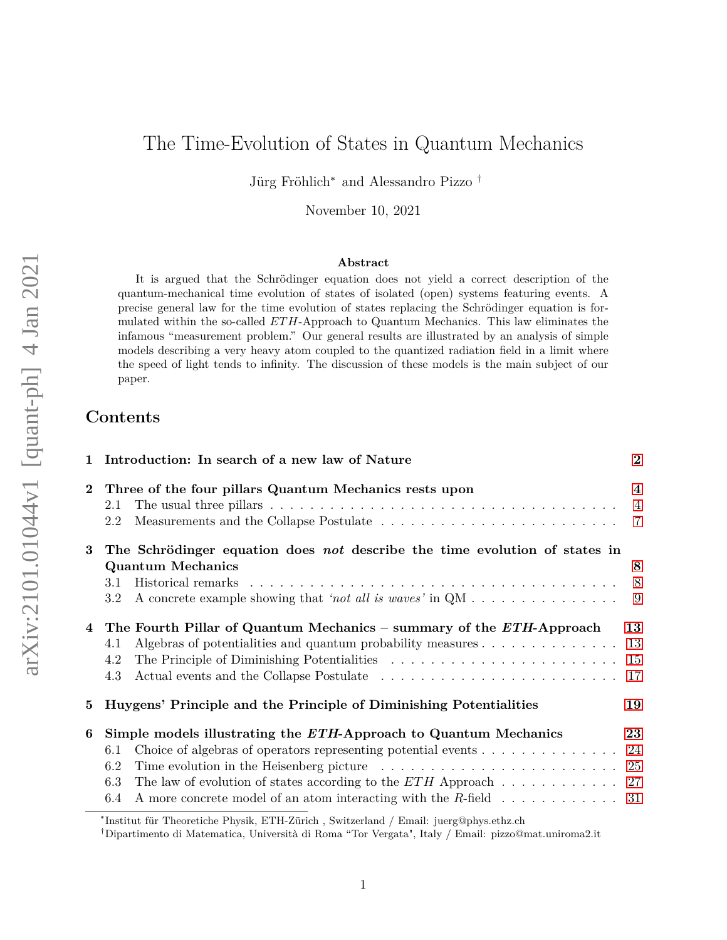# The Time-Evolution of States in Quantum Mechanics

Jürg Fröhlich<sup>∗</sup> and Alessandro Pizzo †

November 10, 2021

### **Abstract**

It is argued that the Schrödinger equation does not yield a correct description of the quantum-mechanical time evolution of states of isolated (open) systems featuring events. A precise general law for the time evolution of states replacing the Schrödinger equation is formulated within the so-called *ETH*-Approach to Quantum Mechanics. This law eliminates the infamous "measurement problem." Our general results are illustrated by an analysis of simple models describing a very heavy atom coupled to the quantized radiation field in a limit where the speed of light tends to infinity. The discussion of these models is the main subject of our paper.

# **Contents**

| $\mathbf{1}$   | Introduction: In search of a new law of Nature                                                                                                                                                                                                                                                                                                                                                                                                                                                                                                                                                                                                                                                                                                                 | $\bf{2}$                                  |
|----------------|----------------------------------------------------------------------------------------------------------------------------------------------------------------------------------------------------------------------------------------------------------------------------------------------------------------------------------------------------------------------------------------------------------------------------------------------------------------------------------------------------------------------------------------------------------------------------------------------------------------------------------------------------------------------------------------------------------------------------------------------------------------|-------------------------------------------|
| $\bf{2}$       | Three of the four pillars Quantum Mechanics rests upon<br>The usual three pillars $\dots \dots \dots \dots \dots \dots \dots \dots \dots \dots \dots \dots \dots \dots$<br>2.1<br>2.2                                                                                                                                                                                                                                                                                                                                                                                                                                                                                                                                                                          | $\overline{\mathbf{4}}$<br>$\overline{4}$ |
| 3              | The Schrödinger equation does not describe the time evolution of states in<br><b>Quantum Mechanics</b><br>3.1<br>A concrete example showing that 'not all is waves' in $QM \dots \dots \dots \dots \dots \dots$<br>$3.2\,$                                                                                                                                                                                                                                                                                                                                                                                                                                                                                                                                     | 8<br>8                                    |
| $\overline{4}$ | The Fourth Pillar of Quantum Mechanics – summary of the ETH-Approach<br>Algebras of potentialities and quantum probability measures 13<br>4.1<br>4.2<br>4.3                                                                                                                                                                                                                                                                                                                                                                                                                                                                                                                                                                                                    | 13                                        |
| 5              | Huygens' Principle and the Principle of Diminishing Potentialities                                                                                                                                                                                                                                                                                                                                                                                                                                                                                                                                                                                                                                                                                             | 19                                        |
| 6              | Simple models illustrating the ETH-Approach to Quantum Mechanics<br>Choice of algebras of operators representing potential events $\dots \dots \dots \dots \dots$ 24<br>6.1<br>6.2<br>The law of evolution of states according to the ETH Approach $\dots \dots \dots \dots$ 27<br>6.3<br>A more concrete model of an atom interacting with the R-field $\dots \dots \dots \dots$<br>6.4<br>$*$ $\cdots$ $\alpha$ $\cdots$ $\alpha$ $\cdots$ $\cdots$ $\alpha$ $\cdots$ $\alpha$ $\cdots$ $\alpha$ $\cdots$ $\alpha$ $\cdots$ $\alpha$ $\cdots$ $\alpha$ $\cdots$ $\alpha$ $\cdots$ $\alpha$ $\cdots$ $\alpha$ $\cdots$ $\alpha$ $\cdots$ $\alpha$ $\cdots$ $\alpha$ $\cdots$ $\alpha$ $\cdots$ $\alpha$ $\cdots$ $\cdots$ $\alpha$ $\cdots$ $\alpha$ $\cdots$ | 23                                        |

<sup>∗</sup> Institut für Theoretiche Physik, ETH-Zürich , Switzerland / Email: juerg@phys.ethz.ch

<sup>†</sup>Dipartimento di Matematica, Università di Roma "Tor Vergata", Italy / Email: pizzo@mat.uniroma2.it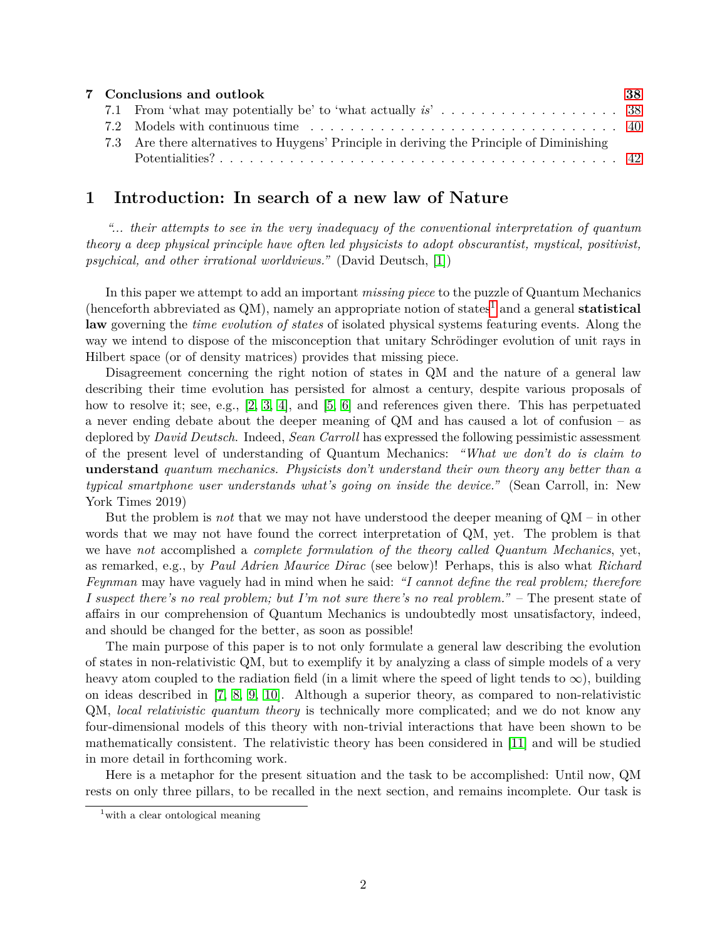|  | 7 Conclusions and outlook                                                                 | 38 |
|--|-------------------------------------------------------------------------------------------|----|
|  |                                                                                           |    |
|  |                                                                                           |    |
|  | 7.3 Are there alternatives to Huygens' Principle in deriving the Principle of Diminishing |    |
|  |                                                                                           |    |

# <span id="page-1-0"></span>**1 Introduction: In search of a new law of Nature**

*"... their attempts to see in the very inadequacy of the conventional interpretation of quantum theory a deep physical principle have often led physicists to adopt obscurantist, mystical, positivist, psychical, and other irrational worldviews."* (David Deutsch, [\[1\]](#page-42-0))

In this paper we attempt to add an important *missing piece* to the puzzle of Quantum Mechanics (henceforth abbreviated as  $QM$ ), namely an appropriate notion of states<sup>[1](#page-1-1)</sup> and a general **statistical law** governing the *time evolution of states* of isolated physical systems featuring events. Along the way we intend to dispose of the misconception that unitary Schrödinger evolution of unit rays in Hilbert space (or of density matrices) provides that missing piece.

Disagreement concerning the right notion of states in QM and the nature of a general law describing their time evolution has persisted for almost a century, despite various proposals of how to resolve it; see, e.g., [\[2,](#page-42-1) [3,](#page-42-2) [4\]](#page-42-3), and [\[5,](#page-42-4) [6\]](#page-43-0) and references given there. This has perpetuated a never ending debate about the deeper meaning of QM and has caused a lot of confusion – as deplored by *David Deutsch*. Indeed, *Sean Carroll* has expressed the following pessimistic assessment of the present level of understanding of Quantum Mechanics: *"What we don't do is claim to* **understand** *quantum mechanics. Physicists don't understand their own theory any better than a typical smartphone user understands what's going on inside the device."* (Sean Carroll, in: New York Times 2019)

But the problem is *not* that we may not have understood the deeper meaning of QM – in other words that we may not have found the correct interpretation of QM, yet. The problem is that we have *not* accomplished a *complete formulation of the theory called Quantum Mechanics*, yet, as remarked, e.g., by *Paul Adrien Maurice Dirac* (see below)! Perhaps, this is also what *Richard Feynman* may have vaguely had in mind when he said: *"I cannot define the real problem; therefore I suspect there's no real problem; but I'm not sure there's no real problem."* – The present state of affairs in our comprehension of Quantum Mechanics is undoubtedly most unsatisfactory, indeed, and should be changed for the better, as soon as possible!

The main purpose of this paper is to not only formulate a general law describing the evolution of states in non-relativistic QM, but to exemplify it by analyzing a class of simple models of a very heavy atom coupled to the radiation field (in a limit where the speed of light tends to  $\infty$ ), building on ideas described in [\[7,](#page-43-1) [8,](#page-43-2) [9,](#page-43-3) [10\]](#page-43-4). Although a superior theory, as compared to non-relativistic QM, *local relativistic quantum theory* is technically more complicated; and we do not know any four-dimensional models of this theory with non-trivial interactions that have been shown to be mathematically consistent. The relativistic theory has been considered in [\[11\]](#page-43-5) and will be studied in more detail in forthcoming work.

Here is a metaphor for the present situation and the task to be accomplished: Until now, QM rests on only three pillars, to be recalled in the next section, and remains incomplete. Our task is

<span id="page-1-1"></span><sup>&</sup>lt;sup>1</sup> with a clear ontological meaning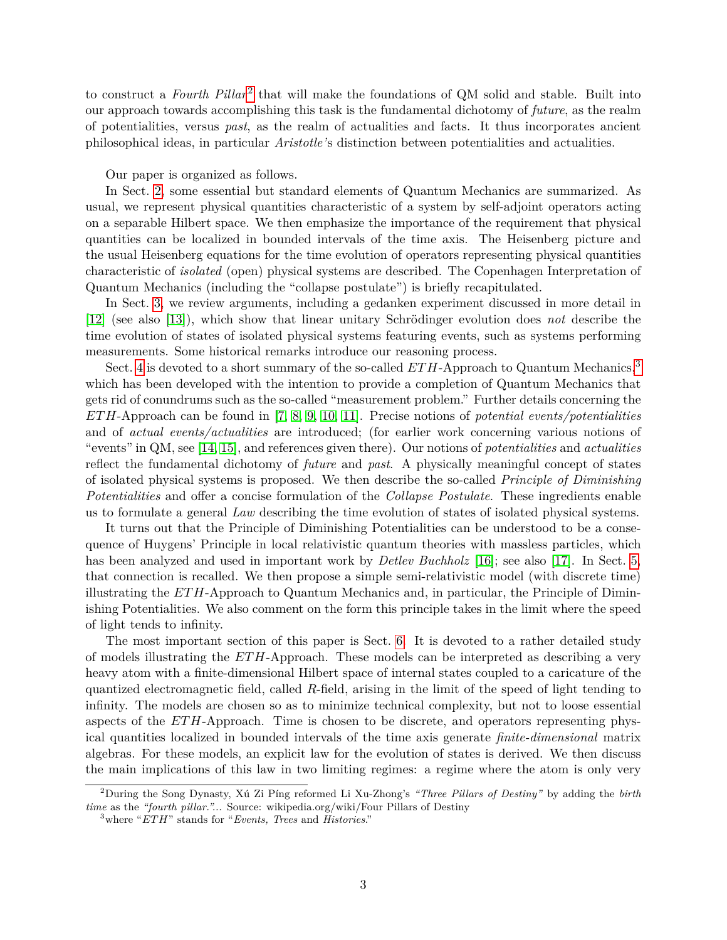to construct a *Fourth Pillar*<sup>[2](#page-2-0)</sup> that will make the foundations of QM solid and stable. Built into our approach towards accomplishing this task is the fundamental dichotomy of *future*, as the realm of potentialities, versus *past*, as the realm of actualities and facts. It thus incorporates ancient philosophical ideas, in particular *Aristotle'*s distinction between potentialities and actualities.

#### Our paper is organized as follows.

In Sect. [2,](#page-3-0) some essential but standard elements of Quantum Mechanics are summarized. As usual, we represent physical quantities characteristic of a system by self-adjoint operators acting on a separable Hilbert space. We then emphasize the importance of the requirement that physical quantities can be localized in bounded intervals of the time axis. The Heisenberg picture and the usual Heisenberg equations for the time evolution of operators representing physical quantities characteristic of *isolated* (open) physical systems are described. The Copenhagen Interpretation of Quantum Mechanics (including the "collapse postulate") is briefly recapitulated.

In Sect. [3,](#page-7-0) we review arguments, including a gedanken experiment discussed in more detail in [\[12\]](#page-43-6) (see also [\[13\]](#page-43-7)), which show that linear unitary Schrödinger evolution does *not* describe the time evolution of states of isolated physical systems featuring events, such as systems performing measurements. Some historical remarks introduce our reasoning process.

Sect. [4](#page-12-0) is devoted to a short summary of the so-called *ETH*-Approach to Quantum Mechanics,<sup>[3](#page-2-1)</sup> which has been developed with the intention to provide a completion of Quantum Mechanics that gets rid of conundrums such as the so-called "measurement problem." Further details concerning the *ET H*-Approach can be found in [\[7,](#page-43-1) [8,](#page-43-2) [9,](#page-43-3) [10,](#page-43-4) [11\]](#page-43-5). Precise notions of *potential events/potentialities* and of *actual events/actualities* are introduced; (for earlier work concerning various notions of "events" in QM, see [\[14,](#page-43-8) [15\]](#page-43-9), and references given there). Our notions of *potentialities* and *actualities* reflect the fundamental dichotomy of *future* and *past*. A physically meaningful concept of states of isolated physical systems is proposed. We then describe the so-called *Principle of Diminishing Potentialities* and offer a concise formulation of the *Collapse Postulate*. These ingredients enable us to formulate a general *Law* describing the time evolution of states of isolated physical systems.

It turns out that the Principle of Diminishing Potentialities can be understood to be a consequence of Huygens' Principle in local relativistic quantum theories with massless particles, which has been analyzed and used in important work by *Detlev Buchholz* [\[16\]](#page-43-10); see also [\[17\]](#page-43-11). In Sect. [5,](#page-18-0) that connection is recalled. We then propose a simple semi-relativistic model (with discrete time) illustrating the *ETH*-Approach to Quantum Mechanics and, in particular, the Principle of Diminishing Potentialities. We also comment on the form this principle takes in the limit where the speed of light tends to infinity.

The most important section of this paper is Sect. [6.](#page-22-0) It is devoted to a rather detailed study of models illustrating the *ETH*-Approach. These models can be interpreted as describing a very heavy atom with a finite-dimensional Hilbert space of internal states coupled to a caricature of the quantized electromagnetic field, called *R*-field, arising in the limit of the speed of light tending to infinity. The models are chosen so as to minimize technical complexity, but not to loose essential aspects of the *ET H*-Approach. Time is chosen to be discrete, and operators representing physical quantities localized in bounded intervals of the time axis generate *finite-dimensional* matrix algebras. For these models, an explicit law for the evolution of states is derived. We then discuss the main implications of this law in two limiting regimes: a regime where the atom is only very

<span id="page-2-0"></span><sup>2</sup>During the Song Dynasty, Xú Zi Píng reformed Li Xu-Zhong's *"Three Pillars of Destiny"* by adding the *birth time* as the *"fourth pillar."...* Source: wikipedia.org/wiki/Four Pillars of Destiny

<span id="page-2-1"></span><sup>3</sup>where "*ET H*" stands for "*Events, Trees* and *Histories*."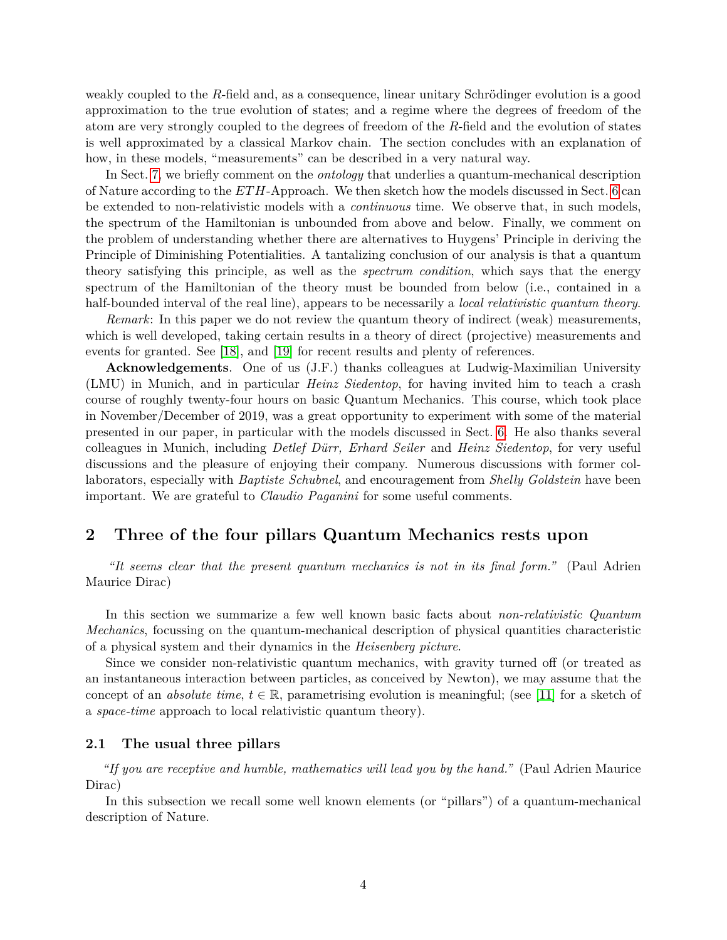weakly coupled to the *R*-field and, as a consequence, linear unitary Schrödinger evolution is a good approximation to the true evolution of states; and a regime where the degrees of freedom of the atom are very strongly coupled to the degrees of freedom of the *R*-field and the evolution of states is well approximated by a classical Markov chain. The section concludes with an explanation of how, in these models, "measurements" can be described in a very natural way.

In Sect. [7,](#page-37-0) we briefly comment on the *ontology* that underlies a quantum-mechanical description of Nature according to the *ETH*-Approach. We then sketch how the models discussed in Sect. [6](#page-22-0) can be extended to non-relativistic models with a *continuous* time. We observe that, in such models, the spectrum of the Hamiltonian is unbounded from above and below. Finally, we comment on the problem of understanding whether there are alternatives to Huygens' Principle in deriving the Principle of Diminishing Potentialities. A tantalizing conclusion of our analysis is that a quantum theory satisfying this principle, as well as the *spectrum condition*, which says that the energy spectrum of the Hamiltonian of the theory must be bounded from below (i.e., contained in a half-bounded interval of the real line), appears to be necessarily a *local relativistic quantum theory*.

*Remark*: In this paper we do not review the quantum theory of indirect (weak) measurements, which is well developed, taking certain results in a theory of direct (projective) measurements and events for granted. See [\[18\]](#page-43-12), and [\[19\]](#page-43-13) for recent results and plenty of references.

**Acknowledgements**. One of us (J.F.) thanks colleagues at Ludwig-Maximilian University (LMU) in Munich, and in particular *Heinz Siedentop*, for having invited him to teach a crash course of roughly twenty-four hours on basic Quantum Mechanics. This course, which took place in November/December of 2019, was a great opportunity to experiment with some of the material presented in our paper, in particular with the models discussed in Sect. [6.](#page-22-0) He also thanks several colleagues in Munich, including *Detlef Dürr, Erhard Seiler* and *Heinz Siedentop*, for very useful discussions and the pleasure of enjoying their company. Numerous discussions with former collaborators, especially with *Baptiste Schubnel*, and encouragement from *Shelly Goldstein* have been important. We are grateful to *Claudio Paganini* for some useful comments.

# <span id="page-3-0"></span>**2 Three of the four pillars Quantum Mechanics rests upon**

*"It seems clear that the present quantum mechanics is not in its final form."* (Paul Adrien Maurice Dirac)

In this section we summarize a few well known basic facts about *non-relativistic Quantum Mechanics*, focussing on the quantum-mechanical description of physical quantities characteristic of a physical system and their dynamics in the *Heisenberg picture*.

Since we consider non-relativistic quantum mechanics, with gravity turned off (or treated as an instantaneous interaction between particles, as conceived by Newton), we may assume that the concept of an *absolute time*,  $t \in \mathbb{R}$ , parametrising evolution is meaningful; (see [\[11\]](#page-43-5) for a sketch of a *space-time* approach to local relativistic quantum theory).

## <span id="page-3-1"></span>**2.1 The usual three pillars**

*"If you are receptive and humble, mathematics will lead you by the hand."* (Paul Adrien Maurice Dirac)

In this subsection we recall some well known elements (or "pillars") of a quantum-mechanical description of Nature.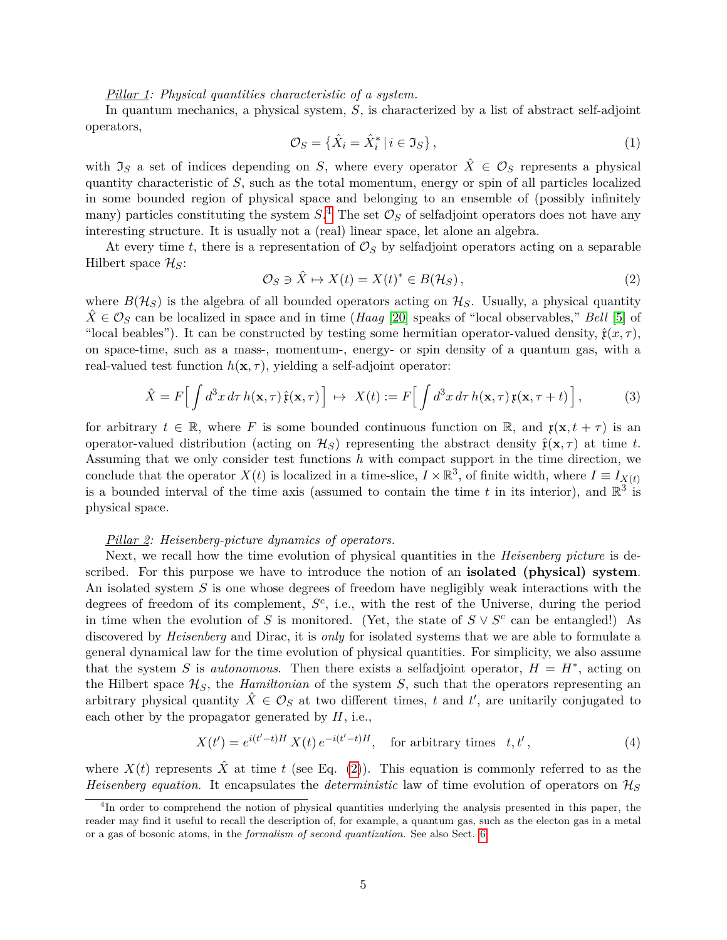#### *Pillar 1: Physical quantities characteristic of a system.*

In quantum mechanics, a physical system, *S*, is characterized by a list of abstract self-adjoint operators,

<span id="page-4-4"></span>
$$
\mathcal{O}_S = \{ \hat{X}_i = \hat{X}_i^* \mid i \in \mathfrak{I}_S \},\tag{1}
$$

with  $\mathfrak{I}_S$  a set of indices depending on *S*, where every operator  $\hat{X} \in \mathcal{O}_S$  represents a physical quantity characteristic of *S*, such as the total momentum, energy or spin of all particles localized in some bounded region of physical space and belonging to an ensemble of (possibly infinitely many) particles constituting the system  $S^A$ . The set  $\mathcal{O}_S$  of selfadjoint operators does not have any interesting structure. It is usually not a (real) linear space, let alone an algebra.

At every time *t*, there is a representation of  $\mathcal{O}_S$  by selfadjoint operators acting on a separable Hilbert space  $\mathcal{H}_S$ :

<span id="page-4-1"></span>
$$
\mathcal{O}_S \ni \hat{X} \mapsto X(t) = X(t)^* \in B(\mathcal{H}_S), \tag{2}
$$

where  $B(\mathcal{H}_S)$  is the algebra of all bounded operators acting on  $\mathcal{H}_S$ . Usually, a physical quantity  $\hat{X} \in \mathcal{O}_S$  can be localized in space and in time (*Haag* [\[20\]](#page-43-14) speaks of "local observables," *Bell* [\[5\]](#page-42-4) of "local beables"). It can be constructed by testing some hermitian operator-valued density,  $\hat{\mathfrak{r}}(x,\tau)$ , on space-time, such as a mass-, momentum-, energy- or spin density of a quantum gas, with a real-valued test function  $h(\mathbf{x}, \tau)$ , yielding a self-adjoint operator:

<span id="page-4-3"></span>
$$
\hat{X} = F\Big[\int d^3x \, d\tau \, h(\mathbf{x}, \tau) \, \hat{\mathfrak{x}}(\mathbf{x}, \tau) \Big] \, \mapsto \, X(t) := F\Big[\int d^3x \, d\tau \, h(\mathbf{x}, \tau) \, \mathfrak{x}(\mathbf{x}, \tau + t) \Big],\tag{3}
$$

for arbitrary  $t \in \mathbb{R}$ , where F is some bounded continuous function on  $\mathbb{R}$ , and  $\mathfrak{x}(\mathbf{x}, t + \tau)$  is an operator-valued distribution (acting on  $\mathcal{H}_S$ ) representing the abstract density  $\hat{\mathbf{r}}(\mathbf{x},\tau)$  at time t. Assuming that we only consider test functions *h* with compact support in the time direction, we conclude that the operator  $X(t)$  is localized in a time-slice,  $I \times \mathbb{R}^3$ , of finite width, where  $I \equiv I_{X(t)}$ is a bounded interval of the time axis (assumed to contain the time *t* in its interior), and  $\mathbb{R}^3$  is physical space.

#### *Pillar 2: Heisenberg-picture dynamics of operators.*

Next, we recall how the time evolution of physical quantities in the *Heisenberg picture* is described. For this purpose we have to introduce the notion of an **isolated (physical) system**. An isolated system *S* is one whose degrees of freedom have negligibly weak interactions with the degrees of freedom of its complement,  $S^c$ , i.e., with the rest of the Universe, during the period in time when the evolution of *S* is monitored. (Yet, the state of  $S \vee S^c$  can be entangled!) As discovered by *Heisenberg* and Dirac, it is *only* for isolated systems that we are able to formulate a general dynamical law for the time evolution of physical quantities. For simplicity, we also assume that the system *S* is *autonomous*. Then there exists a selfadjoint operator,  $H = H^*$ , acting on the Hilbert space  $\mathcal{H}_S$ , the *Hamiltonian* of the system *S*, such that the operators representing an arbitrary physical quantity  $\hat{X} \in \mathcal{O}_S$  at two different times, *t* and *t'*, are unitarily conjugated to each other by the propagator generated by *H*, i.e.,

<span id="page-4-2"></span>
$$
X(t') = e^{i(t'-t)H} X(t) e^{-i(t'-t)H}, \quad \text{for arbitrary times} \quad t, t', \tag{4}
$$

where  $X(t)$  represents  $\hat{X}$  at time *t* (see Eq. [\(2\)](#page-4-1)). This equation is commonly referred to as the *Heisenberg equation*. It encapsulates the *deterministic* law of time evolution of operators on H*<sup>S</sup>*

<span id="page-4-0"></span><sup>&</sup>lt;sup>4</sup>In order to comprehend the notion of physical quantities underlying the analysis presented in this paper, the reader may find it useful to recall the description of, for example, a quantum gas, such as the electon gas in a metal or a gas of bosonic atoms, in the *formalism of second quantization*. See also Sect. [6.](#page-22-0)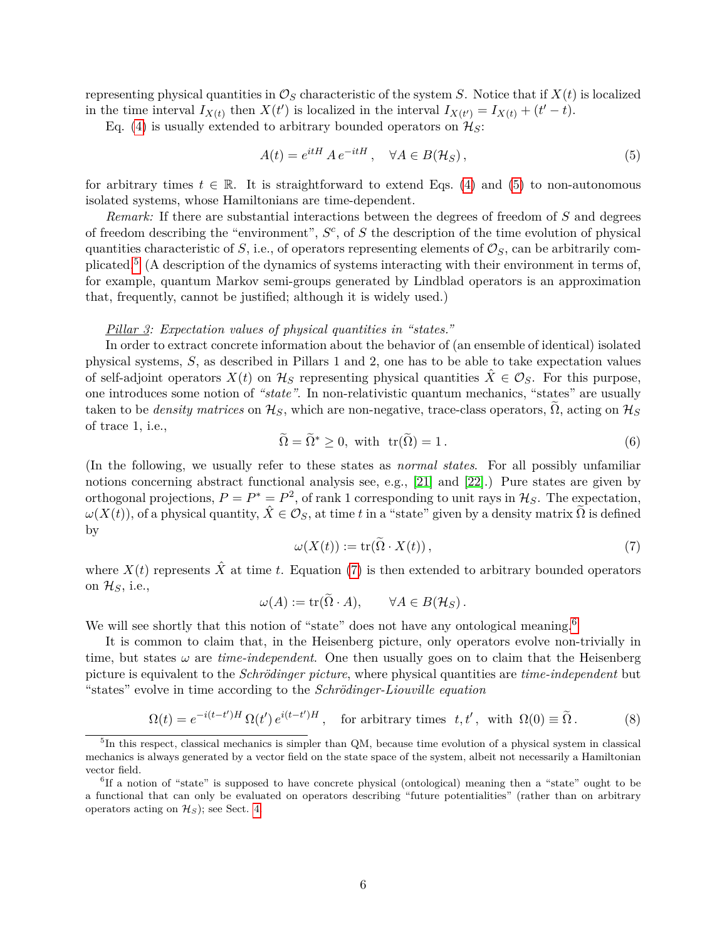representing physical quantities in  $\mathcal{O}_S$  characteristic of the system *S*. Notice that if  $X(t)$  is localized in the time interval  $I_{X(t)}$  then  $X(t')$  is localized in the interval  $I_{X(t')} = I_{X(t)} + (t'-t)$ .

Eq. [\(4\)](#page-4-2) is usually extended to arbitrary bounded operators on  $\mathcal{H}_S$ :

<span id="page-5-0"></span>
$$
A(t) = e^{itH} A e^{-itH}, \quad \forall A \in B(\mathcal{H}_S), \tag{5}
$$

for arbitrary times  $t \in \mathbb{R}$ . It is straightforward to extend Eqs. [\(4\)](#page-4-2) and [\(5\)](#page-5-0) to non-autonomous isolated systems, whose Hamiltonians are time-dependent.

*Remark:* If there are substantial interactions between the degrees of freedom of *S* and degrees of freedom describing the "environment", *S c* , of *S* the description of the time evolution of physical quantities characteristic of  $S$ , i.e., of operators representing elements of  $\mathcal{O}_S$ , can be arbitrarily com-plicated.<sup>[5](#page-5-1)</sup> (A description of the dynamics of systems interacting with their environment in terms of, for example, quantum Markov semi-groups generated by Lindblad operators is an approximation that, frequently, cannot be justified; although it is widely used.)

## *Pillar 3: Expectation values of physical quantities in "states."*

In order to extract concrete information about the behavior of (an ensemble of identical) isolated physical systems, *S*, as described in Pillars 1 and 2, one has to be able to take expectation values of self-adjoint operators  $X(t)$  on  $\mathcal{H}_S$  representing physical quantities  $\dot{X} \in \mathcal{O}_S$ . For this purpose, one introduces some notion of *"state"*. In non-relativistic quantum mechanics, "states" are usually taken to be *density matrices* on  $\mathcal{H}_S$ , which are non-negative, trace-class operators,  $\Omega$ , acting on  $\mathcal{H}_S$ of trace 1, i.e.,

$$
\widetilde{\Omega} = \widetilde{\Omega}^* \ge 0, \text{ with } \operatorname{tr}(\widetilde{\Omega}) = 1. \tag{6}
$$

(In the following, we usually refer to these states as *normal states*. For all possibly unfamiliar notions concerning abstract functional analysis see, e.g., [\[21\]](#page-43-15) and [\[22\]](#page-44-0).) Pure states are given by orthogonal projections,  $P = P^* = P^2$ , of rank 1 corresponding to unit rays in  $\mathcal{H}_S$ . The expectation,  $\omega(X(t))$ , of a physical quantity,  $\hat{X} \in \mathcal{O}_S$ , at time *t* in a "state" given by a density matrix  $\tilde{\Omega}$  is defined by

<span id="page-5-2"></span>
$$
\omega(X(t)) := \operatorname{tr}(\Omega \cdot X(t)),\tag{7}
$$

where  $X(t)$  represents  $\hat{X}$  at time *t*. Equation [\(7\)](#page-5-2) is then extended to arbitrary bounded operators on H*S*, i.e.,

$$
\omega(A) := \operatorname{tr}(\Omega \cdot A), \qquad \forall A \in B(\mathcal{H}_S).
$$

We will see shortly that this notion of "state" does not have any ontological meaning.<sup>[6](#page-5-3)</sup>

It is common to claim that, in the Heisenberg picture, only operators evolve non-trivially in time, but states  $\omega$  are *time-independent*. One then usually goes on to claim that the Heisenberg picture is equivalent to the *Schrödinger picture*, where physical quantities are *time-independent* but "states" evolve in time according to the *Schrödinger-Liouville equation*

<span id="page-5-4"></span>
$$
\Omega(t) = e^{-i(t-t')H} \, \Omega(t') \, e^{i(t-t')H} \,, \quad \text{for arbitrary times } t, t', \text{ with } \Omega(0) \equiv \tilde{\Omega} \,. \tag{8}
$$

<span id="page-5-1"></span><sup>&</sup>lt;sup>5</sup>In this respect, classical mechanics is simpler than QM, because time evolution of a physical system in classical mechanics is always generated by a vector field on the state space of the system, albeit not necessarily a Hamiltonian vector field.

<span id="page-5-3"></span><sup>&</sup>lt;sup>6</sup>If a notion of "state" is supposed to have concrete physical (ontological) meaning then a "state" ought to be a functional that can only be evaluated on operators describing "future potentialities" (rather than on arbitrary operators acting on  $\mathcal{H}_S$ ; see Sect. [4.](#page-12-0)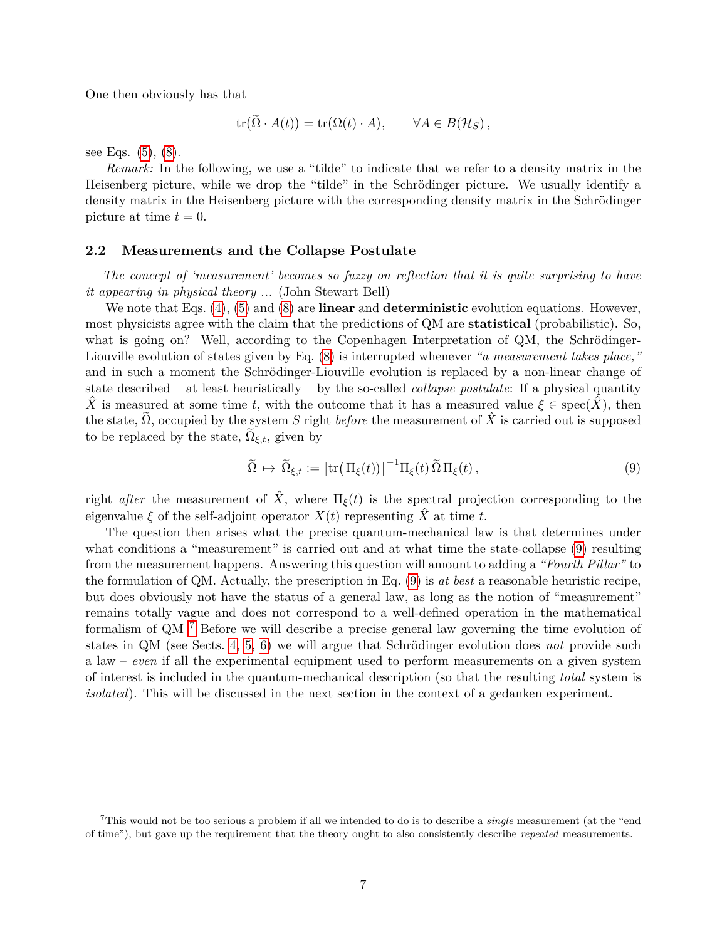One then obviously has that

$$
\operatorname{tr}(\Omega \cdot A(t)) = \operatorname{tr}(\Omega(t) \cdot A), \qquad \forall A \in B(\mathcal{H}_S),
$$

see Eqs.  $(5)$ ,  $(8)$ .

*Remark:* In the following, we use a "tilde" to indicate that we refer to a density matrix in the Heisenberg picture, while we drop the "tilde" in the Schrödinger picture. We usually identify a density matrix in the Heisenberg picture with the corresponding density matrix in the Schrödinger picture at time  $t = 0$ .

## <span id="page-6-0"></span>**2.2 Measurements and the Collapse Postulate**

*The concept of 'measurement' becomes so fuzzy on reflection that it is quite surprising to have it appearing in physical theory ...* (John Stewart Bell)

We note that Eqs. [\(4\)](#page-4-2), [\(5\)](#page-5-0) and [\(8\)](#page-5-4) are **linear** and **deterministic** evolution equations. However, most physicists agree with the claim that the predictions of QM are **statistical** (probabilistic). So, what is going on? Well, according to the Copenhagen Interpretation of QM, the Schrödinger-Liouville evolution of states given by Eq. [\(8\)](#page-5-4) is interrupted whenever *"a measurement takes place,"* and in such a moment the Schrödinger-Liouville evolution is replaced by a non-linear change of state described – at least heuristically – by the so-called *collapse postulate*: If a physical quantity *X* is measured at some time *t*, with the outcome that it has a measured value  $\xi \in \text{spec}(\hat{X})$ , then the state,  $\Omega$ , occupied by the system *S* right *before* the measurement of  $\hat{X}$  is carried out is supposed to be replaced by the state,  $\Omega_{\xi,t}$ , given by

<span id="page-6-1"></span>
$$
\widetilde{\Omega} \mapsto \widetilde{\Omega}_{\xi,t} := \left[ \text{tr}(\Pi_{\xi}(t)) \right]^{-1} \Pi_{\xi}(t) \widetilde{\Omega} \Pi_{\xi}(t) , \qquad (9)
$$

right *after* the measurement of  $\hat{X}$ , where  $\Pi_{\xi}(t)$  is the spectral projection corresponding to the eigenvalue  $\xi$  of the self-adjoint operator  $X(t)$  representing  $\hat{X}$  at time *t*.

The question then arises what the precise quantum-mechanical law is that determines under what conditions a "measurement" is carried out and at what time the state-collapse  $(9)$  resulting from the measurement happens. Answering this question will amount to adding a *"Fourth Pillar"* to the formulation of QM. Actually, the prescription in Eq. [\(9\)](#page-6-1) is *at best* a reasonable heuristic recipe, but does obviously not have the status of a general law, as long as the notion of "measurement" remains totally vague and does not correspond to a well-defined operation in the mathematical formalism of QM ![7](#page-6-2) Before we will describe a precise general law governing the time evolution of states in QM (see Sects. [4,](#page-12-0) [5,](#page-18-0) [6\)](#page-22-0) we will argue that Schrödinger evolution does *not* provide such a law – *even* if all the experimental equipment used to perform measurements on a given system of interest is included in the quantum-mechanical description (so that the resulting *total* system is *isolated*). This will be discussed in the next section in the context of a gedanken experiment.

<span id="page-6-2"></span><sup>7</sup>This would not be too serious a problem if all we intended to do is to describe a *single* measurement (at the "end of time"), but gave up the requirement that the theory ought to also consistently describe *repeated* measurements.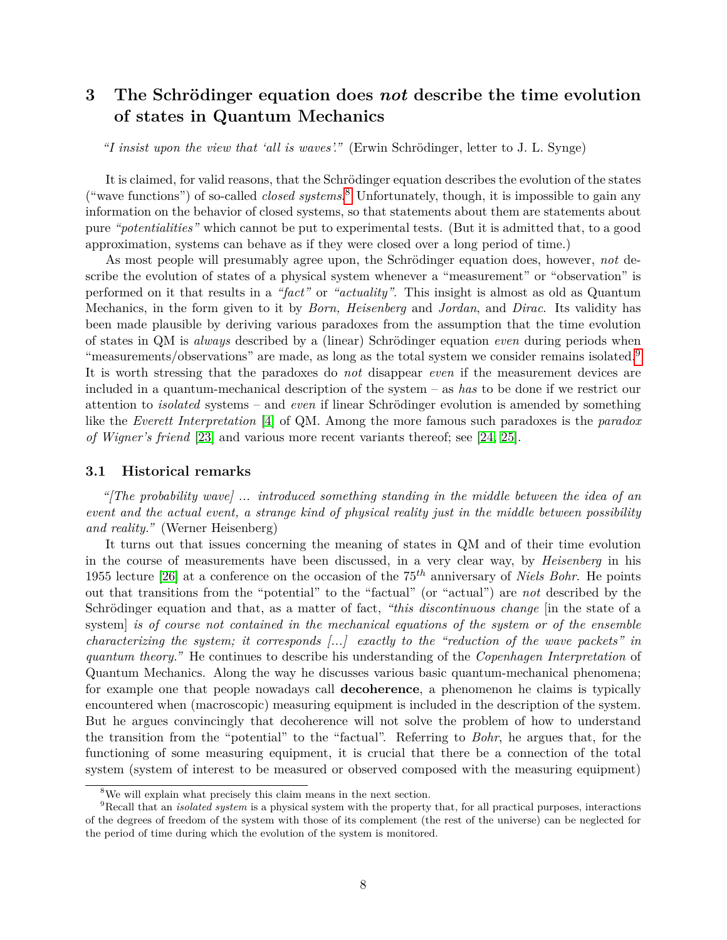# <span id="page-7-0"></span>**3 The Schrödinger equation does** *not* **describe the time evolution of states in Quantum Mechanics**

*"I insist upon the view that 'all is waves'."* (Erwin Schrödinger, letter to J. L. Synge)

It is claimed, for valid reasons, that the Schrödinger equation describes the evolution of the states ("wave functions") of so-called *closed systems*. [8](#page-7-2) Unfortunately, though, it is impossible to gain any information on the behavior of closed systems, so that statements about them are statements about pure *"potentialities"* which cannot be put to experimental tests. (But it is admitted that, to a good approximation, systems can behave as if they were closed over a long period of time.)

As most people will presumably agree upon, the Schrödinger equation does, however, *not* describe the evolution of states of a physical system whenever a "measurement" or "observation" is performed on it that results in a *"fact"* or *"actuality"*. This insight is almost as old as Quantum Mechanics, in the form given to it by *Born, Heisenberg* and *Jordan*, and *Dirac*. Its validity has been made plausible by deriving various paradoxes from the assumption that the time evolution of states in QM is *always* described by a (linear) Schrödinger equation *even* during periods when "measurements/observations" are made, as long as the total system we consider remains isolated.<sup>[9](#page-7-3)</sup> It is worth stressing that the paradoxes do *not* disappear *even* if the measurement devices are included in a quantum-mechanical description of the system – as *has* to be done if we restrict our attention to *isolated* systems – and *even* if linear Schrödinger evolution is amended by something like the *Everett Interpretation* [\[4\]](#page-42-3) of QM. Among the more famous such paradoxes is the *paradox of Wigner's friend* [\[23\]](#page-44-1) and various more recent variants thereof; see [\[24,](#page-44-2) [25\]](#page-44-3).

### <span id="page-7-1"></span>**3.1 Historical remarks**

*"[The probability wave] ... introduced something standing in the middle between the idea of an event and the actual event, a strange kind of physical reality just in the middle between possibility and reality."* (Werner Heisenberg)

It turns out that issues concerning the meaning of states in QM and of their time evolution in the course of measurements have been discussed, in a very clear way, by *Heisenberg* in his 1955 lecture [\[26\]](#page-44-4) at a conference on the occasion of the 75*th* anniversary of *Niels Bohr*. He points out that transitions from the "potential" to the "factual" (or "actual") are *not* described by the Schrödinger equation and that, as a matter of fact, *"this discontinuous change* [in the state of a system] *is of course not contained in the mechanical equations of the system or of the ensemble characterizing the system; it corresponds [...] exactly to the "reduction of the wave packets" in quantum theory."* He continues to describe his understanding of the *Copenhagen Interpretation* of Quantum Mechanics. Along the way he discusses various basic quantum-mechanical phenomena; for example one that people nowadays call **decoherence**, a phenomenon he claims is typically encountered when (macroscopic) measuring equipment is included in the description of the system. But he argues convincingly that decoherence will not solve the problem of how to understand the transition from the "potential" to the "factual". Referring to *Bohr*, he argues that, for the functioning of some measuring equipment, it is crucial that there be a connection of the total system (system of interest to be measured or observed composed with the measuring equipment)

<span id="page-7-3"></span><span id="page-7-2"></span><sup>8</sup>We will explain what precisely this claim means in the next section.

<sup>9</sup>Recall that an *isolated system* is a physical system with the property that, for all practical purposes, interactions of the degrees of freedom of the system with those of its complement (the rest of the universe) can be neglected for the period of time during which the evolution of the system is monitored.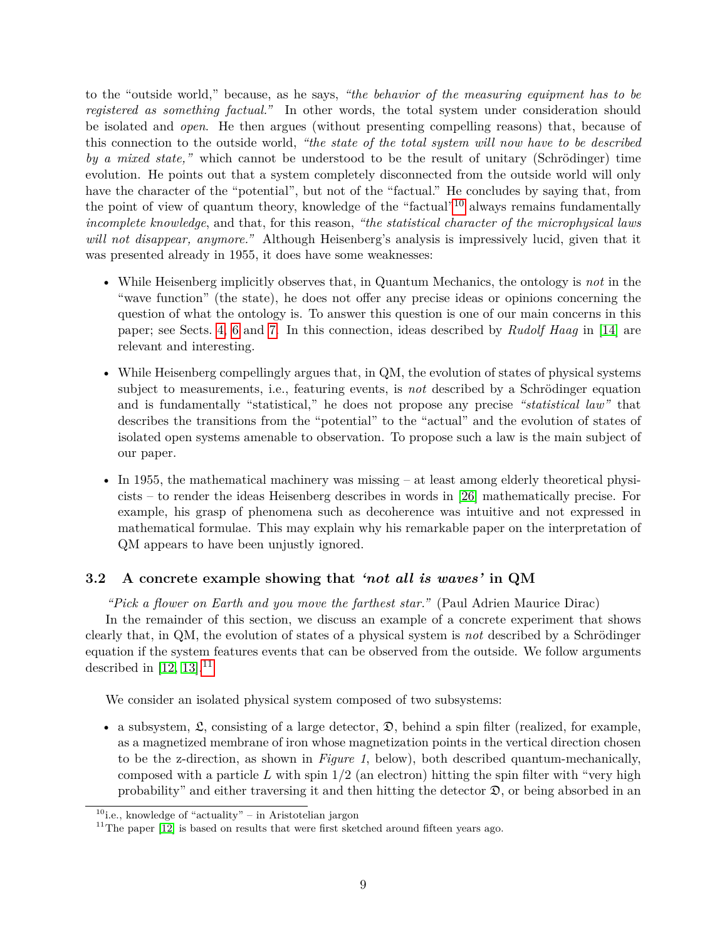to the "outside world," because, as he says, *"the behavior of the measuring equipment has to be registered as something factual."* In other words, the total system under consideration should be isolated and *open*. He then argues (without presenting compelling reasons) that, because of this connection to the outside world, *"the state of the total system will now have to be described by a mixed state,"* which cannot be understood to be the result of unitary (Schrödinger) time evolution. He points out that a system completely disconnected from the outside world will only have the character of the "potential", but not of the "factual." He concludes by saying that, from the point of view of quantum theory, knowledge of the "factual"[10](#page-8-1) always remains fundamentally *incomplete knowledge*, and that, for this reason, *"the statistical character of the microphysical laws will not disappear, anymore."* Although Heisenberg's analysis is impressively lucid, given that it was presented already in 1955, it does have some weaknesses:

- While Heisenberg implicitly observes that, in Quantum Mechanics, the ontology is *not* in the "wave function" (the state), he does not offer any precise ideas or opinions concerning the question of what the ontology is. To answer this question is one of our main concerns in this paper; see Sects. [4,](#page-12-0) [6](#page-22-0) and [7.](#page-37-0) In this connection, ideas described by *Rudolf Haag* in [\[14\]](#page-43-8) are relevant and interesting.
- While Heisenberg compellingly argues that, in QM, the evolution of states of physical systems subject to measurements, i.e., featuring events, is *not* described by a Schrödinger equation and is fundamentally "statistical," he does not propose any precise *"statistical law"* that describes the transitions from the "potential" to the "actual" and the evolution of states of isolated open systems amenable to observation. To propose such a law is the main subject of our paper.
- In 1955, the mathematical machinery was missing at least among elderly theoretical physicists – to render the ideas Heisenberg describes in words in [\[26\]](#page-44-4) mathematically precise. For example, his grasp of phenomena such as decoherence was intuitive and not expressed in mathematical formulae. This may explain why his remarkable paper on the interpretation of QM appears to have been unjustly ignored.

# <span id="page-8-0"></span>**3.2 A concrete example showing that** *'not all is waves'* **in QM**

*"Pick a flower on Earth and you move the farthest star."* (Paul Adrien Maurice Dirac)

In the remainder of this section, we discuss an example of a concrete experiment that shows clearly that, in QM, the evolution of states of a physical system is *not* described by a Schrödinger equation if the system features events that can be observed from the outside. We follow arguments described in [\[12,](#page-43-6) [13\]](#page-43-7).<sup>[11](#page-8-2)</sup>

We consider an isolated physical system composed of two subsystems:

• a subsystem,  $\mathfrak{L}$ , consisting of a large detector,  $\mathfrak{D}$ , behind a spin filter (realized, for example, as a magnetized membrane of iron whose magnetization points in the vertical direction chosen to be the z-direction, as shown in *Figure 1*, below), both described quantum-mechanically, composed with a particle *L* with spin 1*/*2 (an electron) hitting the spin filter with "very high probability" and either traversing it and then hitting the detector  $\mathfrak{D}$ , or being absorbed in an

<span id="page-8-1"></span> $10$ i.e., knowledge of "actuality" – in Aristotelian jargon

<span id="page-8-2"></span><sup>&</sup>lt;sup>11</sup>The paper  $[12]$  is based on results that were first sketched around fifteen years ago.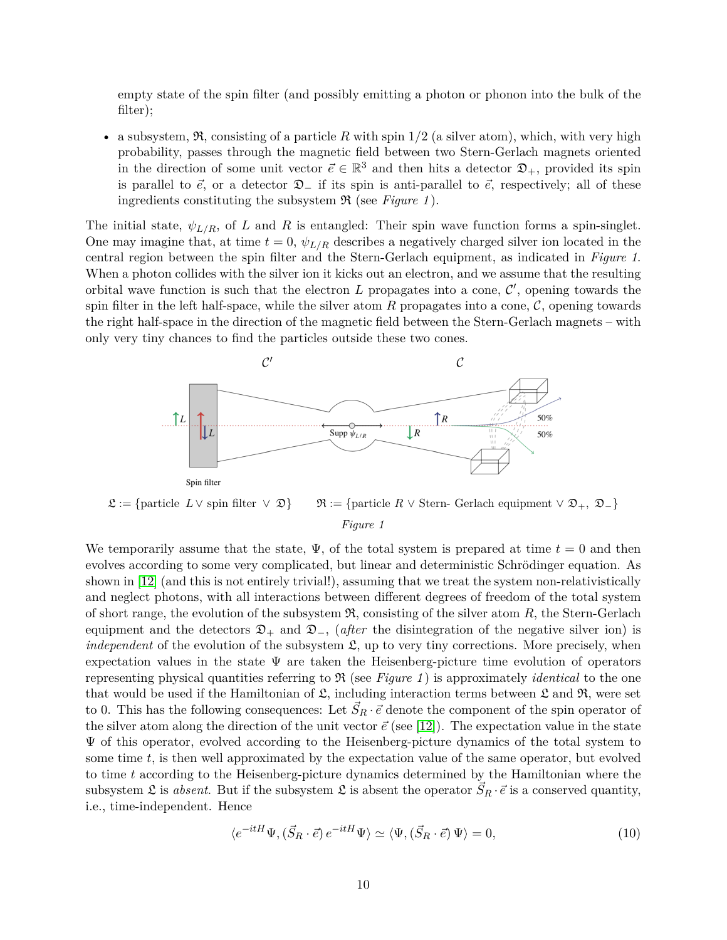empty state of the spin filter (and possibly emitting a photon or phonon into the bulk of the filter);

• a subsystem, R, consisting of a particle *R* with spin 1*/*2 (a silver atom), which, with very high probability, passes through the magnetic field between two Stern-Gerlach magnets oriented in the direction of some unit vector  $\vec{e} \in \mathbb{R}^3$  and then hits a detector  $\mathfrak{D}_+$ , provided its spin is parallel to  $\vec{e}$ , or a detector  $\mathfrak{D}_-$  if its spin is anti-parallel to  $\vec{e}$ , respectively; all of these ingredients constituting the subsystem R (see *Figure 1* ).

The initial state,  $\psi_{L/R}$ , of *L* and *R* is entangled: Their spin wave function forms a spin-singlet. One may imagine that, at time  $t = 0$ ,  $\psi_{L/R}$  describes a negatively charged silver ion located in the central region between the spin filter and the Stern-Gerlach equipment, as indicated in *Figure 1*. When a photon collides with the silver ion it kicks out an electron, and we assume that the resulting orbital wave function is such that the electron  $L$  propagates into a cone,  $\mathcal{C}'$ , opening towards the spin filter in the left half-space, while the silver atom  $R$  propagates into a cone,  $\mathcal{C}$ , opening towards the right half-space in the direction of the magnetic field between the Stern-Gerlach magnets – with only very tiny chances to find the particles outside these two cones.



 $\mathfrak{L} := \{\text{particle } L \vee \text{ spin filter } \vee \mathfrak{D}\}\qquad \mathfrak{R} := \{\text{particle } R \vee \text{ Stern- Gerlach equipment } \vee \mathfrak{D}_+, \mathfrak{D}_-\}\$ *Figure 1*

We temporarily assume that the state,  $\Psi$ , of the total system is prepared at time  $t = 0$  and then evolves according to some very complicated, but linear and deterministic Schrödinger equation. As shown in [\[12\]](#page-43-6) (and this is not entirely trivial!), assuming that we treat the system non-relativistically and neglect photons, with all interactions between different degrees of freedom of the total system of short range, the evolution of the subsystem  $\mathfrak{R}$ , consisting of the silver atom  $R$ , the Stern-Gerlach equipment and the detectors  $\mathfrak{D}_+$  and  $\mathfrak{D}_-$ , (*after* the disintegration of the negative silver ion) is *independent* of the evolution of the subsystem  $\mathfrak{L}$ , up to very tiny corrections. More precisely, when expectation values in the state  $\Psi$  are taken the Heisenberg-picture time evolution of operators representing physical quantities referring to  $\Re$  (see *Figure 1*) is approximately *identical* to the one that would be used if the Hamiltonian of  $\mathfrak{L}$ , including interaction terms between  $\mathfrak{L}$  and  $\mathfrak{R}$ , were set to 0. This has the following consequences: Let  $\vec{S}_R \cdot \vec{e}$  denote the component of the spin operator of the silver atom along the direction of the unit vector  $\vec{e}$  (see [\[12\]](#page-43-6)). The expectation value in the state  $\Psi$  of this operator, evolved according to the Heisenberg-picture dynamics of the total system to some time *t*, is then well approximated by the expectation value of the same operator, but evolved to time *t* according to the Heisenberg-picture dynamics determined by the Hamiltonian where the subsystem  $\mathfrak{L}$  is *absent*. But if the subsystem  $\mathfrak{L}$  is absent the operator  $\vec{S}_R \cdot \vec{e}$  is a conserved quantity, i.e., time-independent. Hence

<span id="page-9-0"></span>
$$
\langle e^{-itH}\Psi, (\vec{S}_R \cdot \vec{e}) e^{-itH}\Psi \rangle \simeq \langle \Psi, (\vec{S}_R \cdot \vec{e}) \Psi \rangle = 0, \tag{10}
$$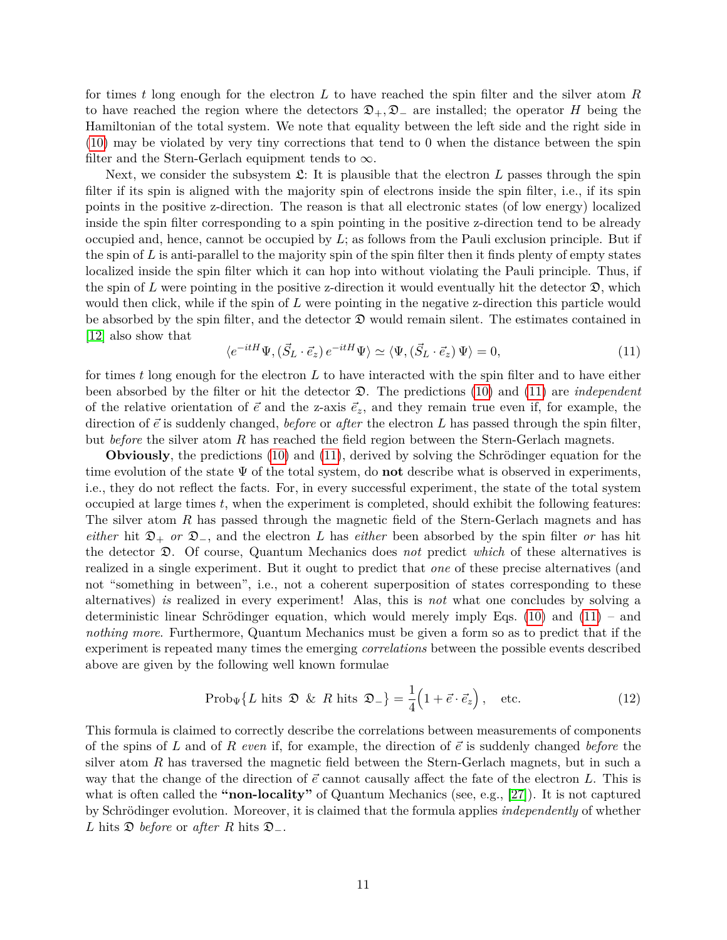for times *t* long enough for the electron *L* to have reached the spin filter and the silver atom *R* to have reached the region where the detectors  $\mathfrak{D}_+$ ,  $\mathfrak{D}_-$  are installed; the operator *H* being the Hamiltonian of the total system. We note that equality between the left side and the right side in [\(10\)](#page-9-0) may be violated by very tiny corrections that tend to 0 when the distance between the spin filter and the Stern-Gerlach equipment tends to  $\infty$ .

Next, we consider the subsystem  $\mathfrak{L}$ : It is plausible that the electron L passes through the spin filter if its spin is aligned with the majority spin of electrons inside the spin filter, i.e., if its spin points in the positive z-direction. The reason is that all electronic states (of low energy) localized inside the spin filter corresponding to a spin pointing in the positive z-direction tend to be already occupied and, hence, cannot be occupied by *L*; as follows from the Pauli exclusion principle. But if the spin of *L* is anti-parallel to the majority spin of the spin filter then it finds plenty of empty states localized inside the spin filter which it can hop into without violating the Pauli principle. Thus, if the spin of L were pointing in the positive z-direction it would eventually hit the detector  $\mathfrak{D}$ , which would then click, while if the spin of *L* were pointing in the negative z-direction this particle would be absorbed by the spin filter, and the detector  $\mathfrak D$  would remain silent. The estimates contained in [\[12\]](#page-43-6) also show that

<span id="page-10-0"></span>
$$
\langle e^{-itH}\Psi, (\vec{S}_L \cdot \vec{e}_z) e^{-itH}\Psi \rangle \simeq \langle \Psi, (\vec{S}_L \cdot \vec{e}_z) \Psi \rangle = 0, \tag{11}
$$

for times *t* long enough for the electron *L* to have interacted with the spin filter and to have either been absorbed by the filter or hit the detector D. The predictions [\(10\)](#page-9-0) and [\(11\)](#page-10-0) are *independent* of the relative orientation of  $\vec{e}$  and the z-axis  $\vec{e}_z$ , and they remain true even if, for example, the direction of  $\vec{e}$  is suddenly changed, *before* or *after* the electron L has passed through the spin filter, but *before* the silver atom *R* has reached the field region between the Stern-Gerlach magnets.

**Obviously**, the predictions [\(10\)](#page-9-0) and [\(11\)](#page-10-0), derived by solving the Schrödinger equation for the time evolution of the state Ψ of the total system, do **not** describe what is observed in experiments, i.e., they do not reflect the facts. For, in every successful experiment, the state of the total system occupied at large times *t*, when the experiment is completed, should exhibit the following features: The silver atom *R* has passed through the magnetic field of the Stern-Gerlach magnets and has *either* hit  $\mathcal{D}_+$  *or*  $\mathcal{D}_-$ , and the electron *L* has *either* been absorbed by the spin filter *or* has hit the detector D. Of course, Quantum Mechanics does *not* predict *which* of these alternatives is realized in a single experiment. But it ought to predict that *one* of these precise alternatives (and not "something in between", i.e., not a coherent superposition of states corresponding to these alternatives) *is* realized in every experiment! Alas, this is *not* what one concludes by solving a deterministic linear Schrödinger equation, which would merely imply Eqs. [\(10\)](#page-9-0) and  $(11)$  – and *nothing more*. Furthermore, Quantum Mechanics must be given a form so as to predict that if the experiment is repeated many times the emerging *correlations* between the possible events described above are given by the following well known formulae

<span id="page-10-1"></span>
$$
\text{Prob}_{\Psi} \{ L \text{ hits } \mathfrak{D} \& R \text{ hits } \mathfrak{D}_{-} \} = \frac{1}{4} \left( 1 + \vec{e} \cdot \vec{e}_z \right), \quad \text{etc.} \tag{12}
$$

This formula is claimed to correctly describe the correlations between measurements of components of the spins of *L* and of *R even* if, for example, the direction of  $\vec{e}$  is suddenly changed *before* the silver atom *R* has traversed the magnetic field between the Stern-Gerlach magnets, but in such a way that the change of the direction of  $\vec{e}$  cannot causally affect the fate of the electron *L*. This is what is often called the **"non-locality"** of Quantum Mechanics (see, e.g., [\[27\]](#page-44-5)). It is not captured by Schrödinger evolution. Moreover, it is claimed that the formula applies *independently* of whether *L* hits D *before* or *after R* hits D−.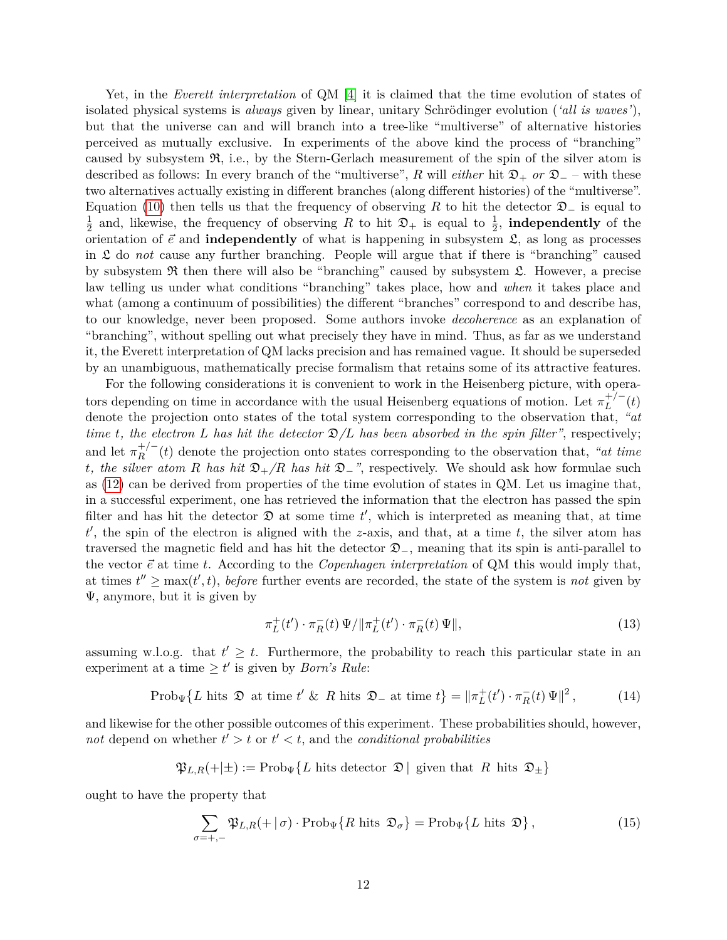Yet, in the *Everett interpretation* of QM [\[4\]](#page-42-3) it is claimed that the time evolution of states of isolated physical systems is *always* given by linear, unitary Schrödinger evolution (*'all is waves'*), but that the universe can and will branch into a tree-like "multiverse" of alternative histories perceived as mutually exclusive. In experiments of the above kind the process of "branching" caused by subsystem  $\mathfrak{R}$ , i.e., by the Stern-Gerlach measurement of the spin of the silver atom is described as follows: In every branch of the "multiverse", R will *either* hit  $\mathfrak{D}_+$  *or*  $\mathfrak{D}_-$  – with these two alternatives actually existing in different branches (along different histories) of the "multiverse". Equation [\(10\)](#page-9-0) then tells us that the frequency of observing *R* to hit the detector  $\mathfrak{D}_-$  is equal to 1  $\frac{1}{2}$  and, likewise, the frequency of observing R to hit  $\mathfrak{D}_+$  is equal to  $\frac{1}{2}$ , **independently** of the orientation of  $\vec{e}$  and **independently** of what is happening in subsystem  $\hat{\mathcal{L}}$ , as long as processes in L do *not* cause any further branching. People will argue that if there is "branching" caused by subsystem  $\Re$  then there will also be "branching" caused by subsystem  $\mathfrak{L}$ . However, a precise law telling us under what conditions "branching" takes place, how and *when* it takes place and what (among a continuum of possibilities) the different "branches" correspond to and describe has, to our knowledge, never been proposed. Some authors invoke *decoherence* as an explanation of "branching", without spelling out what precisely they have in mind. Thus, as far as we understand it, the Everett interpretation of QM lacks precision and has remained vague. It should be superseded by an unambiguous, mathematically precise formalism that retains some of its attractive features.

For the following considerations it is convenient to work in the Heisenberg picture, with operators depending on time in accordance with the usual Heisenberg equations of motion. Let  $\pi_L^{+/-}$  $L^{+/-}(t)$ denote the projection onto states of the total system corresponding to the observation that, *"at time t*, the electron *L* has hit the detector  $\mathcal{D}/L$  has been absorbed in the spin filter", respectively; and let  $\pi_R^{+/-}$  $R^{+/-}_{R}(t)$  denote the projection onto states corresponding to the observation that, *"at time*" *t*, the silver atom *R* has hit  $\mathfrak{D}_+/R$  has hit  $\mathfrak{D}_-$ ", respectively. We should ask how formulae such as [\(12\)](#page-10-1) can be derived from properties of the time evolution of states in QM. Let us imagine that, in a successful experiment, one has retrieved the information that the electron has passed the spin filter and has hit the detector  $\mathfrak D$  at some time  $t'$ , which is interpreted as meaning that, at time  $t'$ , the spin of the electron is aligned with the *z*-axis, and that, at a time  $t$ , the silver atom has traversed the magnetic field and has hit the detector  $\mathcal{D}_-$ , meaning that its spin is anti-parallel to the vector  $\vec{e}$  at time *t*. According to the *Copenhagen interpretation* of QM this would imply that, at times  $t'' \ge \max(t', t)$ , *before* further events are recorded, the state of the system is *not* given by Ψ, anymore, but it is given by

<span id="page-11-0"></span>
$$
\pi_L^+(t') \cdot \pi_R^-(t) \Psi / \| \pi_L^+(t') \cdot \pi_R^-(t) \Psi \|, \tag{13}
$$

assuming w.l.o.g. that  $t' \geq t$ . Furthermore, the probability to reach this particular state in an experiment at a time  $\geq t'$  is given by *Born's Rule*:

> <span id="page-11-1"></span>Prob<sub>Ψ</sub> $\{L \text{ hits } \mathfrak{D} \text{ at time } t' \& R \text{ hits } \mathfrak{D}_- \text{ at time } t\} = \|\pi_L^+(t') \cdot \pi_R^-(t) \Psi\|^2$ *,* (14)

and likewise for the other possible outcomes of this experiment. These probabilities should, however, not depend on whether  $t' > t$  or  $t' < t$ , and the *conditional probabilities* 

$$
\mathfrak{P}_{L,R}(+|\pm) := \text{Prob}_{\Psi} \{ L \text{ hits detector } \mathfrak{D} \mid \text{ given that } R \text{ hits } \mathfrak{D}_{\pm} \}
$$

ought to have the property that

<span id="page-11-2"></span>
$$
\sum_{\sigma=+,-} \mathfrak{P}_{L,R}(+|\sigma) \cdot \operatorname{Prob}_{\Psi} \{ R \text{ hits } \mathfrak{D}_{\sigma} \} = \operatorname{Prob}_{\Psi} \{ L \text{ hits } \mathfrak{D} \},\tag{15}
$$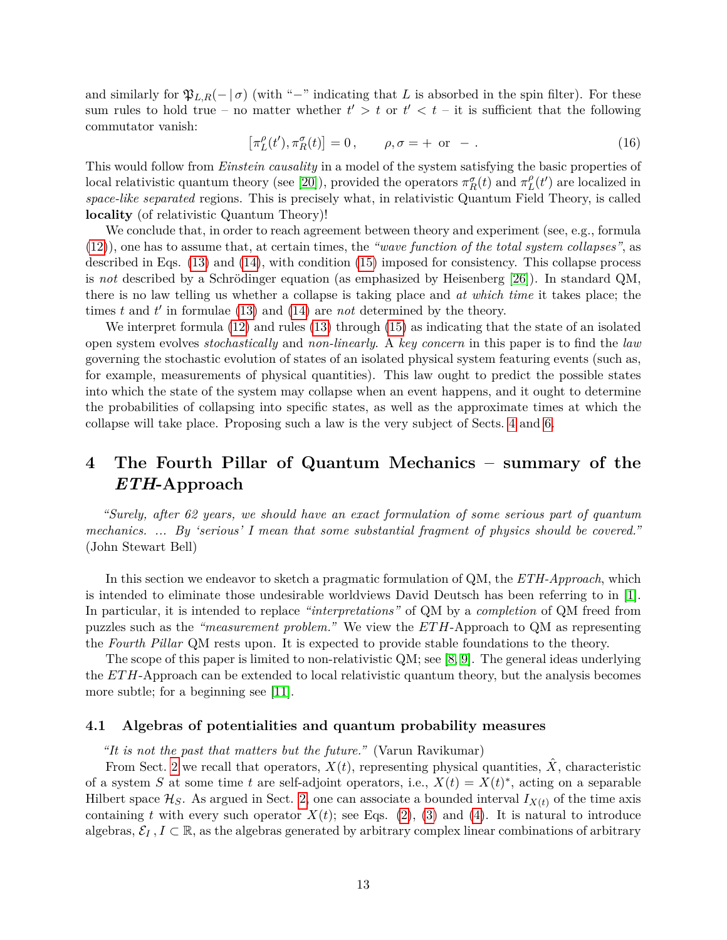and similarly for  $\mathfrak{P}_{L,R}(-|\sigma)$  (with "-" indicating that *L* is absorbed in the spin filter). For these sum rules to hold true – no matter whether  $t' > t$  or  $t' < t$  – it is sufficient that the following commutator vanish:

$$
\left[\pi_L^{\rho}(t'), \pi_R^{\sigma}(t)\right] = 0, \qquad \rho, \sigma = + \text{ or } -. \tag{16}
$$

This would follow from *Einstein causality* in a model of the system satisfying the basic properties of local relativistic quantum theory (see [\[20\]](#page-43-14)), provided the operators  $\pi_R^{\sigma}(t)$  and  $\pi_L^{\rho}$  $_{L}^{\rho}(t')$  are localized in *space-like separated* regions. This is precisely what, in relativistic Quantum Field Theory, is called **locality** (of relativistic Quantum Theory)!

We conclude that, in order to reach agreement between theory and experiment (see, e.g., formula [\(12\)](#page-10-1)), one has to assume that, at certain times, the *"wave function of the total system collapses"*, as described in Eqs. [\(13\)](#page-11-0) and [\(14\)](#page-11-1), with condition [\(15\)](#page-11-2) imposed for consistency. This collapse process is *not* described by a Schrödinger equation (as emphasized by Heisenberg [\[26\]](#page-44-4)). In standard QM, there is no law telling us whether a collapse is taking place and *at which time* it takes place; the times  $t$  and  $t'$  in formulae [\(13\)](#page-11-0) and [\(14\)](#page-11-1) are *not* determined by the theory.

We interpret formula [\(12\)](#page-10-1) and rules [\(13\)](#page-11-0) through [\(15\)](#page-11-2) as indicating that the state of an isolated open system evolves *stochastically* and *non-linearly*. A *key concern* in this paper is to find the *law* governing the stochastic evolution of states of an isolated physical system featuring events (such as, for example, measurements of physical quantities). This law ought to predict the possible states into which the state of the system may collapse when an event happens, and it ought to determine the probabilities of collapsing into specific states, as well as the approximate times at which the collapse will take place. Proposing such a law is the very subject of Sects. [4](#page-12-0) and [6.](#page-22-0)

# <span id="page-12-0"></span>**4 The Fourth Pillar of Quantum Mechanics – summary of the** *ETH***-Approach**

*"Surely, after 62 years, we should have an exact formulation of some serious part of quantum mechanics. ... By 'serious' I mean that some substantial fragment of physics should be covered."* (John Stewart Bell)

In this section we endeavor to sketch a pragmatic formulation of QM, the *ETH-Approach*, which is intended to eliminate those undesirable worldviews David Deutsch has been referring to in [\[1\]](#page-42-0). In particular, it is intended to replace *"interpretations"* of QM by a *completion* of QM freed from puzzles such as the *"measurement problem."* We view the *ET H*-Approach to QM as representing the *Fourth Pillar* QM rests upon. It is expected to provide stable foundations to the theory.

The scope of this paper is limited to non-relativistic QM; see [\[8,](#page-43-2) [9\]](#page-43-3). The general ideas underlying the *ET H*-Approach can be extended to local relativistic quantum theory, but the analysis becomes more subtle; for a beginning see [\[11\]](#page-43-5).

## <span id="page-12-1"></span>**4.1 Algebras of potentialities and quantum probability measures**

*"It is not the past that matters but the future."* (Varun Ravikumar)

From Sect. [2](#page-3-0) we recall that operators,  $X(t)$ , representing physical quantities,  $\ddot{X}$ , characteristic of a system *S* at some time *t* are self-adjoint operators, i.e.,  $X(t) = X(t)^*$ , acting on a separable Hilbert space  $\mathcal{H}_S$ . As argued in Sect. [2,](#page-3-0) one can associate a bounded interval  $I_{X(t)}$  of the time axis containing *t* with every such operator  $X(t)$ ; see Eqs. [\(2\)](#page-4-1), [\(3\)](#page-4-3) and [\(4\)](#page-4-2). It is natural to introduce algebras,  $\mathcal{E}_I$ ,  $I \subset \mathbb{R}$ , as the algebras generated by arbitrary complex linear combinations of arbitrary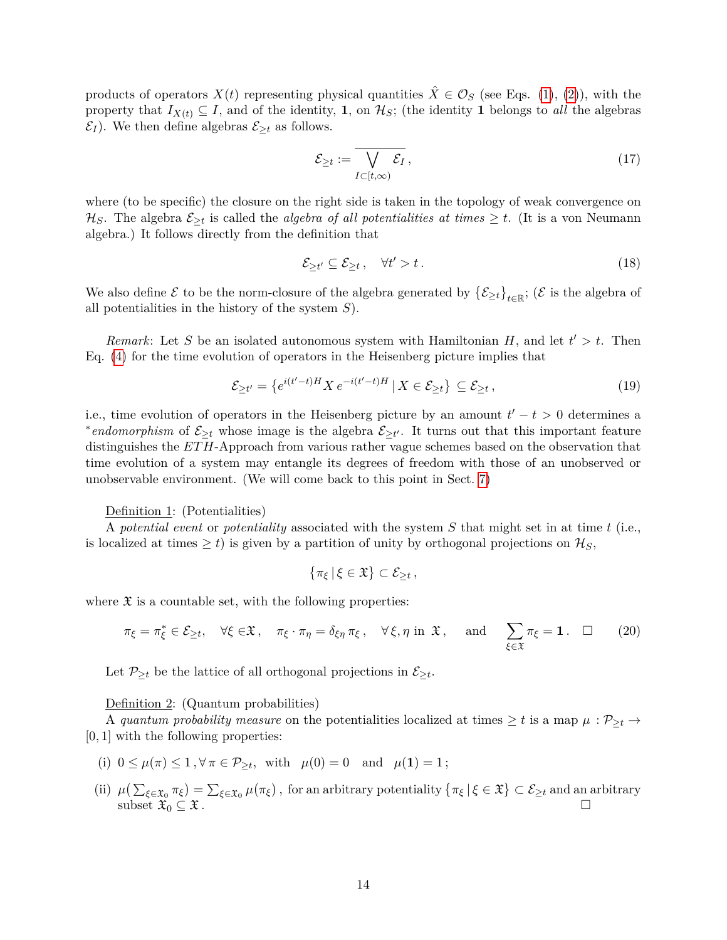products of operators  $X(t)$  representing physical quantities  $\hat{X} \in \mathcal{O}_S$  (see Eqs. [\(1\)](#page-4-4), [\(2\)](#page-4-1)), with the property that  $I_{X(t)} \subseteq I$ , and of the identity, **1**, on  $\mathcal{H}_S$ ; (the identity **1** belongs to *all* the algebras  $\mathcal{E}_I$ ). We then define algebras  $\mathcal{E}_{\geq t}$  as follows.

<span id="page-13-1"></span>
$$
\mathcal{E}_{\geq t} := \overline{\bigvee_{I \subset [t,\infty)} \mathcal{E}_I},\tag{17}
$$

where (to be specific) the closure on the right side is taken in the topology of weak convergence on  $\mathcal{H}_S$ . The algebra  $\mathcal{E}_{\geq t}$  is called the *algebra of all potentialities at times*  $\geq t$ . (It is a von Neumann algebra.) It follows directly from the definition that

<span id="page-13-0"></span>
$$
\mathcal{E}_{\geq t'} \subseteq \mathcal{E}_{\geq t} \,, \quad \forall t' > t \,. \tag{18}
$$

We also define  $\mathcal E$  to be the norm-closure of the algebra generated by  $\{\mathcal E_{\geq t}\}_{t\in\mathbb R}$ ; ( $\mathcal E$  is the algebra of all potentialities in the history of the system *S*).

*Remark*: Let *S* be an isolated autonomous system with Hamiltonian *H*, and let  $t' > t$ . Then Eq. [\(4\)](#page-4-2) for the time evolution of operators in the Heisenberg picture implies that

$$
\mathcal{E}_{\geq t'} = \left\{ e^{i(t'-t)H} X e^{-i(t'-t)H} \mid X \in \mathcal{E}_{\geq t} \right\} \subseteq \mathcal{E}_{\geq t},\tag{19}
$$

i.e., time evolution of operators in the Heisenberg picture by an amount  $t' - t > 0$  determines a \**endomorphism* of  $\mathcal{E}_{\geq t}$  whose image is the algebra  $\mathcal{E}_{\geq t'}$ . It turns out that this important feature distinguishes the *ET H*-Approach from various rather vague schemes based on the observation that time evolution of a system may entangle its degrees of freedom with those of an unobserved or unobservable environment. (We will come back to this point in Sect. [7\)](#page-37-0)

#### Definition 1: (Potentialities)

A *potential event* or *potentiality* associated with the system *S* that might set in at time *t* (i.e., is localized at times  $\geq t$ ) is given by a partition of unity by orthogonal projections on  $\mathcal{H}_S$ ,

$$
\{\pi_{\xi}\,|\,\xi\in\mathfrak{X}\}\subset\mathcal{E}_{\geq t}\,,
$$

where  $\mathfrak X$  is a countable set, with the following properties:

$$
\pi_{\xi} = \pi_{\xi}^* \in \mathcal{E}_{\geq t}, \quad \forall \xi \in \mathfrak{X}, \quad \pi_{\xi} \cdot \pi_{\eta} = \delta_{\xi\eta} \pi_{\xi}, \quad \forall \xi, \eta \text{ in } \mathfrak{X}, \quad \text{ and } \sum_{\xi \in \mathfrak{X}} \pi_{\xi} = 1. \quad \Box \tag{20}
$$

Let  $\mathcal{P}_{\geq t}$  be the lattice of all orthogonal projections in  $\mathcal{E}_{\geq t}$ .

#### Definition 2: (Quantum probabilities)

A *quantum probability measure* on the potentialities localized at times  $\geq t$  is a map  $\mu : \mathcal{P}_{\geq t} \to$ [0*,* 1] with the following properties:

- (i)  $0 \le \mu(\pi) \le 1$ ,  $\forall \pi \in \mathcal{P}_{\ge t}$ , with  $\mu(0) = 0$  and  $\mu(1) = 1$ ;
- (ii)  $\mu(\sum_{\xi \in \mathfrak{X}_0} \pi_{\xi}) = \sum_{\xi \in \mathfrak{X}_0} \mu(\pi_{\xi})$ , for an arbitrary potentiality  $\{\pi_{\xi} | \xi \in \mathfrak{X}\} \subset \mathcal{E}_{\geq t}$  and an arbitrary subset  $\mathfrak{X}_0 \subseteq \mathfrak{X}$ .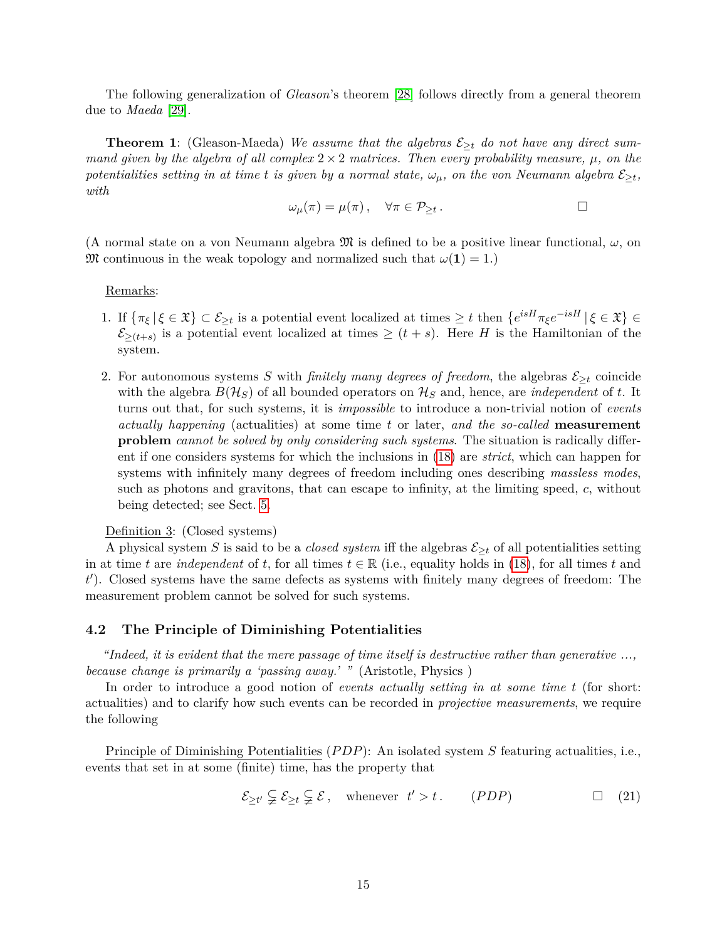The following generalization of *Gleason*'s theorem [\[28\]](#page-44-6) follows directly from a general theorem due to *Maeda* [\[29\]](#page-44-7).

**Theorem 1**: (Gleason-Maeda) *We assume that the algebras*  $\mathcal{E}_{\geq t}$  *do not have any direct summand given by the algebra of all complex*  $2 \times 2$  *matrices. Then every probability measure,*  $\mu$ *, on the potentialities setting in at time t is given by a normal state,*  $\omega_{\mu}$ *, on the von Neumann algebra*  $\mathcal{E}_{\geq t}$ *, with*

$$
\omega_{\mu}(\pi) = \mu(\pi) \,, \quad \forall \pi \in \mathcal{P}_{\geq t} \,.
$$

(A normal state on a von Neumann algebra  $\mathfrak{M}$  is defined to be a positive linear functional,  $\omega$ , on M continuous in the weak topology and normalized such that  $\omega(1) = 1$ .)

#### Remarks:

- 1. If  $\{\pi_{\xi} | \xi \in \mathfrak{X}\} \subset \mathcal{E}_{\geq t}$  is a potential event localized at times  $\geq t$  then  $\{e^{isH}\pi_{\xi}e^{-isH} | \xi \in \mathfrak{X}\}\in$  $\mathcal{E}_{\geq (t+s)}$  is a potential event localized at times  $\geq (t+s)$ . Here *H* is the Hamiltonian of the system.
- 2. For autonomous systems *S* with *finitely many degrees of freedom*, the algebras  $\mathcal{E}_{\geq t}$  coincide with the algebra  $B(\mathcal{H}_S)$  of all bounded operators on  $\mathcal{H}_S$  and, hence, are *independent* of *t*. It turns out that, for such systems, it is *impossible* to introduce a non-trivial notion of *events actually happening* (actualities) at some time *t* or later, *and the so-called* **measurement problem** *cannot be solved by only considering such systems*. The situation is radically different if one considers systems for which the inclusions in [\(18\)](#page-13-0) are *strict*, which can happen for systems with infinitely many degrees of freedom including ones describing *massless modes*, such as photons and gravitons, that can escape to infinity, at the limiting speed, *c*, without being detected; see Sect. [5.](#page-18-0)

## Definition 3: (Closed systems)

A physical system *S* is said to be a *closed system* iff the algebras  $\mathcal{E}_{\geq t}$  of all potentialities setting in at time *t* are *independent* of *t*, for all times  $t \in \mathbb{R}$  (i.e., equality holds in [\(18\)](#page-13-0), for all times *t* and *t* 0 ). Closed systems have the same defects as systems with finitely many degrees of freedom: The measurement problem cannot be solved for such systems.

## <span id="page-14-0"></span>**4.2 The Principle of Diminishing Potentialities**

*"Indeed, it is evident that the mere passage of time itself is destructive rather than generative ..., because change is primarily a 'passing away.' "* (Aristotle, Physics )

In order to introduce a good notion of *events actually setting in at some time t* (for short: actualities) and to clarify how such events can be recorded in *projective measurements*, we require the following

<span id="page-14-1"></span>Principle of Diminishing Potentialities (*P DP*): An isolated system *S* featuring actualities, i.e., events that set in at some (finite) time, has the property that

$$
\mathcal{E}_{\geq t'} \subsetneq \mathcal{E}_{\geq t} \subsetneq \mathcal{E}, \quad \text{whenever} \quad t' > t. \qquad (PDP) \qquad \Box \quad (21)
$$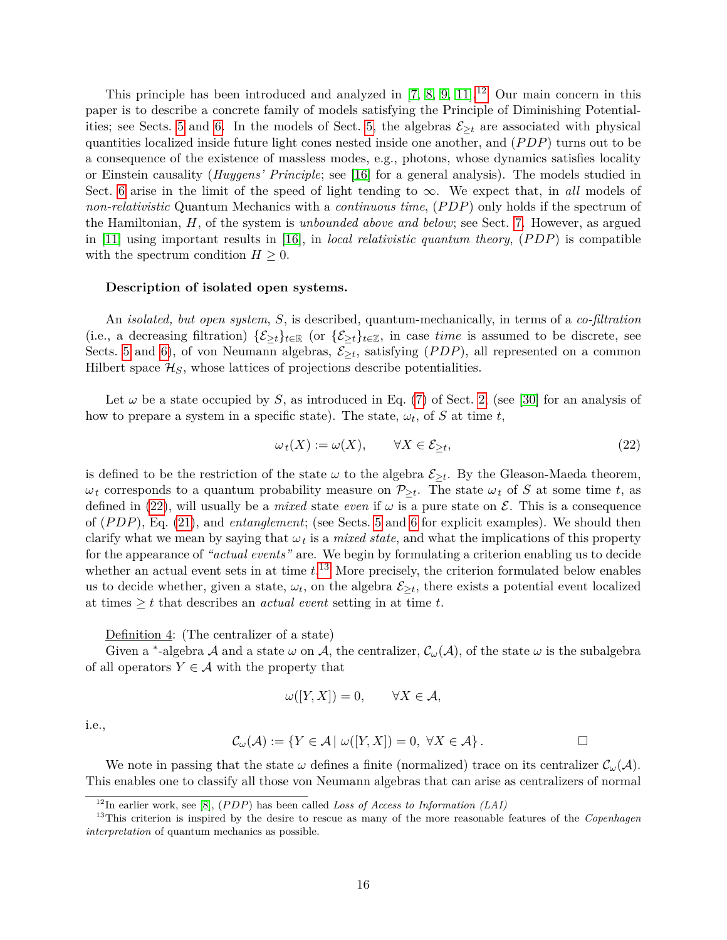This principle has been introduced and analyzed in  $[7, 8, 9, 11]$  $[7, 8, 9, 11]$  $[7, 8, 9, 11]$  $[7, 8, 9, 11]$ .<sup>[12](#page-15-0)</sup> Our main concern in this paper is to describe a concrete family of models satisfying the Principle of Diminishing Potential-ities; see Sects. [5](#page-18-0) and [6.](#page-22-0) In the models of Sect. [5,](#page-18-0) the algebras  $\mathcal{E}_{\geq t}$  are associated with physical quantities localized inside future light cones nested inside one another, and (*P DP*) turns out to be a consequence of the existence of massless modes, e.g., photons, whose dynamics satisfies locality or Einstein causality (*Huygens' Principle*; see [\[16\]](#page-43-10) for a general analysis). The models studied in Sect. [6](#page-22-0) arise in the limit of the speed of light tending to  $\infty$ . We expect that, in *all* models of *non-relativistic* Quantum Mechanics with a *continuous time*, (*P DP*) only holds if the spectrum of the Hamiltonian, *H*, of the system is *unbounded above and below*; see Sect. [7.](#page-37-0) However, as argued in [\[11\]](#page-43-5) using important results in [\[16\]](#page-43-10), in *local relativistic quantum theory*, (*P DP*) is compatible with the spectrum condition  $H \geq 0$ .

#### **Description of isolated open systems.**

An *isolated, but open system*, *S*, is described, quantum-mechanically, in terms of a *co-filtration* (i.e., a decreasing filtration)  $\{\mathcal{E}_{\geq t}\}_{t\in\mathbb{R}}$  (or  $\{\mathcal{E}_{\geq t}\}_{t\in\mathbb{Z}}$ , in case *time* is assumed to be discrete, see Sects. [5](#page-18-0) and [6\)](#page-22-0), of von Neumann algebras,  $\mathcal{E}_{\geq t}$ , satisfying  $(PDP)$ , all represented on a common Hilbert space  $\mathcal{H}_S$ , whose lattices of projections describe potentialities.

Let  $\omega$  be a state occupied by *S*, as introduced in Eq. [\(7\)](#page-5-2) of Sect. [2;](#page-3-0) (see [\[30\]](#page-44-8) for an analysis of how to prepare a system in a specific state). The state,  $\omega_t$ , of S at time t,

<span id="page-15-1"></span>
$$
\omega_t(X) := \omega(X), \qquad \forall X \in \mathcal{E}_{\geq t}, \tag{22}
$$

is defined to be the restriction of the state  $\omega$  to the algebra  $\mathcal{E}_{\geq t}$ . By the Gleason-Maeda theorem,  $\omega_t$  corresponds to a quantum probability measure on  $\mathcal{P}_{\geq t}$ . The state  $\omega_t$  of *S* at some time *t*, as defined in [\(22\)](#page-15-1), will usually be a *mixed* state *even* if  $\omega$  is a pure state on  $\mathcal{E}$ . This is a consequence of (*P DP*), Eq. [\(21\)](#page-14-1), and *entanglement*; (see Sects. [5](#page-18-0) and [6](#page-22-0) for explicit examples). We should then clarify what we mean by saying that  $\omega_t$  is a *mixed state*, and what the implications of this property for the appearance of *"actual events"* are. We begin by formulating a criterion enabling us to decide whether an actual event sets in at time *t*. [13](#page-15-2) More precisely, the criterion formulated below enables us to decide whether, given a state,  $\omega_t$ , on the algebra  $\mathcal{E}_{\geq t}$ , there exists a potential event localized at times  $\geq t$  that describes an *actual event* setting in at time t.

Definition 4: (The centralizer of a state)

Given a <sup>\*</sup>-algebra A and a state  $\omega$  on A, the centralizer,  $\mathcal{C}_{\omega}(\mathcal{A})$ , of the state  $\omega$  is the subalgebra of all operators  $Y \in \mathcal{A}$  with the property that

$$
\omega([Y, X]) = 0, \qquad \forall X \in \mathcal{A},
$$

i.e.,

$$
\mathcal{C}_{\omega}(\mathcal{A}) := \{ Y \in \mathcal{A} \mid \omega([Y, X]) = 0, \ \forall X \in \mathcal{A} \}.
$$

We note in passing that the state  $\omega$  defines a finite (normalized) trace on its centralizer  $\mathcal{C}_{\omega}(\mathcal{A})$ . This enables one to classify all those von Neumann algebras that can arise as centralizers of normal

<span id="page-15-2"></span><span id="page-15-0"></span><sup>12</sup>In earlier work, see [\[8\]](#page-43-2), (*P DP*) has been called *Loss of Access to Information (LAI)*

<sup>13</sup>This criterion is inspired by the desire to rescue as many of the more reasonable features of the *Copenhagen interpretation* of quantum mechanics as possible.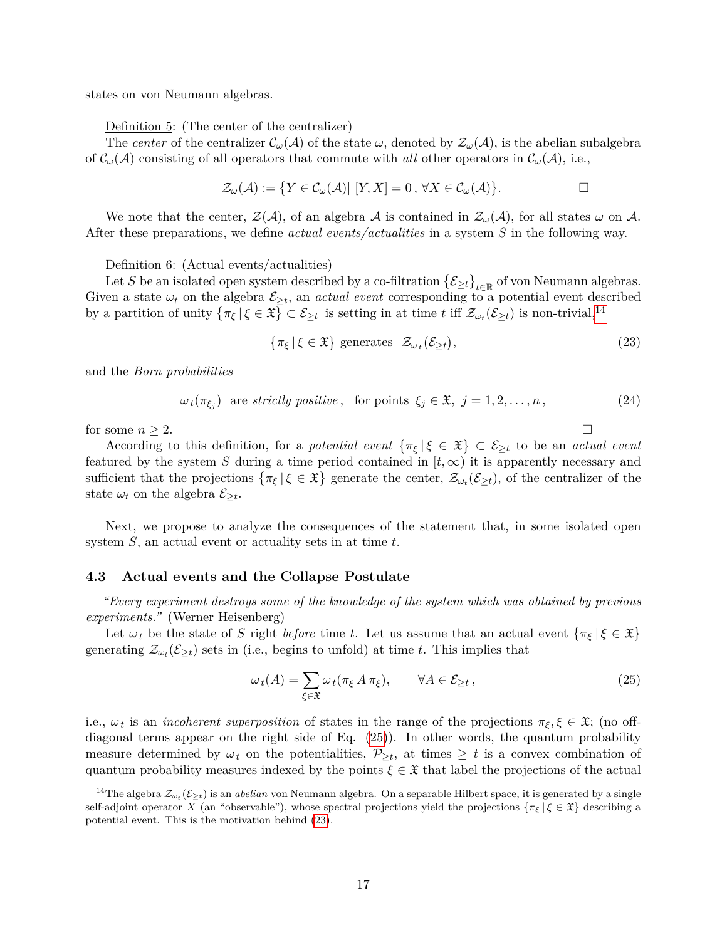states on von Neumann algebras.

Definition 5: (The center of the centralizer)

The *center* of the centralizer  $\mathcal{C}_{\omega}(\mathcal{A})$  of the state  $\omega$ , denoted by  $\mathcal{Z}_{\omega}(\mathcal{A})$ , is the abelian subalgebra of  $\mathcal{C}_{\omega}(\mathcal{A})$  consisting of all operators that commute with *all* other operators in  $\mathcal{C}_{\omega}(\mathcal{A})$ , i.e.,

$$
\mathcal{Z}_{\omega}(\mathcal{A}) := \{ Y \in \mathcal{C}_{\omega}(\mathcal{A}) | [Y, X] = 0, \forall X \in \mathcal{C}_{\omega}(\mathcal{A}) \}.
$$

We note that the center,  $\mathcal{Z}(\mathcal{A})$ , of an algebra  $\mathcal{A}$  is contained in  $\mathcal{Z}_{\omega}(\mathcal{A})$ , for all states  $\omega$  on  $\mathcal{A}$ . After these preparations, we define *actual events/actualities* in a system *S* in the following way.

#### Definition 6: (Actual events/actualities)

Let *S* be an isolated open system described by a co-filtration  $\{\mathcal{E}_{\geq t}\}_{t\in\mathbb{R}}$  of von Neumann algebras. Given a state  $\omega_t$  on the algebra  $\mathcal{E}_{\geq t}$ , an *actual event* corresponding to a potential event described by a partition of unity  $\{\pi_{\xi} | \xi \in \mathfrak{X}\} \subset \mathcal{E}_{\geq t}$  is setting in at time t iff  $\mathcal{Z}_{\omega_t}(\mathcal{E}_{\geq t})$  is non-trivial,<sup>[14](#page-16-1)</sup>

<span id="page-16-3"></span>
$$
\{\pi_{\xi} \mid \xi \in \mathfrak{X}\} \text{ generates } \mathcal{Z}_{\omega_t}(\mathcal{E}_{\geq t}), \tag{23}
$$

and the *Born probabilities*

<span id="page-16-4"></span> $\omega_t(\pi_{\xi_j})$  are *strictly positive*, for points  $\xi_j \in \mathfrak{X}, j = 1, 2, \ldots, n$ , (24)

for some  $n \geq 2$ .

According to this definition, for a *potential event*  $\{\pi_{\xi} | \xi \in \mathfrak{X}\}\subset \mathcal{E}_{\geq t}$  to be an *actual event* featured by the system *S* during a time period contained in  $[t, \infty)$  it is apparently necessary and sufficient that the projections  $\{\pi_{\xi} | \xi \in \mathfrak{X}\}$  generate the center,  $\mathcal{Z}_{\omega_t}(\mathcal{E}_{\geq t})$ , of the centralizer of the state  $\omega_t$  on the algebra  $\mathcal{E}_{\geq t}$ .

Next, we propose to analyze the consequences of the statement that, in some isolated open system *S*, an actual event or actuality sets in at time *t*.

## <span id="page-16-0"></span>**4.3 Actual events and the Collapse Postulate**

*"Every experiment destroys some of the knowledge of the system which was obtained by previous experiments."* (Werner Heisenberg)

Let  $\omega_t$  be the state of *S* right *before* time *t*. Let us assume that an actual event  $\{\pi_{\xi} | \xi \in \mathfrak{X}\}\$ generating  $\mathcal{Z}_{\omega_t}(\mathcal{E}_{\geq t})$  sets in (i.e., begins to unfold) at time *t*. This implies that

<span id="page-16-2"></span>
$$
\omega_t(A) = \sum_{\xi \in \mathfrak{X}} \omega_t(\pi_{\xi} A \pi_{\xi}), \qquad \forall A \in \mathcal{E}_{\geq t}, \tag{25}
$$

i.e.,  $\omega_t$  is an *incoherent superposition* of states in the range of the projections  $\pi_{\xi}, \xi \in \mathfrak{X}$ ; (no offdiagonal terms appear on the right side of Eq. [\(25\)](#page-16-2)). In other words, the quantum probability measure determined by  $\omega_t$  on the potentialities,  $\mathcal{P}_{\geq t}$ , at times  $\geq t$  is a convex combination of quantum probability measures indexed by the points  $\xi \in \mathfrak{X}$  that label the projections of the actual

<span id="page-16-1"></span><sup>&</sup>lt;sup>14</sup>The algebra  $\mathcal{Z}_{\omega_t}(\mathcal{E}_{\geq t})$  is an *abelian* von Neumann algebra. On a separable Hilbert space, it is generated by a single self-adjoint operator *X* (an "observable"), whose spectral projections yield the projections  $\{\pi_{\xi} | \xi \in \mathfrak{X}\}\)$  describing a potential event. This is the motivation behind [\(23\)](#page-16-3).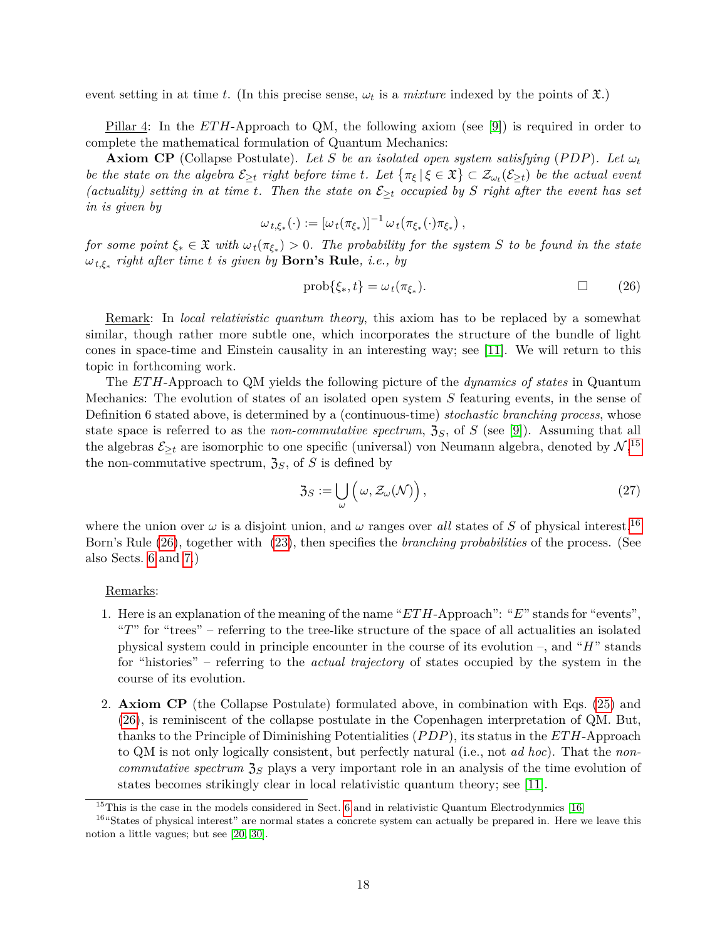event setting in at time *t*. (In this precise sense,  $\omega_t$  is a *mixture* indexed by the points of  $\mathfrak{X}$ .)

Pillar 4: In the *ET H*-Approach to QM, the following axiom (see [\[9\]](#page-43-3)) is required in order to complete the mathematical formulation of Quantum Mechanics:

**Axiom CP** (Collapse Postulate). Let *S* be an isolated open system satisfying (PDP). Let  $\omega_t$ *be the state on the algebra*  $\mathcal{E}_{\geq t}$  *right before time t. Let*  $\{\pi_{\xi} | \xi \in \mathfrak{X}\} \subset \mathcal{Z}_{\omega_t}(\mathcal{E}_{\geq t})$  *be the actual event (actuality) setting in at time t. Then the state on*  $\mathcal{E}_{\geq t}$  *occupied by S right after the event has set in is given by*

$$
\omega_{t,\xi_*}(\cdot) := [\omega_t(\pi_{\xi_*})]^{-1} \omega_t(\pi_{\xi_*}(\cdot)\pi_{\xi_*})
$$

<span id="page-17-2"></span>*for some point*  $\xi_* \in \mathfrak{X}$  *with*  $\omega_t(\pi_{\xi_*}) > 0$ . The probability for the system *S* to be found in the state *ωt,ξ*<sup>∗</sup> *right after time t is given by* **Born's Rule***, i.e., by*

$$
\text{prob}\{\xi_*, t\} = \omega_t(\pi_{\xi_*}).\tag{26}
$$

*,*

Remark: In *local relativistic quantum theory*, this axiom has to be replaced by a somewhat similar, though rather more subtle one, which incorporates the structure of the bundle of light cones in space-time and Einstein causality in an interesting way; see [\[11\]](#page-43-5). We will return to this topic in forthcoming work.

The *ET H*-Approach to QM yields the following picture of the *dynamics of states* in Quantum Mechanics: The evolution of states of an isolated open system *S* featuring events, in the sense of Definition 6 stated above, is determined by a (continuous-time) *stochastic branching process*, whose state space is referred to as the *non-commutative spectrum*,  $\mathfrak{Z}_S$ , of *S* (see [\[9\]](#page-43-3)). Assuming that all the algebras  $\mathcal{E}_{\geq t}$  are isomorphic to one specific (universal) von Neumann algebra, denoted by  $\mathcal{N},^{15}$  $\mathcal{N},^{15}$  $\mathcal{N},^{15}$ the non-commutative spectrum,  $\mathfrak{Z}_S$ , of *S* is defined by

<span id="page-17-3"></span>
$$
\mathfrak{Z}_S := \bigcup_{\omega} \left( \omega, \mathcal{Z}_{\omega}(\mathcal{N}) \right),\tag{27}
$$

where the union over  $\omega$  is a disjoint union, and  $\omega$  ranges over *all* states of *S* of physical interest.<sup>[16](#page-17-1)</sup> Born's Rule [\(26\)](#page-17-2), together with [\(23\)](#page-16-3), then specifies the *branching probabilities* of the process. (See also Sects. [6](#page-22-0) and [7.](#page-37-0))

#### Remarks:

- 1. Here is an explanation of the meaning of the name "*ET H*-Approach": "*E*" stands for "events", "*T*" for "trees" – referring to the tree-like structure of the space of all actualities an isolated physical system could in principle encounter in the course of its evolution –, and "*H*" stands for "histories" – referring to the *actual trajectory* of states occupied by the system in the course of its evolution.
- 2. **Axiom CP** (the Collapse Postulate) formulated above, in combination with Eqs. [\(25\)](#page-16-2) and [\(26\)](#page-17-2), is reminiscent of the collapse postulate in the Copenhagen interpretation of QM. But, thanks to the Principle of Diminishing Potentialities (*P DP*), its status in the *ET H*-Approach to QM is not only logically consistent, but perfectly natural (i.e., not *ad hoc*). That the *noncommutative spectrum*  $\mathfrak{Z}_S$  plays a very important role in an analysis of the time evolution of states becomes strikingly clear in local relativistic quantum theory; see [\[11\]](#page-43-5).

<span id="page-17-1"></span><span id="page-17-0"></span> $15$ This is the case in the models considered in Sect. [6](#page-22-0) and in relativistic Quantum Electrodynmics [\[16\]](#page-43-10)

<sup>&</sup>lt;sup>16"</sup>States of physical interest" are normal states a concrete system can actually be prepared in. Here we leave this notion a little vagues; but see [\[20,](#page-43-14) [30\]](#page-44-8).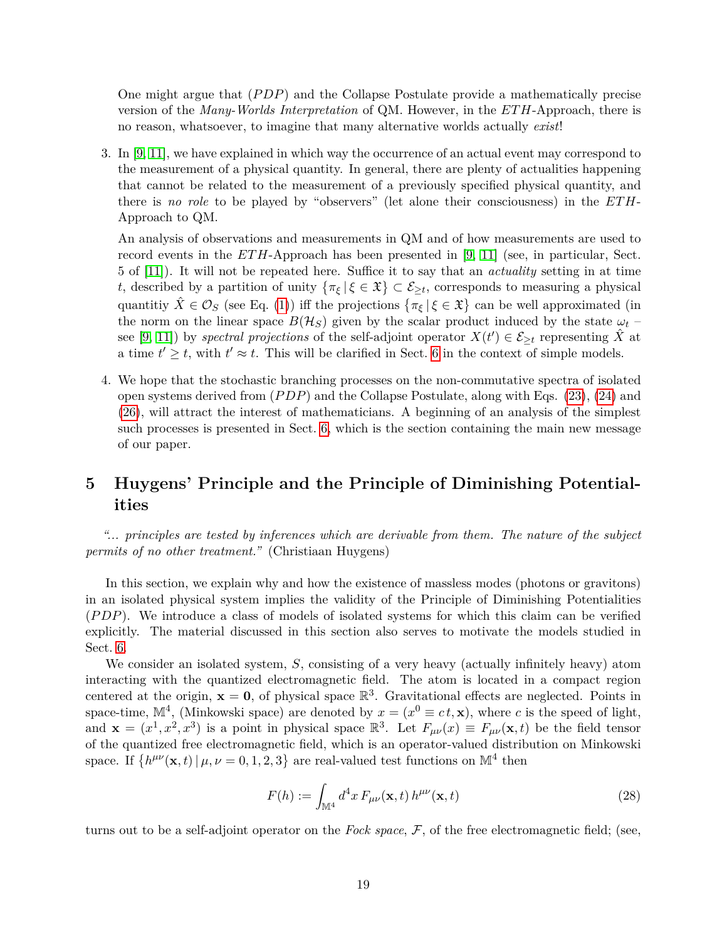One might argue that (*P DP*) and the Collapse Postulate provide a mathematically precise version of the *Many-Worlds Interpretation* of QM. However, in the *ET H*-Approach, there is no reason, whatsoever, to imagine that many alternative worlds actually *exist*!

3. In [\[9,](#page-43-3) [11\]](#page-43-5), we have explained in which way the occurrence of an actual event may correspond to the measurement of a physical quantity. In general, there are plenty of actualities happening that cannot be related to the measurement of a previously specified physical quantity, and there is *no role* to be played by "observers" (let alone their consciousness) in the *ET H*-Approach to QM.

An analysis of observations and measurements in QM and of how measurements are used to record events in the *ETH*-Approach has been presented in [\[9,](#page-43-3) [11\]](#page-43-5) (see, in particular, Sect. 5 of [\[11\]](#page-43-5)). It will not be repeated here. Suffice it to say that an *actuality* setting in at time *t*, described by a partition of unity  $\{\pi_{\xi} | \xi \in \mathfrak{X}\}\subset \mathcal{E}_{\geq t}$ , corresponds to measuring a physical quantitiy  $\hat{X} \in \mathcal{O}_S$  (see Eq. [\(1\)](#page-4-4)) iff the projections  $\{\pi_{\xi} | \xi \in \mathfrak{X}\}\)$  can be well approximated (in the norm on the linear space  $B(\mathcal{H}_S)$  given by the scalar product induced by the state  $\omega_t$ see [\[9,](#page-43-3) [11\]](#page-43-5)) by *spectral projections* of the self-adjoint operator  $X(t') \in \mathcal{E}_{\geq t}$  representing  $\hat{X}$  at a time  $t' \geq t$ , with  $t' \approx t$ . This will be clarified in Sect. [6](#page-22-0) in the context of simple models.

4. We hope that the stochastic branching processes on the non-commutative spectra of isolated open systems derived from (*P DP*) and the Collapse Postulate, along with Eqs. [\(23\)](#page-16-3), [\(24\)](#page-16-4) and [\(26\)](#page-17-2), will attract the interest of mathematicians. A beginning of an analysis of the simplest such processes is presented in Sect. [6,](#page-22-0) which is the section containing the main new message of our paper.

# <span id="page-18-0"></span>**5 Huygens' Principle and the Principle of Diminishing Potentialities**

*"... principles are tested by inferences which are derivable from them. The nature of the subject permits of no other treatment."* (Christiaan Huygens)

In this section, we explain why and how the existence of massless modes (photons or gravitons) in an isolated physical system implies the validity of the Principle of Diminishing Potentialities (*P DP*). We introduce a class of models of isolated systems for which this claim can be verified explicitly. The material discussed in this section also serves to motivate the models studied in Sect. [6.](#page-22-0)

We consider an isolated system, *S*, consisting of a very heavy (actually infinitely heavy) atom interacting with the quantized electromagnetic field. The atom is located in a compact region centered at the origin,  $x = 0$ , of physical space  $\mathbb{R}^3$ . Gravitational effects are neglected. Points in space-time,  $\mathbb{M}^4$ , (Minkowski space) are denoted by  $x = (x^0 \equiv ct, \mathbf{x})$ , where *c* is the speed of light, and  $\mathbf{x} = (x^1, x^2, x^3)$  is a point in physical space  $\mathbb{R}^3$ . Let  $F_{\mu\nu}(x) \equiv F_{\mu\nu}(\mathbf{x}, t)$  be the field tensor of the quantized free electromagnetic field, which is an operator-valued distribution on Minkowski space. If  $\{h^{\mu\nu}(\mathbf{x},t) | \mu, \nu = 0,1,2,3\}$  are real-valued test functions on  $\mathbb{M}^4$  then

$$
F(h) := \int_{\mathbb{M}^4} d^4x \, F_{\mu\nu}(\mathbf{x}, t) \, h^{\mu\nu}(\mathbf{x}, t) \tag{28}
$$

turns out to be a self-adjoint operator on the *Fock space*, F, of the free electromagnetic field; (see,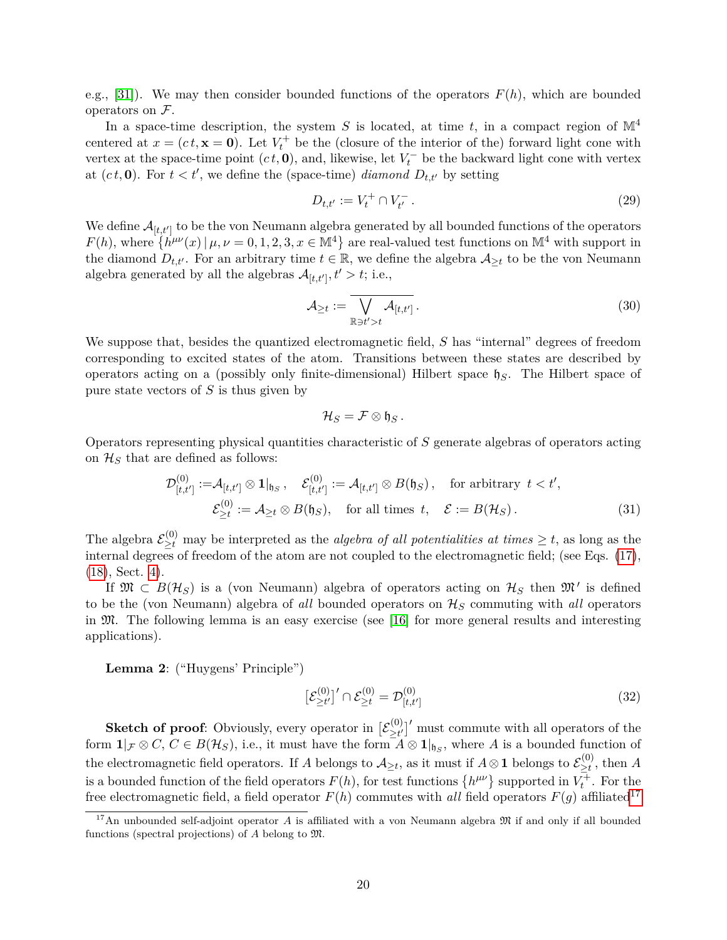e.g., [\[31\]](#page-44-9)). We may then consider bounded functions of the operators *F*(*h*), which are bounded operators on  $\mathcal{F}.$ 

In a space-time description, the system  $S$  is located, at time  $t$ , in a compact region of  $\mathbb{M}^4$ centered at  $x = (ct, \mathbf{x} = \mathbf{0})$ . Let  $V_t^+$  be the (closure of the interior of the) forward light cone with vertex at the space-time point  $(ct, 0)$ , and, likewise, let  $V_t^-$  be the backward light cone with vertex at  $(ct, 0)$ . For  $t < t'$ , we define the (space-time) *diamond*  $D_{t,t'}$  by setting

$$
D_{t,t'} := V_t^+ \cap V_{t'}^- \,. \tag{29}
$$

We define  $\mathcal{A}_{[t,t']}$  to be the von Neumann algebra generated by all bounded functions of the operators  $F(h)$ , where  $\{h^{\mu\nu}(x) \mid \mu, \nu = 0, 1, 2, 3, x \in \mathbb{M}^4\}$  are real-valued test functions on  $\mathbb{M}^4$  with support in the diamond  $D_{t,t'}$ . For an arbitrary time  $t \in \mathbb{R}$ , we define the algebra  $\mathcal{A}_{\geq t}$  to be the von Neumann algebra generated by all the algebras  $\mathcal{A}_{[t,t']}$ ,  $t' > t$ ; i.e.,

<span id="page-19-1"></span>
$$
\mathcal{A}_{\geq t} := \overline{\bigvee_{\mathbb{R}\ni t'\gt t} \mathcal{A}_{[t,t']}}.
$$
\n(30)

We suppose that, besides the quantized electromagnetic field, *S* has "internal" degrees of freedom corresponding to excited states of the atom. Transitions between these states are described by operators acting on a (possibly only finite-dimensional) Hilbert space h*S*. The Hilbert space of pure state vectors of *S* is thus given by

$$
\mathcal{H}_S=\mathcal{F}\otimes\mathfrak{h}_S.
$$

Operators representing physical quantities characteristic of *S* generate algebras of operators acting on  $\mathcal{H}_S$  that are defined as follows:

$$
\mathcal{D}_{[t,t']}^{(0)} := \mathcal{A}_{[t,t']} \otimes \mathbf{1}|_{\mathfrak{h}_S}, \quad \mathcal{E}_{[t,t']}^{(0)} := \mathcal{A}_{[t,t']} \otimes B(\mathfrak{h}_S), \quad \text{for arbitrary } t < t',
$$

$$
\mathcal{E}_{\geq t}^{(0)} := \mathcal{A}_{\geq t} \otimes B(\mathfrak{h}_S), \quad \text{for all times } t, \quad \mathcal{E} := B(\mathcal{H}_S). \tag{31}
$$

The algebra  $\mathcal{E}_{\geq t}^{(0)}$  may be interpreted as the *algebra of all potentialities at times*  $\geq t$ , as long as the internal degrees of freedom of the atom are not coupled to the electromagnetic field; (see Eqs. [\(17\)](#page-13-1), [\(18\)](#page-13-0), Sect. [4\)](#page-12-0).

If  $\mathfrak{M} \subset B(\mathcal{H}_S)$  is a (von Neumann) algebra of operators acting on  $\mathcal{H}_S$  then  $\mathfrak{M}'$  is defined to be the (von Neumann) algebra of *all* bounded operators on H*<sup>S</sup>* commuting with *all* operators in M. The following lemma is an easy exercise (see [\[16\]](#page-43-10) for more general results and interesting applications).

**Lemma 2**: ("Huygens' Principle")

$$
\left[\mathcal{E}_{\geq t'}^{(0)}\right]'\cap \mathcal{E}_{\geq t}^{(0)} = \mathcal{D}_{[t,t']}^{(0)}\tag{32}
$$

**Sketch of proof**: Obviously, every operator in  $[\mathcal{E}^{(0)}_{>t'}]$  $\sum_{\substack{j=1 \ \text{odd}}}^{(0)}$  must commute with all operators of the form  $\mathbf{1}_{\mathcal{F}} \otimes C$ ,  $C \in B(\mathcal{H}_S)$ , i.e., it must have the form  $A \otimes \mathbf{1}_{\mathfrak{h}_S}$ , where A is a bounded function of the electromagnetic field operators. If *A* belongs to  $\mathcal{A}_{\geq t}$ , as it must if  $A \otimes \mathbf{1}$  belongs to  $\mathcal{E}_{\geq t}^{(0)}$  $\sum_{i=1}^{(0)}$ , then A is a bounded function of the field operators  $F(h)$ , for test functions  $\{h^{\mu\nu}\}\$  supported in  $V_t^{\pm}$ . For the free electromagnetic field, a field operator  $F(h)$  commutes with *all* field operators  $F(g)$  affiliated<sup>[17](#page-19-0)</sup>

<span id="page-19-0"></span><sup>&</sup>lt;sup>17</sup>An unbounded self-adjoint operator *A* is affiliated with a von Neumann algebra  $\mathfrak{M}$  if and only if all bounded functions (spectral projections) of *A* belong to M.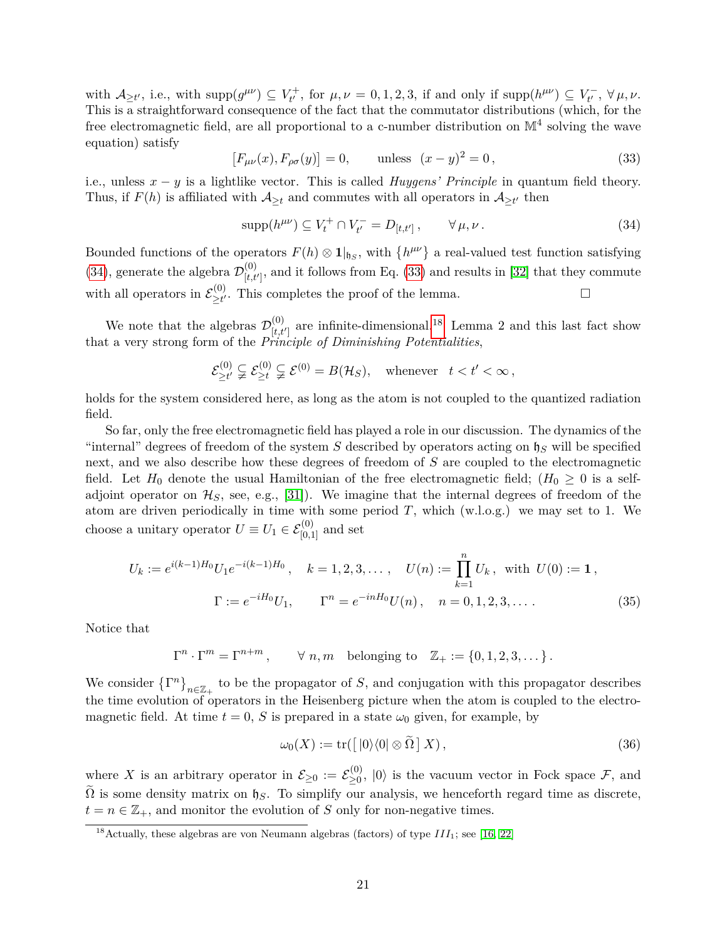with  $\mathcal{A}_{\geq t'}$ , i.e., with supp $(g^{\mu\nu}) \subseteq V_{t'}^+$  $t_t^{+}$ , for  $\mu, \nu = 0, 1, 2, 3$ , if and only if  $\text{supp}(h^{\mu\nu}) \subseteq V_{t'}^{-}$  $\tau_{t'}^-$ ,  $\forall$  μ, ν. This is a straightforward consequence of the fact that the commutator distributions (which, for the free electromagnetic field, are all proportional to a c-number distribution on  $\mathbb{M}^4$  solving the wave equation) satisfy

<span id="page-20-1"></span>
$$
[F_{\mu\nu}(x), F_{\rho\sigma}(y)] = 0, \qquad \text{unless} \ (x - y)^2 = 0,
$$
\n(33)

i.e., unless  $x - y$  is a lightlike vector. This is called *Huygens' Principle* in quantum field theory. Thus, if  $F(h)$  is affiliated with  $\mathcal{A}_{\geq t}$  and commutes with all operators in  $\mathcal{A}_{\geq t'}$  then

<span id="page-20-0"></span>
$$
supp(h^{\mu\nu}) \subseteq V_t^+ \cap V_{t'}^- = D_{[t,t']}\,, \qquad \forall \mu, \nu \,.
$$
 (34)

Bounded functions of the operators  $F(h) \otimes \mathbf{1}|_{\mathfrak{h}_S}$ , with  $\{h^{\mu\nu}\}\$ a real-valued test function satisfying [\(34\)](#page-20-0), generate the algebra  $\mathcal{D}_{H}^{(0)}$  $\mathcal{F}_{[t,t']}^{(0)}$ , and it follows from Eq. [\(33\)](#page-20-1) and results in [\[32\]](#page-44-10) that they commute with all operators in  $\mathcal{E}_{\geq t'}^{(0)}$  $\supseteq t$ <sup>(0)</sup>. This completes the proof of the lemma.  $□$ 

We note that the algebras  $\mathcal{D}_{H}^{(0)}$  $\binom{0}{[t,t']}$  are infinite-dimensional.<sup>[18](#page-20-2)</sup> Lemma 2 and this last fact show that a very strong form of the *Principle of Diminishing Potentialities*,

$$
\mathcal{E}_{\geq t'}^{(0)} \subsetneq \mathcal{E}_{\geq t}^{(0)} \subsetneq \mathcal{E}^{(0)} = B(\mathcal{H}_S), \quad \text{whenever} \quad t < t' < \infty \,,
$$

holds for the system considered here, as long as the atom is not coupled to the quantized radiation field.

So far, only the free electromagnetic field has played a role in our discussion. The dynamics of the "internal" degrees of freedom of the system *S* described by operators acting on  $\mathfrak{h}_S$  will be specified next, and we also describe how these degrees of freedom of *S* are coupled to the electromagnetic field. Let  $H_0$  denote the usual Hamiltonian of the free electromagnetic field;  $(H_0 \geq 0$  is a selfadjoint operator on  $\mathcal{H}_S$ , see, e.g., [\[31\]](#page-44-9)). We imagine that the internal degrees of freedom of the atom are driven periodically in time with some period  $T$ , which  $(w.l.o.g.)$  we may set to 1. We choose a unitary operator  $U \equiv U_1 \in \mathcal{E}_{[0,1]}^{(0)}$  and set

$$
U_k := e^{i(k-1)H_0} U_1 e^{-i(k-1)H_0}, \quad k = 1, 2, 3, \dots, \quad U(n) := \prod_{k=1}^n U_k, \text{ with } U(0) := \mathbf{1},
$$

$$
\Gamma := e^{-iH_0} U_1, \qquad \Gamma^n = e^{-inH_0} U(n), \quad n = 0, 1, 2, 3, \dots.
$$
 (35)

Notice that

 $\Gamma^n \cdot \Gamma^m = \Gamma^{n+m}$ ,  $\forall n, m$  belonging to  $\mathbb{Z}_+ := \{0, 1, 2, 3, \dots\}$ .

We consider  $\{\Gamma^n\}_{n\in\mathbb{Z}_+}$  to be the propagator of *S*, and conjugation with this propagator describes the time evolution of operators in the Heisenberg picture when the atom is coupled to the electromagnetic field. At time  $t = 0$ , *S* is prepared in a state  $\omega_0$  given, for example, by

<span id="page-20-3"></span>
$$
\omega_0(X) := \text{tr}([0] \setminus 0] \otimes \tilde{\Omega} \, X), \tag{36}
$$

where X is an arbitrary operator in  $\mathcal{E}_{\geq 0} := \mathcal{E}_{\geq 0}^{(0)}$  $\geq_0^{(0)}$ ,  $|0\rangle$  is the vacuum vector in Fock space  $\mathcal{F}$ , and  $\Omega$  is some density matrix on  $\mathfrak{h}_S$ . To simplify our analysis, we henceforth regard time as discrete,  $t = n \in \mathbb{Z}_+$ , and monitor the evolution of *S* only for non-negative times.

<span id="page-20-2"></span><sup>&</sup>lt;sup>18</sup>Actually, these algebras are von Neumann algebras (factors) of type  $III_1$ ; see [\[16,](#page-43-10) [22\]](#page-44-0)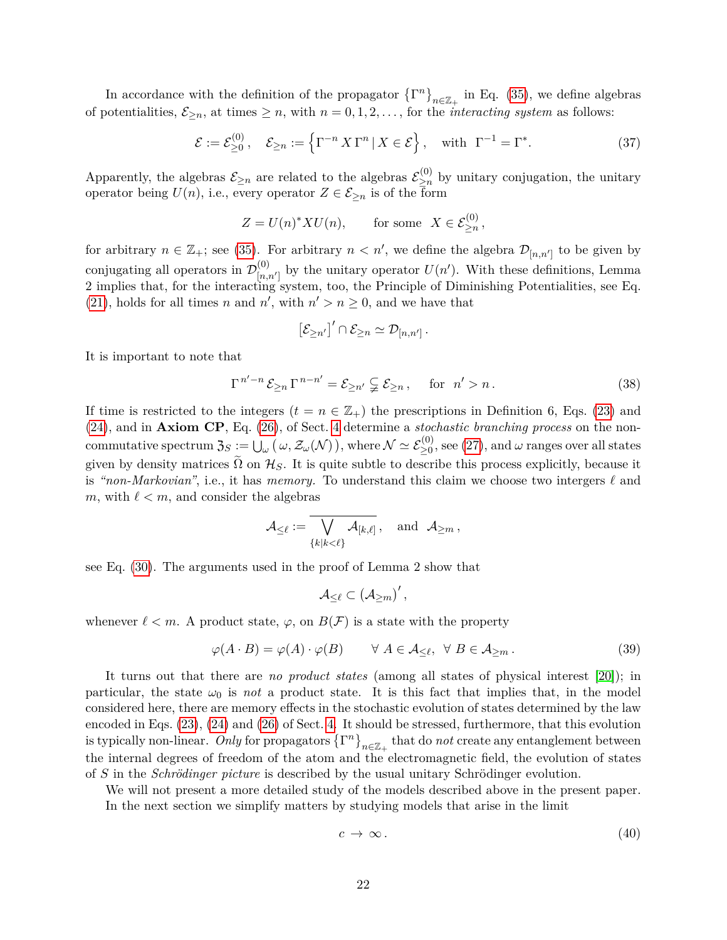In accordance with the definition of the propagator  $\{\Gamma^n\}_{n\in\mathbb{Z}_+}$  in Eq. [\(35\)](#page-20-3), we define algebras of potentialities,  $\mathcal{E}_{\geq n}$ , at times  $\geq n$ , with  $n = 0, 1, 2, \ldots$ , for the *interacting system* as follows:

<span id="page-21-2"></span>
$$
\mathcal{E} := \mathcal{E}_{\geq 0}^{(0)}, \quad \mathcal{E}_{\geq n} := \left\{ \Gamma^{-n} X \Gamma^n \, | \, X \in \mathcal{E} \right\}, \quad \text{with } \Gamma^{-1} = \Gamma^*.
$$
 (37)

Apparently, the algebras  $\mathcal{E}_{\geq n}$  are related to the algebras  $\mathcal{E}_{\geq n}^{(0)}$  $\sum_{n=1}^{\infty}$  by unitary conjugation, the unitary operator being  $U(n)$ , i.e., every operator  $Z \in \mathcal{E}_{\geq n}$  is of the form

$$
Z = U(n)^* X U(n), \qquad \text{for some} \ \ X \in \mathcal{E}_{\geq n}^{(0)},
$$

for arbitrary  $n \in \mathbb{Z}_+$ ; see [\(35\)](#page-20-3). For arbitrary  $n < n'$ , we define the algebra  $\mathcal{D}_{[n,n']}$  to be given by conjugating all operators in  $\mathcal{D}_{\vert n_{d}}^{(0)}$  $\binom{0}{[n,n']}$  by the unitary operator  $U(n')$ . With these definitions, Lemma 2 implies that, for the interacting system, too, the Principle of Diminishing Potentialities, see Eq. [\(21\)](#page-14-1), holds for all times *n* and *n'*, with  $n' > n \geq 0$ , and we have that

$$
\left[\mathcal{E}_{\geq n'}\right]' \cap \mathcal{E}_{\geq n} \simeq \mathcal{D}_{[n,n']}.
$$

It is important to note that

$$
\Gamma^{n'-n}\mathcal{E}_{\geq n}\Gamma^{n-n'}=\mathcal{E}_{\geq n'}\subsetneq \mathcal{E}_{\geq n}\,,\quad\text{ for }\ n'>n\,.
$$
 (38)

If time is restricted to the integers  $(t = n \in \mathbb{Z}_+)$  the prescriptions in Definition 6, Eqs. [\(23\)](#page-16-3) and [\(24\)](#page-16-4), and in **Axiom CP**, Eq. [\(26\)](#page-17-2), of Sect. [4](#page-12-0) determine a *stochastic branching process* on the non- $\text{commutative spectrum } \mathfrak{Z}_S := \bigcup_{\omega} \big( \omega, \mathcal{Z}_{\omega}(\mathcal{N}) \big), \text{where } \mathcal{N} \simeq \mathcal{E}_{\geq 0}^{(0)}, \text{see (27)}, \text{and } \omega \text{ ranges over all states}$  $\text{commutative spectrum } \mathfrak{Z}_S := \bigcup_{\omega} \big( \omega, \mathcal{Z}_{\omega}(\mathcal{N}) \big), \text{where } \mathcal{N} \simeq \mathcal{E}_{\geq 0}^{(0)}, \text{see (27)}, \text{and } \omega \text{ ranges over all states}$  $\text{commutative spectrum } \mathfrak{Z}_S := \bigcup_{\omega} \big( \omega, \mathcal{Z}_{\omega}(\mathcal{N}) \big), \text{where } \mathcal{N} \simeq \mathcal{E}_{\geq 0}^{(0)}, \text{see (27)}, \text{and } \omega \text{ ranges over all states}$ given by density matrices  $\tilde{\Omega}$  on  $\mathcal{H}_S$ . It is quite subtle to describe this process explicitly, because it is *"non-Markovian"*, i.e., it has *memory*. To understand this claim we choose two intergers  $\ell$  and *m*, with  $\ell < m$ , and consider the algebras

$$
\mathcal{A}_{\leq \ell}:=\overline{\bigvee_{\{k\mid k<\ell\}}\mathcal{A}_{[k,\ell]}}\,,\quad\text{and}\;\;\mathcal{A}_{\geq m}\,,
$$

see Eq. [\(30\)](#page-19-1). The arguments used in the proof of Lemma 2 show that

$$
\mathcal{A}_{\leq \ell}\subset \left( \mathcal{A}_{\geq m}\right) ^{\prime },
$$

whenever  $\ell < m$ . A product state,  $\varphi$ , on  $B(F)$  is a state with the property

<span id="page-21-1"></span>
$$
\varphi(A \cdot B) = \varphi(A) \cdot \varphi(B) \qquad \forall A \in \mathcal{A}_{\leq \ell}, \ \forall B \in \mathcal{A}_{\geq m}.
$$
 (39)

It turns out that there are *no product states* (among all states of physical interest [\[20\]](#page-43-14)); in particular, the state  $\omega_0$  is *not* a product state. It is this fact that implies that, in the model considered here, there are memory effects in the stochastic evolution of states determined by the law encoded in Eqs. [\(23\)](#page-16-3), [\(24\)](#page-16-4) and [\(26\)](#page-17-2) of Sect. [4.](#page-12-0) It should be stressed, furthermore, that this evolution is typically non-linear. Only for propagators  $\{\Gamma^n\}_{n\in\mathbb{Z}_+}$  that do *not* create any entanglement between the internal degrees of freedom of the atom and the electromagnetic field, the evolution of states of *S* in the *Schrödinger picture* is described by the usual unitary Schrödinger evolution.

We will not present a more detailed study of the models described above in the present paper. In the next section we simplify matters by studying models that arise in the limit

<span id="page-21-0"></span>
$$
c \to \infty. \tag{40}
$$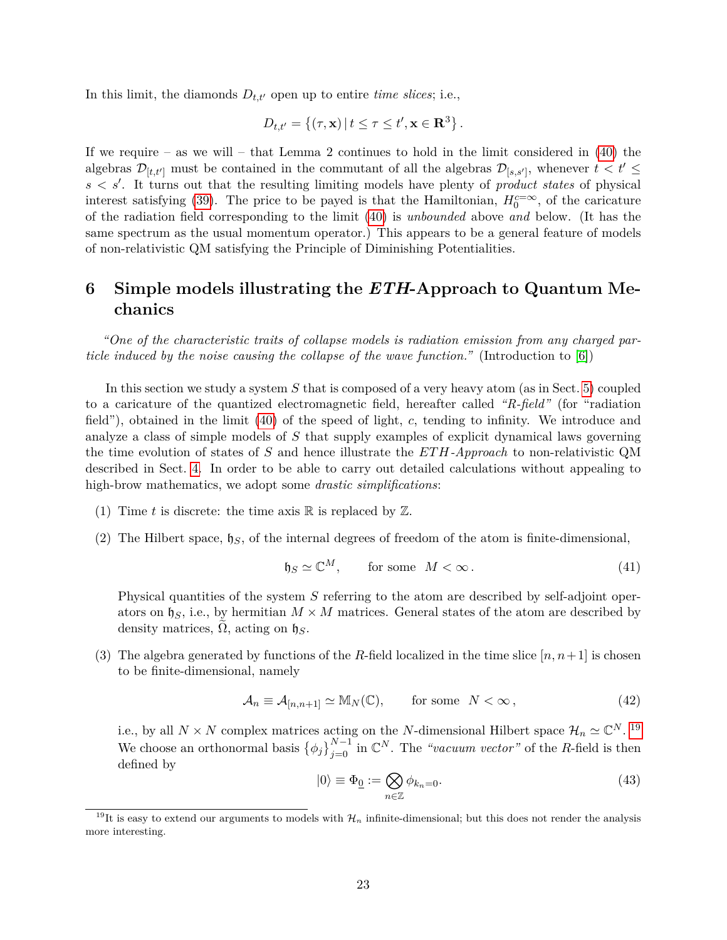In this limit, the diamonds  $D_{t,t'}$  open up to entire *time slices*; i.e.,

$$
D_{t,t'} = \{(\tau, \mathbf{x}) \mid t \leq \tau \leq t', \mathbf{x} \in \mathbf{R}^3\}.
$$

If we require – as we will – that Lemma 2 continues to hold in the limit considered in  $(40)$  the algebras  $\mathcal{D}_{[t,t']}$  must be contained in the commutant of all the algebras  $\mathcal{D}_{[s,s']}$ , whenever  $t < t' \leq$  $s < s'$ . It turns out that the resulting limiting models have plenty of *product states* of physical interest satisfying [\(39\)](#page-21-1). The price to be payed is that the Hamiltonian,  $H_0^{c=\infty}$ , of the caricature of the radiation field corresponding to the limit [\(40\)](#page-21-0) is *unbounded* above *and* below. (It has the same spectrum as the usual momentum operator.) This appears to be a general feature of models of non-relativistic QM satisfying the Principle of Diminishing Potentialities.

# <span id="page-22-0"></span>**6 Simple models illustrating the** *ETH***-Approach to Quantum Mechanics**

*"One of the characteristic traits of collapse models is radiation emission from any charged particle induced by the noise causing the collapse of the wave function."* (Introduction to [\[6\]](#page-43-0))

In this section we study a system *S* that is composed of a very heavy atom (as in Sect. [5\)](#page-18-0) coupled to a caricature of the quantized electromagnetic field, hereafter called *"R-field"* (for "radiation field"), obtained in the limit [\(40\)](#page-21-0) of the speed of light, *c*, tending to infinity. We introduce and analyze a class of simple models of *S* that supply examples of explicit dynamical laws governing the time evolution of states of *S* and hence illustrate the *ETH-Approach* to non-relativistic QM described in Sect. [4.](#page-12-0) In order to be able to carry out detailed calculations without appealing to high-brow mathematics, we adopt some *drastic simplifications*:

- (1) Time t is discrete: the time axis  $\mathbb R$  is replaced by  $\mathbb Z$ .
- (2) The Hilbert space,  $\mathfrak{h}_S$ , of the internal degrees of freedom of the atom is finite-dimensional,

$$
\mathfrak{h}_S \simeq \mathbb{C}^M, \qquad \text{for some} \quad M < \infty. \tag{41}
$$

Physical quantities of the system *S* referring to the atom are described by self-adjoint operators on  $\mathfrak{h}_S$ , i.e., by hermitian  $M \times M$  matrices. General states of the atom are described by density matrices,  $\Omega$ , acting on  $\mathfrak{h}_S$ .

(3) The algebra generated by functions of the *R*-field localized in the time slice  $[n, n+1]$  is chosen to be finite-dimensional, namely

<span id="page-22-3"></span>
$$
\mathcal{A}_n \equiv \mathcal{A}_{[n,n+1]} \simeq M_N(\mathbb{C}), \qquad \text{for some} \quad N < \infty \,, \tag{42}
$$

i.e., by all  $N \times N$  complex matrices acting on the *N*-dimensional Hilbert space  $\mathcal{H}_n \simeq \mathbb{C}^N$ . <sup>[19](#page-22-1)</sup> We choose an orthonormal basis  $\{\phi_j\}_{j=0}^{N-1}$  in  $\mathbb{C}^N$ . The *"vacuum vector"* of the *R*-field is then defined by

<span id="page-22-2"></span>
$$
|0\rangle \equiv \Phi_{\underline{0}} := \bigotimes_{n \in \mathbb{Z}} \phi_{k_n = 0}.
$$
\n(43)

<span id="page-22-1"></span><sup>&</sup>lt;sup>19</sup>It is easy to extend our arguments to models with  $\mathcal{H}_n$  infinite-dimensional; but this does not render the analysis more interesting.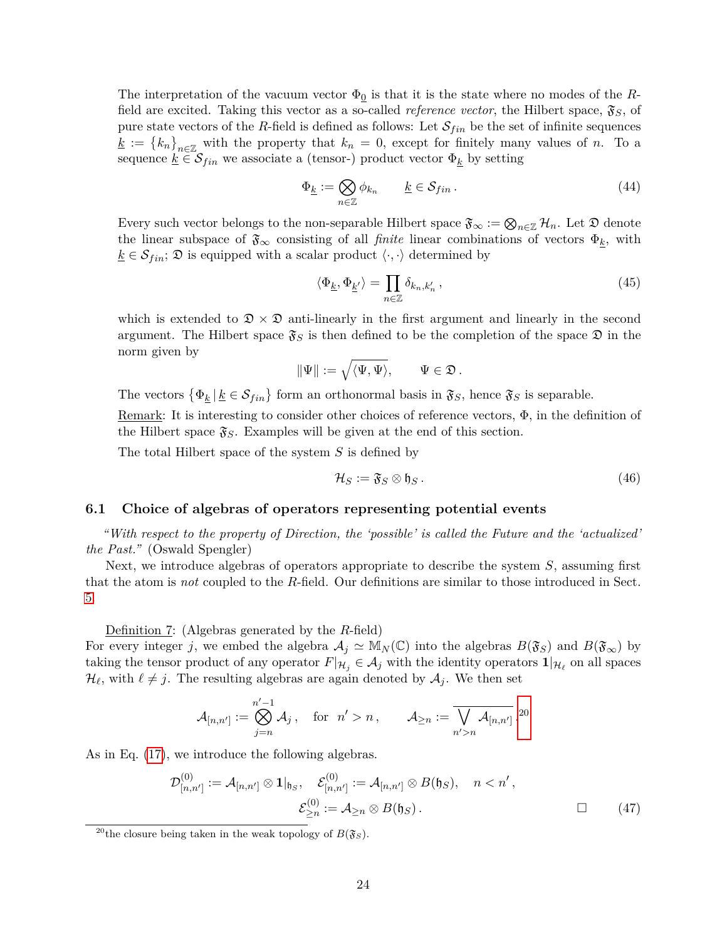The interpretation of the vacuum vector  $\Phi_0$  is that it is the state where no modes of the *R*field are excited. Taking this vector as a so-called *reference vector*, the Hilbert space,  $\mathfrak{F}_S$ , of pure state vectors of the *R*-field is defined as follows: Let  $\mathcal{S}_{fin}$  be the set of infinite sequences  $\underline{k} := \{k_n\}_{n \in \mathbb{Z}}$  with the property that  $k_n = 0$ , except for finitely many values of *n*. To a sequence  $\underline{k} \in \mathcal{S}_{fin}$  we associate a (tensor-) product vector  $\Phi_{\underline{k}}$  by setting

$$
\Phi_{\underline{k}} := \bigotimes_{n \in \mathbb{Z}} \phi_{k_n} \qquad \underline{k} \in \mathcal{S}_{fin} \,.
$$
\n(44)

Every such vector belongs to the non-separable Hilbert space  $\mathfrak{F}_{\infty} := \bigotimes_{n \in \mathbb{Z}} \mathcal{H}_n$ . Let  $\mathfrak{D}$  denote the linear subspace of  $\mathfrak{F}_{\infty}$  consisting of all *finite* linear combinations of vectors  $\Phi_k$ , with  $\underline{k} \in \mathcal{S}_{fin}$ ;  $\mathfrak{D}$  is equipped with a scalar product  $\langle \cdot, \cdot \rangle$  determined by

$$
\langle \Phi_{\underline{k}}, \Phi_{\underline{k}'} \rangle = \prod_{n \in \mathbb{Z}} \delta_{k_n, k'_n}, \qquad (45)
$$

which is extended to  $\mathcal{D} \times \mathcal{D}$  anti-linearly in the first argument and linearly in the second argument. The Hilbert space  $\mathfrak{F}_S$  is then defined to be the completion of the space  $\mathfrak{D}$  in the norm given by

$$
\|\Psi\|:=\sqrt{\langle\Psi,\Psi\rangle},\qquad\Psi\in\mathfrak{D}\,.
$$

The vectors  $\{\Phi_k | k \in \mathcal{S}_{fin}\}\$  form an orthonormal basis in  $\mathfrak{F}_S$ , hence  $\mathfrak{F}_S$  is separable.

Remark: It is interesting to consider other choices of reference vectors,  $\Phi$ , in the definition of the Hilbert space  $\mathfrak{F}_S$ . Examples will be given at the end of this section.

The total Hilbert space of the system *S* is defined by

<span id="page-23-2"></span>
$$
\mathcal{H}_S := \mathfrak{F}_S \otimes \mathfrak{h}_S \,. \tag{46}
$$

# <span id="page-23-0"></span>**6.1 Choice of algebras of operators representing potential events**

*"With respect to the property of Direction, the 'possible' is called the Future and the 'actualized' the Past."* (Oswald Spengler)

Next, we introduce algebras of operators appropriate to describe the system *S*, assuming first that the atom is *not* coupled to the *R*-field. Our definitions are similar to those introduced in Sect. [5.](#page-18-0)

Definition 7: (Algebras generated by the *R*-field)

For every integer *j*, we embed the algebra  $A_j \simeq M_N(\mathbb{C})$  into the algebras  $B(\mathfrak{F}_S)$  and  $B(\mathfrak{F}_\infty)$  by taking the tensor product of any operator  $F|_{\mathcal{H}_j} \in \mathcal{A}_j$  with the identity operators  $1|_{\mathcal{H}_\ell}$  on all spaces  $\mathcal{H}_{\ell}$ , with  $\ell \neq j$ . The resulting algebras are again denoted by  $\mathcal{A}_{j}$ . We then set

$$
\mathcal{A}_{[n,n']}:=\bigotimes_{j=n}^{n'-1}\mathcal{A}_j\,,\quad\text{for}\;\;n'>n\,,\qquad \mathcal{A}_{\geq n}:=\overline{\bigvee_{n'>n}\mathcal{A}_{[n,n']}}\,.^{20}
$$

As in Eq. [\(17\)](#page-13-1), we introduce the following algebras.

$$
\mathcal{D}_{[n,n']}^{(0)} := \mathcal{A}_{[n,n']} \otimes \mathbf{1}|_{\mathfrak{h}_S}, \quad \mathcal{E}_{[n,n']}^{(0)} := \mathcal{A}_{[n,n']} \otimes B(\mathfrak{h}_S), \quad n < n',
$$
\n
$$
\mathcal{E}_{\geq n}^{(0)} := \mathcal{A}_{\geq n} \otimes B(\mathfrak{h}_S).
$$
\n
$$
\Box \qquad (47)
$$

<span id="page-23-1"></span><sup>&</sup>lt;sup>20</sup>the closure being taken in the weak topology of  $B(\mathfrak{F}_S)$ .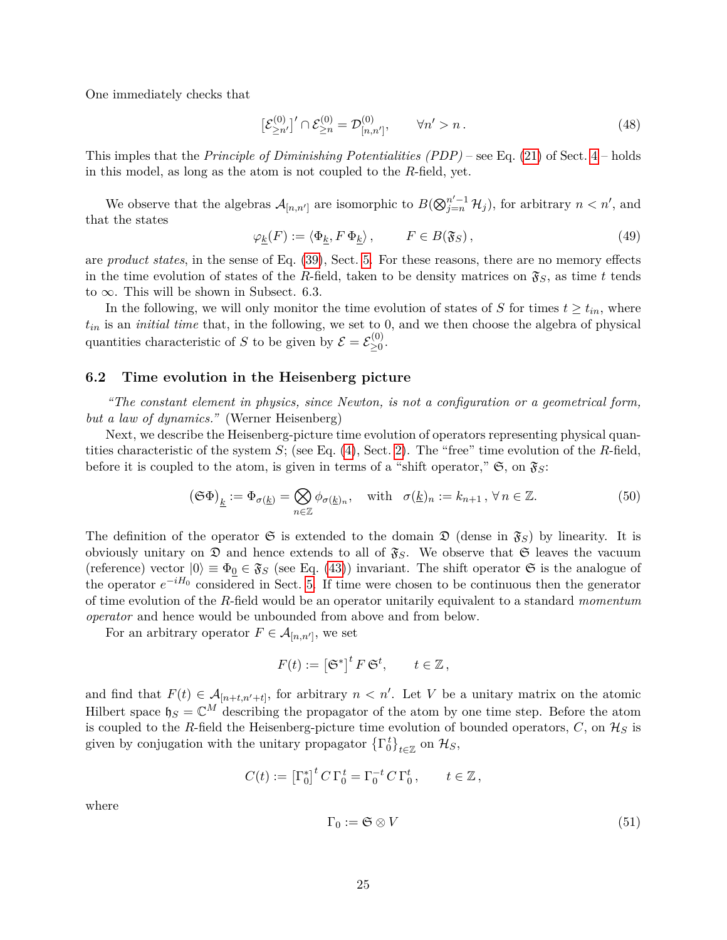One immediately checks that

<span id="page-24-1"></span>
$$
\left[\mathcal{E}_{\geq n'}^{(0)}\right]'\cap \mathcal{E}_{\geq n}^{(0)} = \mathcal{D}_{[n,n']}^{(0)}, \qquad \forall n' > n. \tag{48}
$$

This imples that the *Principle of Diminishing Potentialities (PDP)* – see Eq. [\(21\)](#page-14-1) of Sect. [4](#page-12-0) – holds in this model, as long as the atom is not coupled to the *R*-field, yet.

We observe that the algebras  $\mathcal{A}_{[n,n']}$  are isomorphic to  $B(\bigotimes_{j=n}^{n'-1} \mathcal{H}_j)$ , for arbitrary  $n < n'$ , and that the states

$$
\varphi_{\underline{k}}(F) := \langle \Phi_{\underline{k}}, F \, \Phi_{\underline{k}} \rangle \,, \qquad F \in B(\mathfrak{F}_S) \,, \tag{49}
$$

are *product states*, in the sense of Eq. [\(39\)](#page-21-1), Sect. [5.](#page-18-0) For these reasons, there are no memory effects in the time evolution of states of the *R*-field, taken to be density matrices on  $\mathfrak{F}_S$ , as time *t* tends to  $\infty$ . This will be shown in Subsect. 6.3.

In the following, we will only monitor the time evolution of states of *S* for times  $t \geq t_{in}$ , where  $t_{in}$  is an *initial time* that, in the following, we set to 0, and we then choose the algebra of physical quantities characteristic of *S* to be given by  $\mathcal{E} = \mathcal{E}_{\geq 0}^{(0)}$ ≥0 .

## <span id="page-24-0"></span>**6.2 Time evolution in the Heisenberg picture**

*"The constant element in physics, since Newton, is not a configuration or a geometrical form, but a law of dynamics."* (Werner Heisenberg)

Next, we describe the Heisenberg-picture time evolution of operators representing physical quantities characteristic of the system *S*; (see Eq. [\(4\)](#page-4-2), Sect. [2\)](#page-3-0). The "free" time evolution of the *R*-field, before it is coupled to the atom, is given in terms of a "shift operator,"  $\mathfrak{S}$ , on  $\mathfrak{F}_S$ :

$$
\left(\mathfrak{S}\Phi\right)_{\underline{k}} := \Phi_{\sigma(\underline{k})} = \bigotimes_{n \in \mathbb{Z}} \phi_{\sigma(\underline{k})_n}, \quad \text{with} \quad \sigma(\underline{k})_n := k_{n+1}, \forall n \in \mathbb{Z}.\tag{50}
$$

The definition of the operator  $\mathfrak{S}$  is extended to the domain  $\mathfrak{D}$  (dense in  $\mathfrak{F}_S$ ) by linearity. It is obviously unitary on  $\mathfrak D$  and hence extends to all of  $\mathfrak F_S$ . We observe that  $\mathfrak S$  leaves the vacuum (reference) vector  $|0\rangle \equiv \Phi_0 \in \mathfrak{F}_S$  (see Eq. [\(43\)](#page-22-2)) invariant. The shift operator  $\mathfrak{S}$  is the analogue of the operator *e* <sup>−</sup>*iH*<sup>0</sup> considered in Sect. [5.](#page-18-0) If time were chosen to be continuous then the generator of time evolution of the *R*-field would be an operator unitarily equivalent to a standard *momentum operator* and hence would be unbounded from above and from below.

For an arbitrary operator  $F \in \mathcal{A}_{[n,n']}$ , we set

where

$$
F(t) := \left[\mathfrak{S}^*\right]^t F \, \mathfrak{S}^t, \qquad t \in \mathbb{Z},
$$

and find that  $F(t) \in \mathcal{A}_{[n+t,n'+t]}$ , for arbitrary  $n \leq n'$ . Let V be a unitary matrix on the atomic Hilbert space  $\mathfrak{h}_S = \mathbb{C}^M$  describing the propagator of the atom by one time step. Before the atom is coupled to the *R*-field the Heisenberg-picture time evolution of bounded operators,  $C$ , on  $\mathcal{H}_S$  is given by conjugation with the unitary propagator  $\left\{\Gamma_0^t\right\}_{t\in\mathbb{Z}}$  on  $\mathcal{H}_S$ ,

$$
C(t) := \left[\Gamma_0^*\right]^t C \Gamma_0^t = \Gamma_0^{-t} C \Gamma_0^t, \qquad t \in \mathbb{Z},
$$
  

$$
\Gamma_0 := \mathfrak{S} \otimes V \tag{51}
$$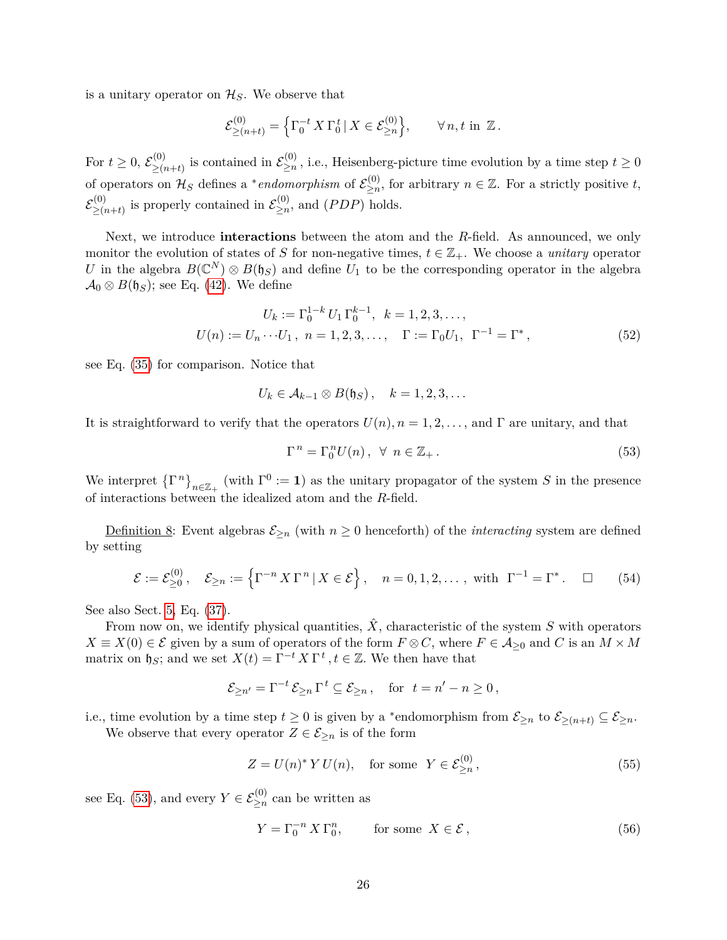is a unitary operator on  $\mathcal{H}_S$ . We observe that

$$
\mathcal{E}^{(0)}_{\geq (n+t)} = \left\{ \Gamma_0^{-t} X \Gamma_0^t \, | \, X \in \mathcal{E}^{(0)}_{\geq n} \right\}, \qquad \forall \, n, t \, \text{in } \mathbb{Z} \, .
$$

For  $t \geq 0, \, \mathcal{E}^{(0)}_{\geq 0}$  $\sum_{n=1}^{\infty}$  (0) is contained in  $\mathcal{E}_{\geq n}^{(0)}$  $\sum_{n=1}^{\infty}$ , i.e., Heisenberg-picture time evolution by a time step  $t \geq 0$ of operators on  $\mathcal{H}_S$  defines a <sup>\*</sup>*endomorphism* of  $\mathcal{E}_{\geq n}^{(0)}$  $\sum_{n=1}^{(0)}$ , for arbitrary  $n \in \mathbb{Z}$ . For a strictly positive *t*,  $\mathcal{E}^{(0)}_{>\alpha}$  $\sum_{n=1}^{(0)} (n+1)$  is properly contained in  $\mathcal{E}_{\geq n}^{(0)}$  $\sum_{n=1}^{\infty}$  and  $(PDP)$  holds.

Next, we introduce **interactions** between the atom and the *R*-field. As announced, we only monitor the evolution of states of *S* for non-negative times,  $t \in \mathbb{Z}_+$ . We choose a *unitary* operator *U* in the algebra  $B(\mathbb{C}^N) \otimes B(\mathfrak{h}_S)$  and define  $U_1$  to be the corresponding operator in the algebra  $\mathcal{A}_0 \otimes B(\mathfrak{h}_S)$ ; see Eq. [\(42\)](#page-22-3). We define

$$
U_k := \Gamma_0^{1-k} U_1 \Gamma_0^{k-1}, \quad k = 1, 2, 3, \dots,
$$
  

$$
U(n) := U_n \cdots U_1, \quad n = 1, 2, 3, \dots, \quad \Gamma := \Gamma_0 U_1, \quad \Gamma^{-1} = \Gamma^*,
$$
 (52)

see Eq. [\(35\)](#page-20-3) for comparison. Notice that

$$
U_k \in \mathcal{A}_{k-1} \otimes B(\mathfrak{h}_S), \quad k = 1, 2, 3, \dots
$$

It is straightforward to verify that the operators  $U(n)$ ,  $n = 1, 2, \ldots$ , and  $\Gamma$  are unitary, and that

<span id="page-25-3"></span><span id="page-25-0"></span>
$$
\Gamma^n = \Gamma_0^n U(n), \ \forall \ n \in \mathbb{Z}_+ \,. \tag{53}
$$

We interpret  $\{\Gamma^n\}_{n\in\mathbb{Z}_+}$  (with  $\Gamma^0:=1$ ) as the unitary propagator of the system *S* in the presence of interactions between the idealized atom and the *R*-field.

Definition 8: Event algebras  $\mathcal{E}_{\geq n}$  (with  $n \geq 0$  henceforth) of the *interacting* system are defined by setting

<span id="page-25-1"></span>
$$
\mathcal{E} := \mathcal{E}_{\geq 0}^{(0)}, \quad \mathcal{E}_{\geq n} := \left\{ \Gamma^{-n} X \Gamma^n \, | \, X \in \mathcal{E} \right\}, \quad n = 0, 1, 2, \dots, \text{ with } \Gamma^{-1} = \Gamma^*.
$$

See also Sect. [5,](#page-18-0) Eq. [\(37\)](#page-21-2).

From now on, we identify physical quantities,  $\hat{X}$ , characteristic of the system *S* with operators  $X \equiv X(0) \in \mathcal{E}$  given by a sum of operators of the form  $F \otimes C$ , where  $F \in \mathcal{A}_{\geq 0}$  and *C* is an  $M \times M$ matrix on  $\mathfrak{h}_S$ ; and we set  $X(t) = \Gamma^{-t} X \Gamma^t$ ,  $t \in \mathbb{Z}$ . We then have that

$$
\mathcal{E}_{\geq n'} = \Gamma^{-t}\,\mathcal{E}_{\geq n}\,\Gamma^{\,t}\subseteq \mathcal{E}_{\geq n}\,,\quad\text{for}\;\; t = n'-n\geq 0\,,
$$

i.e., time evolution by a time step  $t \geq 0$  is given by a \*endomorphism from  $\mathcal{E}_{\geq n}$  to  $\mathcal{E}_{\geq (n+t)} \subseteq \mathcal{E}_{\geq n}$ .

We observe that every operator  $Z \in \mathcal{E}_{\geq n}$  is of the form

<span id="page-25-2"></span>
$$
Z = U(n)^* Y U(n), \quad \text{for some} \ \ Y \in \mathcal{E}_{\geq n}^{(0)}, \tag{55}
$$

see Eq. [\(53\)](#page-25-0), and every  $Y \in \mathcal{E}_{\geq n}^{(0)}$  can be written as

$$
Y = \Gamma_0^{-n} X \Gamma_0^n, \qquad \text{for some } X \in \mathcal{E}, \tag{56}
$$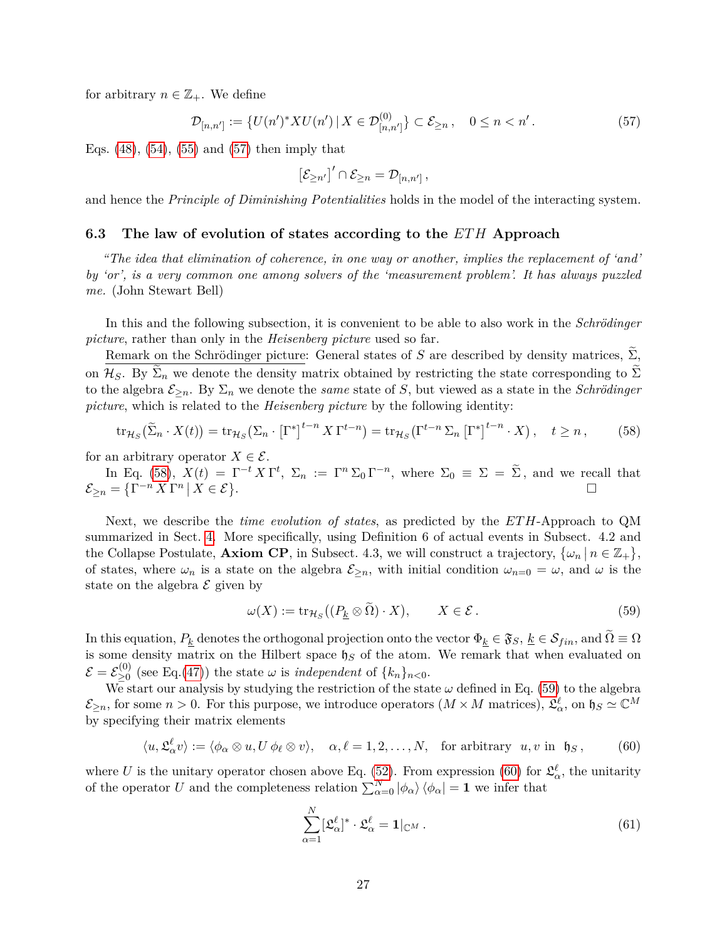for arbitrary  $n \in \mathbb{Z}_+$ . We define

<span id="page-26-1"></span>
$$
\mathcal{D}_{[n,n']} := \{ U(n')^* X U(n') \, | \, X \in \mathcal{D}_{[n,n']}^{(0)} \} \subset \mathcal{E}_{\geq n} \,, \quad 0 \leq n < n' \,. \tag{57}
$$

Eqs.  $(48)$ ,  $(54)$ ,  $(55)$  and  $(57)$  then imply that

<span id="page-26-2"></span>
$$
\left[\mathcal{E}_{\geq n'}\right]' \cap \mathcal{E}_{\geq n} = \mathcal{D}_{[n,n']} \,,
$$

and hence the *Principle of Diminishing Potentialities* holds in the model of the interacting system.

## <span id="page-26-0"></span>**6.3 The law of evolution of states according to the** *ET H* **Approach**

*"The idea that elimination of coherence, in one way or another, implies the replacement of 'and' by 'or', is a very common one among solvers of the 'measurement problem'. It has always puzzled me.* (John Stewart Bell)

In this and the following subsection, it is convenient to be able to also work in the *Schrödinger picture*, rather than only in the *Heisenberg picture* used so far.

Remark on the Schrödinger picture: General states of *S* are described by density matrices,  $\widetilde{\Sigma}$ , on  $\mathcal{H}_S$ . By  $\Sigma_n$  we denote the density matrix obtained by restricting the state corresponding to  $\Sigma$ to the algebra  $\mathcal{E}_{\geq n}$ . By  $\Sigma_n$  we denote the *same* state of *S*, but viewed as a state in the *Schrödinger picture*, which is related to the *Heisenberg picture* by the following identity:

$$
\operatorname{tr}_{\mathcal{H}_S}(\tilde{\Sigma}_n \cdot X(t)) = \operatorname{tr}_{\mathcal{H}_S}(\Sigma_n \cdot \left[\Gamma^*\right]^{t-n} X \Gamma^{t-n}) = \operatorname{tr}_{\mathcal{H}_S}(\Gamma^{t-n} \Sigma_n \left[\Gamma^*\right]^{t-n} \cdot X), \quad t \ge n, \tag{58}
$$

for an arbitrary operator  $X \in \mathcal{E}$ .

In Eq. [\(58\)](#page-26-2),  $X(t) = \Gamma^{-t} X \Gamma^{t}$ ,  $\Sigma_n := \Gamma^{n} \Sigma_0 \Gamma^{-n}$ , where  $\Sigma_0 = \Sigma = \widetilde{\Sigma}$ , and we recall that  $\mathcal{E}_{\geq n} = \left\{ \Gamma^{-n} X \Gamma^n \, \middle| \, X \in \mathcal{E} \right\}$ . В последните поставите на селото на селото на селото на селото на селото на селото на селото на селото на се<br>Селото на селото на селото на селото на селото на селото на селото на селото на селото на селото на селото на

Next, we describe the *time evolution of states*, as predicted by the *ET H*-Approach to QM summarized in Sect. [4.](#page-12-0) More specifically, using Definition 6 of actual events in Subsect. 4.2 and the Collapse Postulate, **Axiom CP**, in Subsect. 4.3, we will construct a trajectory,  $\{\omega_n | n \in \mathbb{Z}_+\}$ , of states, where  $\omega_n$  is a state on the algebra  $\mathcal{E}_{\geq n}$ , with initial condition  $\omega_{n=0} = \omega$ , and  $\omega$  is the state on the algebra  $\mathcal E$  given by

<span id="page-26-3"></span>
$$
\omega(X) := \text{tr}_{\mathcal{H}_S}((P_{\underline{k}} \otimes \Omega) \cdot X), \qquad X \in \mathcal{E}.
$$
\n
$$
(59)
$$

In this equation,  $P_k$  denotes the orthogonal projection onto the vector  $\Phi_k \in \mathfrak{F}_S$ ,  $\underline{k} \in \mathcal{S}_{fin}$ , and  $\widetilde{\Omega} \equiv \Omega$ is some density matrix on the Hilbert space  $\mathfrak{h}_S$  of the atom. We remark that when evaluated on  $\mathcal{E} = \mathcal{E}_{\geq 0}^{(0)}$  $\sum_{n=0}^{\infty}$  (see Eq.[\(47\)](#page-23-2)) the state  $\omega$  is *independent* of  $\{k_n\}_{n\leq 0}$ .

We start our analysis by studying the restriction of the state  $\omega$  defined in Eq. [\(59\)](#page-26-3) to the algebra  $\mathcal{E}_{\geq n}$ , for some  $n > 0$ . For this purpose, we introduce operators  $(M \times M \text{ matrices}), \, \mathfrak{L}_{\alpha}^{\ell}$ , on  $\mathfrak{h}_S \simeq \mathbb{C}^M$ by specifying their matrix elements

<span id="page-26-4"></span>
$$
\langle u, \mathfrak{L}_{\alpha}^{\ell} v \rangle := \langle \phi_{\alpha} \otimes u, U \phi_{\ell} \otimes v \rangle, \quad \alpha, \ell = 1, 2, \dots, N, \quad \text{for arbitrary} \ \ u, v \text{ in } \mathfrak{h}_{S}, \tag{60}
$$

where *U* is the unitary operator chosen above Eq. [\(52\)](#page-25-3). From expression [\(60\)](#page-26-4) for  $\mathfrak{L}^{\ell}_{\alpha}$ , the unitarity of the operator *U* and the completeness relation  $\sum_{\alpha=0}^{N} |\phi_{\alpha}\rangle \langle \phi_{\alpha}| = 1$  we infer that

$$
\sum_{\alpha=1}^{N} [\mathfrak{L}_{\alpha}^{\ell}]^* \cdot \mathfrak{L}_{\alpha}^{\ell} = \mathbf{1}|_{\mathbb{C}^M}.
$$
\n(61)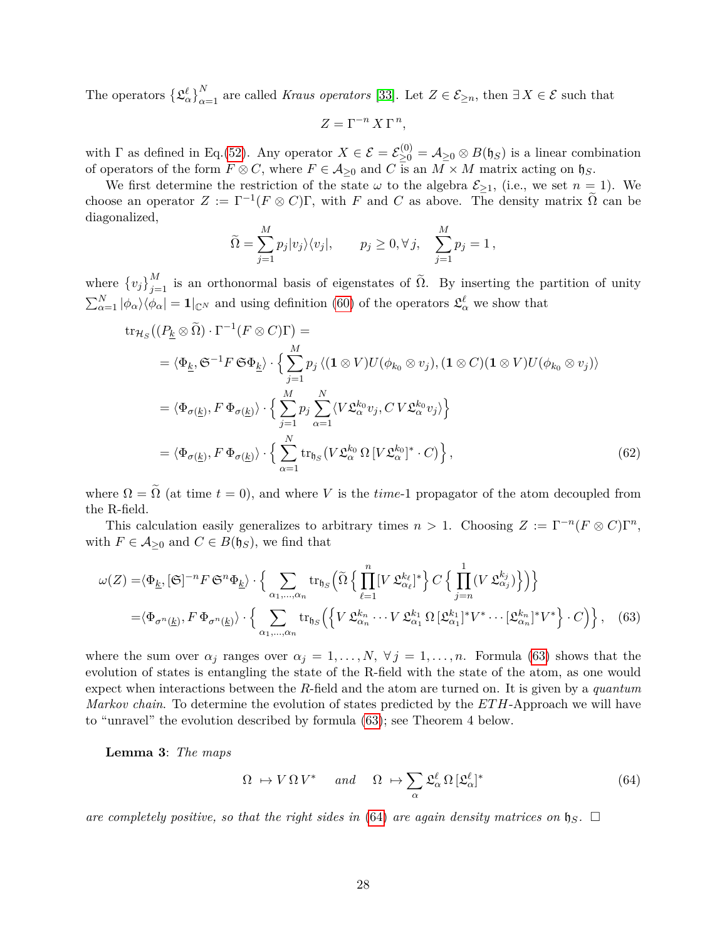The operators  $\{\mathfrak{L}_{\alpha}^{\ell}\}_{\alpha=1}^{N}$  are called *Kraus operators* [\[33\]](#page-44-11). Let  $Z \in \mathcal{E}_{\geq n}$ , then  $\exists X \in \mathcal{E}$  such that

<span id="page-27-2"></span>
$$
Z = \Gamma^{-n} X \Gamma^n,
$$

with  $\Gamma$  as defined in Eq.[\(52\)](#page-25-3). Any operator  $X \in \mathcal{E} = \mathcal{E}_{\geq 0}^{(0)} = \mathcal{A}_{\geq 0} \otimes B(\mathfrak{h}_{S})$  is a linear combination of operators of the form  $F \otimes C$ , where  $F \in \mathcal{A}_{\geq 0}$  and  $C$  is an  $M \times M$  matrix acting on  $\mathfrak{h}_S$ .

We first determine the restriction of the state  $\omega$  to the algebra  $\mathcal{E}_{\geq 1}$ , (i.e., we set  $n = 1$ ). We choose an operator  $Z := \Gamma^{-1}(F \otimes C)\Gamma$ , with *F* and *C* as above. The density matrix  $\tilde{\Omega}$  can be diagonalized,

$$
\widetilde{\Omega} = \sum_{j=1}^{M} p_j |v_j\rangle\langle v_j|, \qquad p_j \ge 0, \forall j, \quad \sum_{j=1}^{M} p_j = 1,
$$

where  $\{v_j\}_{j=1}^M$  is an orthonormal basis of eigenstates of  $\tilde{\Omega}$ . By inserting the partition of unity  $\sum_{\alpha=1}^{N} |\phi_{\alpha}\rangle\langle\phi_{\alpha}| = 1 |_{\mathbb{C}^{N}}$  and using definition [\(60\)](#page-26-4) of the operators  $\mathfrak{L}^{\ell}_{\alpha}$  we show that

$$
\operatorname{tr}_{\mathcal{H}_{S}}\left((P_{\underline{k}}\otimes\widetilde{\Omega})\cdot\Gamma^{-1}(F\otimes C)\Gamma\right) =
$$
\n
$$
= \langle\Phi_{\underline{k}},\mathfrak{S}^{-1}F\mathfrak{S}\Phi_{\underline{k}}\rangle\cdot\left\{\sum_{j=1}^{M}p_{j}\langle(\mathbf{1}\otimes V)U(\phi_{k_{0}}\otimes v_{j}),(\mathbf{1}\otimes C)(\mathbf{1}\otimes V)U(\phi_{k_{0}}\otimes v_{j})\rangle\right\}
$$
\n
$$
= \langle\Phi_{\sigma(\underline{k})},F\,\Phi_{\sigma(\underline{k})}\rangle\cdot\left\{\sum_{j=1}^{M}p_{j}\sum_{\alpha=1}^{N}\langle V\mathfrak{L}_{\alpha}^{k_{0}}v_{j},CV\mathfrak{L}_{\alpha}^{k_{0}}v_{j}\rangle\right\}
$$
\n
$$
= \langle\Phi_{\sigma(\underline{k})},F\,\Phi_{\sigma(\underline{k})}\rangle\cdot\left\{\sum_{\alpha=1}^{N}\operatorname{tr}_{\mathfrak{h}_{S}}\left(V\mathfrak{L}_{\alpha}^{k_{0}}\,\Omega\,[V\mathfrak{L}_{\alpha}^{k_{0}}]^{*}\cdot C\right)\right\},\tag{62}
$$

where  $\Omega = \tilde{\Omega}$  (at time  $t = 0$ ), and where *V* is the *time*-1 propagator of the atom decoupled from the R-field.

This calculation easily generalizes to arbitrary times  $n > 1$ . Choosing  $Z := \Gamma^{-n}(F \otimes C)\Gamma^{n}$ , with  $F \in \mathcal{A}_{\geq 0}$  and  $C \in B(\mathfrak{h}_S)$ , we find that

$$
\omega(Z) = \langle \Phi_{\underline{k}}, [\mathfrak{S}]^{-n} F \mathfrak{S}^{n} \Phi_{\underline{k}} \rangle \cdot \Big\{ \sum_{\alpha_1, \dots, \alpha_n} \text{tr}_{\mathfrak{h}_S} \Big( \tilde{\Omega} \Big\{ \prod_{\ell=1}^n [V \mathfrak{L}_{\alpha_\ell}^{k_\ell}]^* \Big\} C \Big\{ \prod_{j=n}^1 (V \mathfrak{L}_{\alpha_j}^{k_j}) \Big\} \Big) \Big\}
$$
  
=  $\langle \Phi_{\sigma^n(\underline{k})}, F \Phi_{\sigma^n(\underline{k})} \rangle \cdot \Big\{ \sum_{\alpha_1, \dots, \alpha_n} \text{tr}_{\mathfrak{h}_S} \Big( \Big\{ V \mathfrak{L}_{\alpha_n}^{k_n} \cdots V \mathfrak{L}_{\alpha_1}^{k_1} \Omega \big[ \mathfrak{L}_{\alpha_1}^{k_1} \big]^* V^* \cdots \big[ \mathfrak{L}_{\alpha_n}^{k_n} \big]^* V^* \Big\} \cdot C \Big) \Big\}, \quad (63)$ 

where the sum over  $\alpha_j$  ranges over  $\alpha_j = 1, \ldots, N$ ,  $\forall j = 1, \ldots, n$ . Formula [\(63\)](#page-27-0) shows that the evolution of states is entangling the state of the R-field with the state of the atom, as one would expect when interactions between the *R*-field and the atom are turned on. It is given by a *quantum Markov chain*. To determine the evolution of states predicted by the *ET H*-Approach we will have to "unravel" the evolution described by formula [\(63\)](#page-27-0); see Theorem 4 below.

**Lemma 3**: *The maps*

<span id="page-27-1"></span><span id="page-27-0"></span>
$$
\Omega \mapsto V \Omega V^* \quad \text{and} \quad \Omega \mapsto \sum_{\alpha} \mathfrak{L}_{\alpha}^{\ell} \Omega \left[ \mathfrak{L}_{\alpha}^{\ell} \right]^* \tag{64}
$$

*are completely positive, so that the right sides in* [\(64\)](#page-27-1) *are again density matrices on*  $\mathfrak{h}_S$ .  $\Box$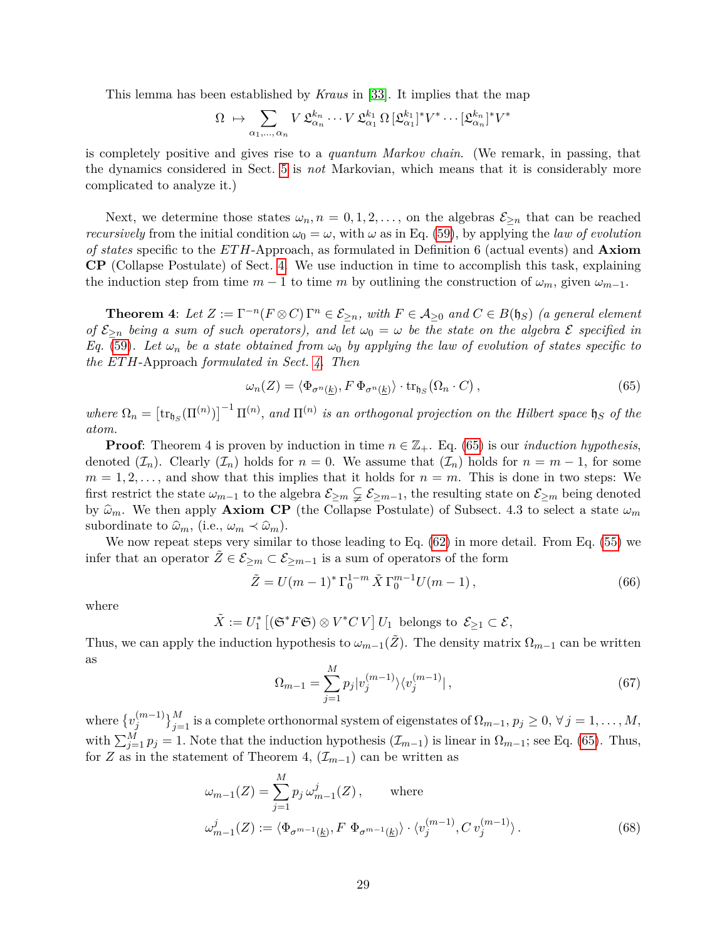This lemma has been established by *Kraus* in [\[33\]](#page-44-11). It implies that the map

$$
\Omega \ \mapsto \sum_{\alpha_1,\dots,\,\alpha_n} V \,\mathfrak{L}_{\alpha_n}^{k_n} \cdots V \,\mathfrak{L}_{\alpha_1}^{k_1} \Omega \, [\mathfrak{L}_{\alpha_1}^{k_1}]^* V^* \cdots [\mathfrak{L}_{\alpha_n}^{k_n}]^* V
$$

is completely positive and gives rise to a *quantum Markov chain*. (We remark, in passing, that the dynamics considered in Sect. [5](#page-18-0) is *not* Markovian, which means that it is considerably more complicated to analyze it.)

Next, we determine those states  $\omega_n$ ,  $n = 0, 1, 2, \ldots$ , on the algebras  $\mathcal{E}_{\geq n}$  that can be reached *recursively* from the initial condition  $\omega_0 = \omega$ , with  $\omega$  as in Eq. [\(59\)](#page-26-3), by applying the *law of evolution of states* specific to the *ET H*-Approach, as formulated in Definition 6 (actual events) and **Axiom CP** (Collapse Postulate) of Sect. [4.](#page-12-0) We use induction in time to accomplish this task, explaining the induction step from time  $m-1$  to time  $m$  by outlining the construction of  $\omega_m$ , given  $\omega_{m-1}$ .

**Theorem 4**: Let  $Z := \Gamma^{-n}(F \otimes C) \Gamma^n \in \mathcal{E}_{\geq n}$ , with  $F \in \mathcal{A}_{\geq 0}$  and  $C \in B(\mathfrak{h}_S)$  *(a general element of*  $\mathcal{E}_{\geq n}$  *being a sum of such operators), and let*  $\omega_0 = \omega$  *be the state on the algebra*  $\mathcal{E}$  *specified in Eq.* [\(59\)](#page-26-3). Let  $\omega_n$  be a state obtained from  $\omega_0$  by applying the law of evolution of states specific to *the ETH*-Approach *formulated in Sect. [4.](#page-12-0) Then*

<span id="page-28-0"></span>
$$
\omega_n(Z) = \langle \Phi_{\sigma^n(\underline{k})}, F \, \Phi_{\sigma^n(\underline{k})} \rangle \cdot \text{tr}_{\mathfrak{h}_S}(\Omega_n \cdot C) , \qquad (65)
$$

∗

 $where \Omega_n = [\text{tr}_{\mathfrak{h}_S}(\Pi^{(n)})]^{-1} \Pi^{(n)}, and \Pi^{(n)}$  is an orthogonal projection on the Hilbert space  $\mathfrak{h}_S$  of the *atom.*

**Proof**: Theorem 4 is proven by induction in time  $n \in \mathbb{Z}_+$ . Eq. [\(65\)](#page-28-0) is our *induction hypothesis*, denoted  $(\mathcal{I}_n)$ . Clearly  $(\mathcal{I}_n)$  holds for  $n = 0$ . We assume that  $(\mathcal{I}_n)$  holds for  $n = m - 1$ , for some  $m = 1, 2, \ldots$ , and show that this implies that it holds for  $n = m$ . This is done in two steps: We first restrict the state  $\omega_{m-1}$  to the algebra  $\mathcal{E}_{\geq m} \subsetneq \mathcal{E}_{\geq m-1}$ , the resulting state on  $\mathcal{E}_{\geq m}$  being denoted by  $\hat{\omega}_m$ . We then apply **Axiom CP** (the Collapse Postulate) of Subsect. 4.3 to select a state  $\omega_m$ subordinate to  $\hat{\omega}_m$ , (i.e.,  $\omega_m \prec \hat{\omega}_m$ ).

We now repeat steps very similar to those leading to Eq. [\(62\)](#page-27-2) in more detail. From Eq. [\(55\)](#page-25-2) we infer that an operator  $Z \in \mathcal{E}_{\geq m} \subset \mathcal{E}_{\geq m-1}$  is a sum of operators of the form

<span id="page-28-1"></span>
$$
\tilde{Z} = U(m-1)^* \Gamma_0^{1-m} \tilde{X} \Gamma_0^{m-1} U(m-1), \qquad (66)
$$

where

$$
\tilde{X} := U_1^* \left[ \left( \mathfrak{S}^* F \mathfrak{S} \right) \otimes V^* C \, V \right] U_1 \text{ belongs to } \mathcal{E}_{\geq 1} \subset \mathcal{E},
$$

Thus, we can apply the induction hypothesis to  $\omega_{m-1}(\tilde{Z})$ . The density matrix  $\Omega_{m-1}$  can be written as

<span id="page-28-2"></span>
$$
\Omega_{m-1} = \sum_{j=1}^{M} p_j |v_j^{(m-1)}\rangle \langle v_j^{(m-1)}| \,, \tag{67}
$$

where  $\{v_i^{(m-1)}\}$  ${j(M-1) \atop j}$  is a complete orthonormal system of eigenstates of  $\Omega_{m-1}, p_j \geq 0, \forall j = 1, ..., M,$ with  $\sum_{j=1}^{M} p_j = 1$ . Note that the induction hypothesis  $(\mathcal{I}_{m-1})$  is linear in  $\Omega_{m-1}$ ; see Eq. [\(65\)](#page-28-0). Thus, for *Z* as in the statement of Theorem 4,  $(\mathcal{I}_{m-1})$  can be written as

$$
\omega_{m-1}(Z) = \sum_{j=1}^{M} p_j \omega_{m-1}^j(Z), \quad \text{where}
$$
  

$$
\omega_{m-1}^j(Z) := \langle \Phi_{\sigma^{m-1}(\underline{k})}, F \Phi_{\sigma^{m-1}(\underline{k})} \rangle \cdot \langle v_j^{(m-1)}, C \, v_j^{(m-1)} \rangle.
$$
 (68)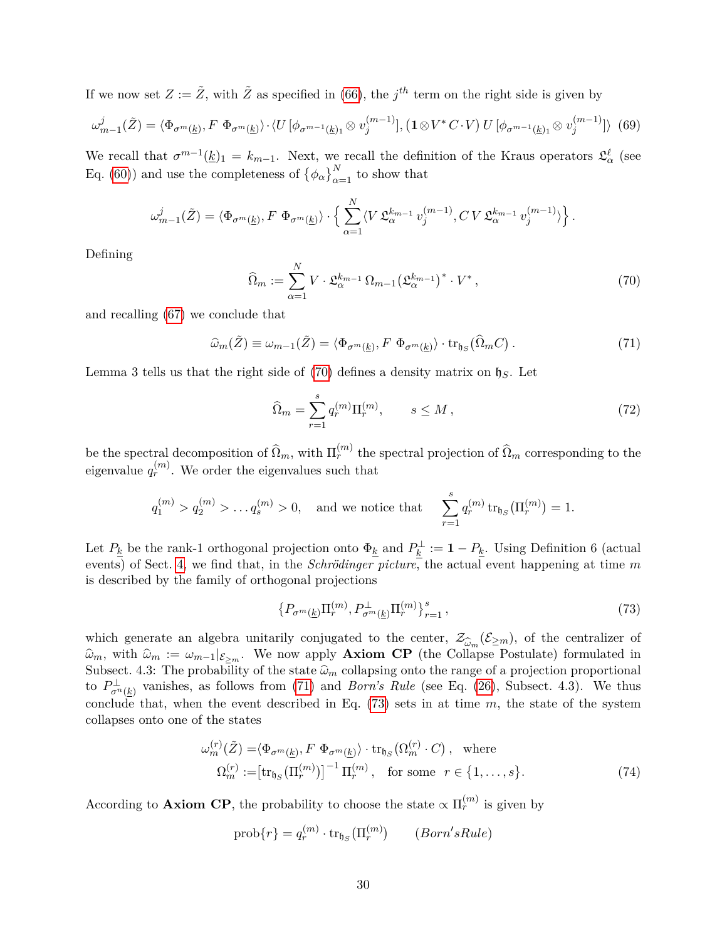If we now set  $Z := \tilde{Z}$ , with  $\tilde{Z}$  as specified in [\(66\)](#page-28-1), the  $j^{th}$  term on the right side is given by

$$
\omega_{m-1}^j(\tilde{Z}) = \langle \Phi_{\sigma^m(\underline{k})}, F \ \Phi_{\sigma^m(\underline{k})} \rangle \cdot \langle U \left[ \phi_{\sigma^{m-1}(\underline{k})_1} \otimes v_j^{(m-1)} \right], \left( \mathbf{1} \otimes V^* C \cdot V \right) U \left[ \phi_{\sigma^{m-1}(\underline{k})_1} \otimes v_j^{(m-1)} \right] \rangle \tag{69}
$$

We recall that  $\sigma^{m-1}(\underline{k})_1 = k_{m-1}$ . Next, we recall the definition of the Kraus operators  $\mathfrak{L}^{\ell}_{\alpha}$  (see Eq. [\(60\)](#page-26-4)) and use the completeness of  $\{\phi_{\alpha}\}_{\alpha=1}^{N}$  to show that

$$
\omega_{m-1}^j(\tilde{Z}) = \langle \Phi_{\sigma^m(\underline{k})}, F \; \Phi_{\sigma^m(\underline{k})} \rangle \cdot \Big\{ \sum_{\alpha=1}^N \langle V \; \mathfrak{L}_{\alpha}^{k_{m-1}} \; v_j^{(m-1)}, C \, V \; \mathfrak{L}_{\alpha}^{k_{m-1}} \; v_j^{(m-1)} \rangle \Big\}
$$

Defining

<span id="page-29-0"></span>
$$
\widehat{\Omega}_m := \sum_{\alpha=1}^N V \cdot \mathfrak{L}_{\alpha}^{k_{m-1}} \Omega_{m-1} (\mathfrak{L}_{\alpha}^{k_{m-1}})^* \cdot V^*, \tag{70}
$$

*.*

and recalling [\(67\)](#page-28-2) we conclude that

<span id="page-29-1"></span>
$$
\widehat{\omega}_m(\widetilde{Z}) \equiv \omega_{m-1}(\widetilde{Z}) = \langle \Phi_{\sigma^m(\underline{k})}, F \; \Phi_{\sigma^m(\underline{k})} \rangle \cdot \text{tr}_{\mathfrak{h}_S}(\widehat{\Omega}_m C) \,. \tag{71}
$$

Lemma 3 tells us that the right side of [\(70\)](#page-29-0) defines a density matrix on h*S*. Let

<span id="page-29-4"></span>
$$
\widehat{\Omega}_m = \sum_{r=1}^s q_r^{(m)} \Pi_r^{(m)}, \qquad s \le M \,, \tag{72}
$$

be the spectral decomposition of  $\widehat{\Omega}_m$ , with  $\Pi_r^{(m)}$  the spectral projection of  $\widehat{\Omega}_m$  corresponding to the eigenvalue  $q_r^{(m)}$ . We order the eigenvalues such that

$$
q_1^{(m)} > q_2^{(m)} > ... q_s^{(m)} > 0
$$
, and we notice that  $\sum_{r=1}^s q_r^{(m)} tr_{\mathfrak{h}_S}(\Pi_r^{(m)}) = 1$ .

Let  $P_k$  be the rank-1 orthogonal projection onto  $\Phi_k$  and  $P_k^{\perp} := 1 - P_k$ . Using Definition 6 (actual events) of Sect. [4,](#page-12-0) we find that, in the *Schrödinger picture*, the actual event happening at time *m* is described by the family of orthogonal projections

<span id="page-29-3"></span><span id="page-29-2"></span>
$$
\{P_{\sigma^m(\underline{k})}\Pi_r^{(m)}, P_{\sigma^m(\underline{k})}^{\perp}\Pi_r^{(m)}\}_{r=1}^s,\tag{73}
$$

which generate an algebra unitarily conjugated to the center,  $\mathcal{Z}_{\widehat{\omega}_m}(\mathcal{E}_{\geq m})$ , of the centralizer of  $\widehat{\omega}_m$  with  $\widehat{\omega}_m := \omega_m$ ,  $1\epsilon$  We now apply **Axiom CP** (the Collapse Postulate) formulated in  $\hat{\omega}_m$ , with  $\hat{\omega}_m := \omega_{m-1}|_{\mathcal{E}_{\geq m}}$ . We now apply **Axiom CP** (the Collapse Postulate) formulated in Subsect. 4.3: The probability of the state  $\hat{\omega}_m$  collapsing onto the range of a projection proportional to  $P_{\sigma^{n}(k)}^{\perp}$  vanishes, as follows from [\(71\)](#page-29-1) and *Born's Rule* (see Eq. [\(26\)](#page-17-2), Subsect. 4.3). We thus conclude that, when the event described in Eq. [\(73\)](#page-29-2) sets in at time *m*, the state of the system collapses onto one of the states

$$
\omega_m^{(r)}(\tilde{Z}) = \langle \Phi_{\sigma^m(\underline{k})}, F \ \Phi_{\sigma^m(\underline{k})} \rangle \cdot \text{tr}_{\mathfrak{h}_S}(\Omega_m^{(r)} \cdot C), \text{ where}
$$
  

$$
\Omega_m^{(r)} := [\text{tr}_{\mathfrak{h}_S}(\Pi_r^{(m)})]^{-1} \Pi_r^{(m)}, \text{ for some } r \in \{1, \dots, s\}.
$$
 (74)

According to **Axiom CP**, the probability to choose the state  $\propto \Pi_r^{(m)}$  is given by

$$
\operatorname{prob}\{r\} = q_r^{(m)} \cdot \operatorname{tr}_{\mathfrak{h}_S}(\Pi_r^{(m)}) \qquad (Born's Rule)
$$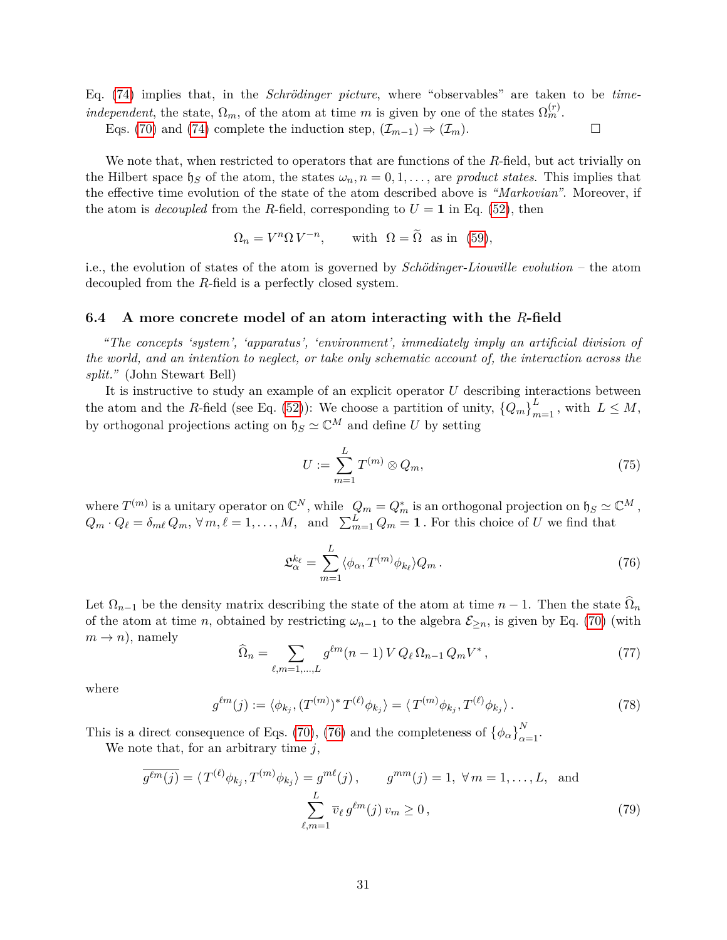Eq. [\(74\)](#page-29-3) implies that, in the *Schrödinger picture*, where "observables" are taken to be *timeindependent*, the state,  $\Omega_m$ , of the atom at time *m* is given by one of the states  $\Omega_m^{(r)}$ .

Eqs. [\(70\)](#page-29-0) and [\(74\)](#page-29-3) complete the induction step,  $(\mathcal{I}_{m-1}) \Rightarrow (\mathcal{I}_m)$ .

We note that, when restricted to operators that are functions of the *R*-field, but act trivially on the Hilbert space  $\mathfrak{h}_S$  of the atom, the states  $\omega_n$ ,  $n = 0, 1, \ldots$ , are *product states*. This implies that the effective time evolution of the state of the atom described above is *"Markovian"*. Moreover, if the atom is *decoupled* from the *R*-field, corresponding to  $U = 1$  in Eq. [\(52\)](#page-25-3), then

$$
\Omega_n = V^n \Omega V^{-n}, \quad \text{with } \Omega = \tilde{\Omega} \text{ as in (59)},
$$

i.e., the evolution of states of the atom is governed by *Schödinger-Liouville evolution* – the atom decoupled from the *R*-field is a perfectly closed system.

## <span id="page-30-0"></span>**6.4 A more concrete model of an atom interacting with the** *R***-field**

*"The concepts 'system', 'apparatus', 'environment', immediately imply an artificial division of the world, and an intention to neglect, or take only schematic account of, the interaction across the split."* (John Stewart Bell)

It is instructive to study an example of an explicit operator *U* describing interactions between the atom and the *R*-field (see Eq. [\(52\)](#page-25-3)): We choose a partition of unity,  ${Q_m}_{m=1}^L$ , with  $L \leq M$ , by orthogonal projections acting on  $\mathfrak{h}_S \simeq \mathbb{C}^M$  and define *U* by setting

<span id="page-30-4"></span>
$$
U := \sum_{m=1}^{L} T^{(m)} \otimes Q_m,\tag{75}
$$

where  $T^{(m)}$  is a unitary operator on  $\mathbb{C}^N$ , while  $Q_m = Q_m^*$  is an orthogonal projection on  $\mathfrak{h}_S \simeq \mathbb{C}^M$ ,  $Q_m \cdot Q_\ell = \delta_{m\ell} Q_m, \forall m, \ell = 1, \ldots, M, \text{ and } \sum_{m=1}^L Q_m = \mathbf{1}.$  For this choice of *U* we find that

<span id="page-30-1"></span>
$$
\mathfrak{L}_{\alpha}^{k_{\ell}} = \sum_{m=1}^{L} \langle \phi_{\alpha}, T^{(m)} \phi_{k_{\ell}} \rangle Q_m \,. \tag{76}
$$

Let  $\Omega_{n-1}$  be the density matrix describing the state of the atom at time  $n-1$ . Then the state  $\Omega_n$ of the atom at time *n*, obtained by restricting  $\omega_{n-1}$  to the algebra  $\mathcal{E}_{\geq n}$ , is given by Eq. [\(70\)](#page-29-0) (with  $m \rightarrow n$ , namely

<span id="page-30-5"></span><span id="page-30-2"></span>
$$
\widehat{\Omega}_n = \sum_{\ell,m=1,...,L} g^{\ell m} (n-1) V Q_{\ell} \Omega_{n-1} Q_m V^*,
$$
\n(77)

where

<span id="page-30-3"></span>
$$
g^{\ell m}(j) := \langle \phi_{k_j}, (T^{(m)})^* T^{(\ell)} \phi_{k_j} \rangle = \langle T^{(m)} \phi_{k_j}, T^{(\ell)} \phi_{k_j} \rangle. \tag{78}
$$

This is a direct consequence of Eqs. [\(70\)](#page-29-0), [\(76\)](#page-30-1) and the completeness of  $\{\phi_{\alpha}\}_{\alpha=1}^{N}$ .

We note that, for an arbitrary time *j*,

$$
\overline{g^{\ell m}(j)} = \langle T^{(\ell)} \phi_{k_j}, T^{(m)} \phi_{k_j} \rangle = g^{m\ell}(j), \qquad g^{mm}(j) = 1, \ \forall \, m = 1, \dots, L, \text{ and}
$$

$$
\sum_{\ell,m=1}^{L} \overline{v}_{\ell} g^{\ell m}(j) v_m \ge 0,
$$
\n(79)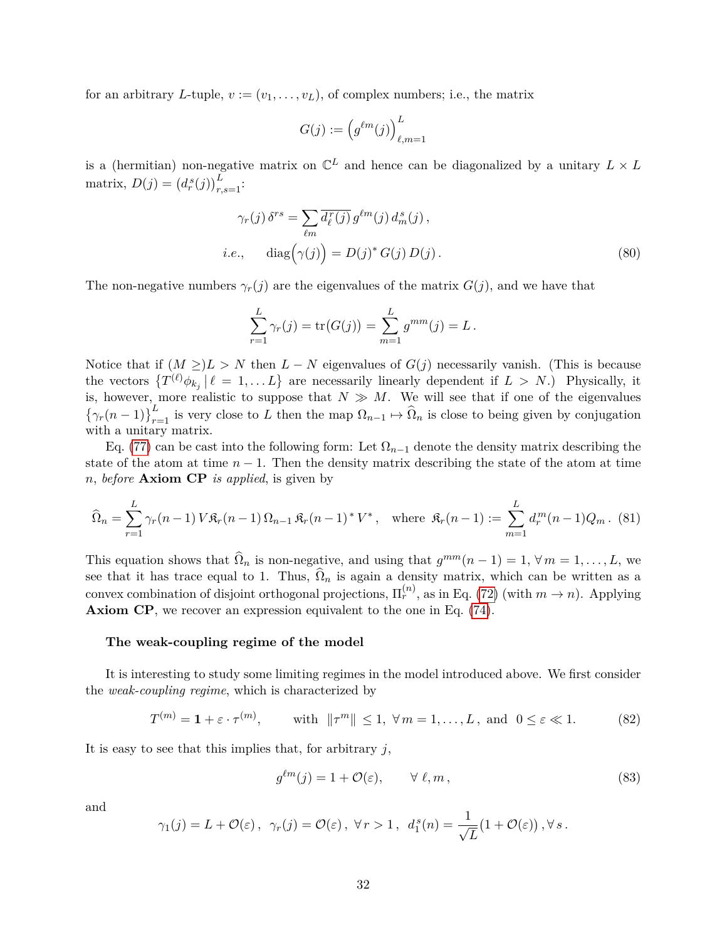for an arbitrary *L*-tuple,  $v := (v_1, \ldots, v_L)$ , of complex numbers; i.e., the matrix

$$
G(j) := \left(g^{\ell m}(j)\right)_{\ell,m=1}^L
$$

is a (hermitian) non-negative matrix on  $\mathbb{C}^L$  and hence can be diagonalized by a unitary  $L \times L$ matrix,  $D(j) = (d_r^s(j))_{r,s=1}^L$ :

$$
\gamma_r(j) \delta^{rs} = \sum_{\ell m} \overline{d_{\ell}^r(j)} \, g^{\ell m}(j) \, d_m^s(j),
$$
  
*i.e.*, 
$$
\text{diag}(\gamma(j)) = D(j)^* \, G(j) \, D(j).
$$
 (80)

The non-negative numbers  $\gamma_r(j)$  are the eigenvalues of the matrix  $G(j)$ , and we have that

$$
\sum_{r=1}^{L} \gamma_r(j) = \text{tr}(G(j)) = \sum_{m=1}^{L} g^{mm}(j) = L.
$$

Notice that if  $(M \geq) L > N$  then  $L - N$  eigenvalues of  $G(j)$  necessarily vanish. (This is because the vectors  $\{T^{(\ell)}\phi_{k_j} | \ell = 1,\ldots L\}$  are necessarily linearly dependent if  $L > N$ .) Physically, it is, however, more realistic to suppose that  $N \gg M$ . We will see that if one of the eigenvalues  $\{\gamma_r(n-1)\}_{r=1}^L$  is very close to *L* then the map  $\Omega_{n-1} \mapsto \widehat{\Omega}_n$  is close to being given by conjugation with a unitary matrix.

Eq. [\(77\)](#page-30-2) can be cast into the following form: Let  $\Omega_{n-1}$  denote the density matrix describing the state of the atom at time  $n-1$ . Then the density matrix describing the state of the atom at time *n*, *before* **Axiom CP** *is applied*, is given by

$$
\widehat{\Omega}_n = \sum_{r=1}^L \gamma_r(n-1) \, V \mathfrak{K}_r(n-1) \, \Omega_{n-1} \, \mathfrak{K}_r(n-1)^* \, V^*, \quad \text{where } \mathfrak{K}_r(n-1) := \sum_{m=1}^L d_r^m(n-1) Q_m. \tag{81}
$$

This equation shows that  $\widehat{\Omega}_n$  is non-negative, and using that  $g^{mm}(n-1) = 1, \forall m = 1, \ldots, L$ , we see that it has trace equal to 1. Thus,  $\Omega_n$  is again a density matrix, which can be written as a convex combination of disjoint orthogonal projections,  $\Pi_r^{(n)}$ , as in Eq. [\(72\)](#page-29-4) (with  $m \to n$ ). Applying **Axiom CP**, we recover an expression equivalent to the one in Eq. [\(74\)](#page-29-3).

#### **The weak-coupling regime of the model**

It is interesting to study some limiting regimes in the model introduced above. We first consider the *weak-coupling regime*, which is characterized by

$$
T^{(m)} = \mathbf{1} + \varepsilon \cdot \tau^{(m)}, \qquad \text{with } \|\tau^m\| \le 1, \ \forall \, m = 1, \dots, L, \text{ and } 0 \le \varepsilon \ll 1. \tag{82}
$$

It is easy to see that this implies that, for arbitrary *j*,

<span id="page-31-0"></span>
$$
g^{\ell m}(j) = 1 + \mathcal{O}(\varepsilon), \qquad \forall \ \ell, m,
$$
\n(83)

and

$$
\gamma_1(j) = L + \mathcal{O}(\varepsilon), \ \ \gamma_r(j) = \mathcal{O}(\varepsilon), \ \forall r > 1, \ \ d_1^s(n) = \frac{1}{\sqrt{L}}(1 + \mathcal{O}(\varepsilon)), \forall s.
$$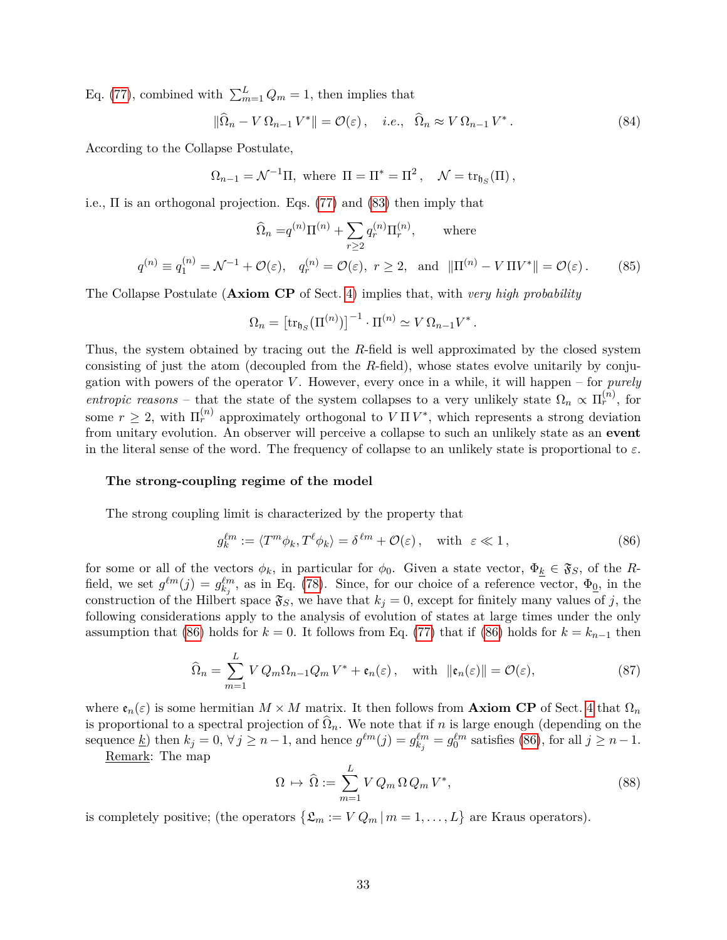Eq. [\(77\)](#page-30-2), combined with  $\sum_{m=1}^{L} Q_m = 1$ , then implies that

$$
\|\widehat{\Omega}_n - V \Omega_{n-1} V^*\| = \mathcal{O}(\varepsilon), \quad i.e., \quad \widehat{\Omega}_n \approx V \Omega_{n-1} V^*.
$$
 (84)

According to the Collapse Postulate,

 $\Omega_{n-1} = \mathcal{N}^{-1} \Pi$ , where  $\Pi = \Pi^* = \Pi^2$ ,  $\mathcal{N} = \text{tr}_{\mathfrak{h}_S}(\Pi)$ ,

i.e.,  $\Pi$  is an orthogonal projection. Eqs. [\(77\)](#page-30-2) and [\(83\)](#page-31-0) then imply that

$$
\widehat{\Omega}_n = q^{(n)} \Pi^{(n)} + \sum_{r \ge 2} q_r^{(n)} \Pi_r^{(n)}, \qquad \text{where}
$$
\n
$$
q^{(n)} \equiv q_1^{(n)} = \mathcal{N}^{-1} + \mathcal{O}(\varepsilon), \quad q_r^{(n)} = \mathcal{O}(\varepsilon), \quad r \ge 2, \quad \text{and} \quad \|\Pi^{(n)} - V\Pi V^*\| = \mathcal{O}(\varepsilon). \tag{85}
$$

The Collapse Postulate (**Axiom CP** of Sect. [4\)](#page-12-0) implies that, with *very high probability*

$$
\Omega_n = \left[ \operatorname{tr}_{\mathfrak{h}_S} (\Pi^{(n)}) \right]^{-1} \cdot \Pi^{(n)} \simeq V \, \Omega_{n-1} V^* \, .
$$

Thus, the system obtained by tracing out the *R*-field is well approximated by the closed system consisting of just the atom (decoupled from the *R*-field), whose states evolve unitarily by conjugation with powers of the operator *V* . However, every once in a while, it will happen – for *purely entropic reasons* – that the state of the system collapses to a very unlikely state  $\Omega_n \propto \Pi_r^{(n)}$ , for some  $r \geq 2$ , with  $\Pi_r^{(n)}$  approximately orthogonal to  $V \Pi V^*$ , which represents a strong deviation from unitary evolution. An observer will perceive a collapse to such an unlikely state as an **event** in the literal sense of the word. The frequency of collapse to an unlikely state is proportional to  $\varepsilon$ .

### **The strong-coupling regime of the model**

The strong coupling limit is characterized by the property that

<span id="page-32-0"></span>
$$
g_k^{\ell m} := \langle T^m \phi_k, T^{\ell} \phi_k \rangle = \delta^{\ell m} + \mathcal{O}(\varepsilon), \quad \text{with } \varepsilon \ll 1,
$$
 (86)

for some or all of the vectors  $\phi_k$ , in particular for  $\phi_0$ . Given a state vector,  $\Phi_k \in \mathfrak{F}_S$ , of the *R*field, we set  $g^{\ell m}(j) = g^{\ell m}_{kj}$ , as in Eq. [\(78\)](#page-30-3). Since, for our choice of a reference vector,  $\Phi_{\underline{0}}$ , in the construction of the Hilbert space  $\mathfrak{F}_S$ , we have that  $k_j = 0$ , except for finitely many values of j, the following considerations apply to the analysis of evolution of states at large times under the only assumption that [\(86\)](#page-32-0) holds for  $k = 0$ . It follows from Eq. [\(77\)](#page-30-2) that if (86) holds for  $k = k_{n-1}$  then

<span id="page-32-1"></span>
$$
\widehat{\Omega}_n = \sum_{m=1}^L V Q_m \Omega_{n-1} Q_m V^* + \mathfrak{e}_n(\varepsilon), \quad \text{with } \|\mathfrak{e}_n(\varepsilon)\| = \mathcal{O}(\varepsilon), \tag{87}
$$

where  $\mathfrak{e}_n(\varepsilon)$  is some hermitian  $M \times M$  matrix. It then follows from **Axiom CP** of Sect. [4](#page-12-0) that  $\Omega_n$ is proportional to a spectral projection of  $\Omega_n$ . We note that if *n* is large enough (depending on the sequence <u>k</u>) then  $k_j = 0$ ,  $\forall j \geq n-1$ , and hence  $g^{\ell m}(j) = g_{k_j}^{\ell m} = g_0^{\ell m}$  satisfies [\(86\)](#page-32-0), for all  $j \geq n-1$ .

Remark: The map

<span id="page-32-2"></span>
$$
\Omega \mapsto \widehat{\Omega} := \sum_{m=1}^{L} V Q_m \Omega Q_m V^*, \tag{88}
$$

is completely positive; (the operators  $\{\mathfrak{L}_m := V Q_m \, | \, m = 1, \ldots, L\}$  are Kraus operators).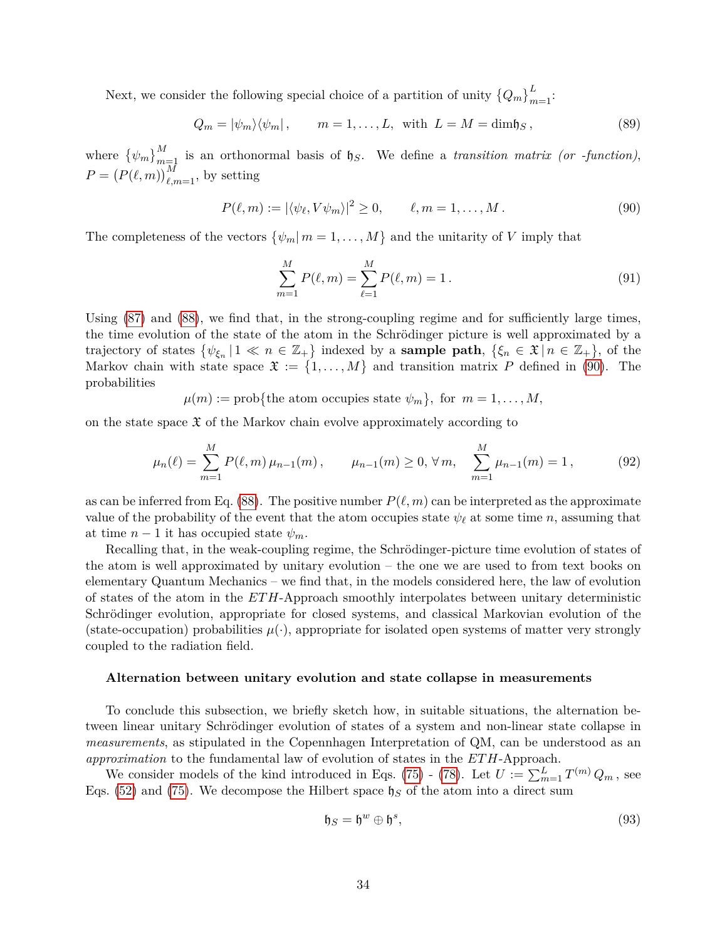Next, we consider the following special choice of a partition of unity  $\{Q_m\}_{m=1}^L$ :

$$
Q_m = |\psi_m\rangle\langle\psi_m|, \qquad m = 1, \dots, L, \text{ with } L = M = \dim \mathfrak{h}_S,
$$
\n(89)

where  $\{\psi_m\}_{m=1}^M$  is an orthonormal basis of  $\mathfrak{h}_S$ . We define a *transition matrix (or -function)*,  $P = (P(\ell, m))_{\ell,m=1}^M$ , by setting

<span id="page-33-0"></span>
$$
P(\ell, m) := |\langle \psi_{\ell}, V\psi_m \rangle|^2 \ge 0, \qquad \ell, m = 1, \dots, M. \tag{90}
$$

The completeness of the vectors  $\{\psi_m | m = 1, \ldots, M\}$  and the unitarity of *V* imply that

$$
\sum_{m=1}^{M} P(\ell, m) = \sum_{\ell=1}^{M} P(\ell, m) = 1.
$$
\n(91)

Using [\(87\)](#page-32-1) and [\(88\)](#page-32-2), we find that, in the strong-coupling regime and for sufficiently large times, the time evolution of the state of the atom in the Schrödinger picture is well approximated by a trajectory of states  $\{\psi_{\xi_n} | 1 \ll n \in \mathbb{Z}_+\}$  indexed by a **sample path**,  $\{\xi_n \in \mathfrak{X} | n \in \mathbb{Z}_+\}$ , of the Markov chain with state space  $\mathfrak{X} := \{1, \ldots, M\}$  and transition matrix P defined in [\(90\)](#page-33-0). The probabilities

$$
\mu(m) := prob {\text{the atom occupies state }} \psi_m,
$$
 for  $m = 1, ..., M,$ 

on the state space  $\mathfrak X$  of the Markov chain evolve approximately according to

$$
\mu_n(\ell) = \sum_{m=1}^M P(\ell, m) \mu_{n-1}(m), \qquad \mu_{n-1}(m) \ge 0, \forall m, \quad \sum_{m=1}^M \mu_{n-1}(m) = 1,
$$
 (92)

as can be inferred from Eq. [\(88\)](#page-32-2). The positive number  $P(\ell, m)$  can be interpreted as the approximate value of the probability of the event that the atom occupies state  $\psi_{\ell}$  at some time *n*, assuming that at time  $n-1$  it has occupied state  $\psi_m$ .

Recalling that, in the weak-coupling regime, the Schrödinger-picture time evolution of states of the atom is well approximated by unitary evolution – the one we are used to from text books on elementary Quantum Mechanics – we find that, in the models considered here, the law of evolution of states of the atom in the *ET H*-Approach smoothly interpolates between unitary deterministic Schrödinger evolution, appropriate for closed systems, and classical Markovian evolution of the (state-occupation) probabilities  $\mu(\cdot)$ , appropriate for isolated open systems of matter very strongly coupled to the radiation field.

#### **Alternation between unitary evolution and state collapse in measurements**

To conclude this subsection, we briefly sketch how, in suitable situations, the alternation between linear unitary Schrödinger evolution of states of a system and non-linear state collapse in *measurements*, as stipulated in the Copennhagen Interpretation of QM, can be understood as an *approximation* to the fundamental law of evolution of states in the *ET H*-Approach.

We consider models of the kind introduced in Eqs. [\(75\)](#page-30-4) - [\(78\)](#page-30-3). Let  $U := \sum_{m=1}^{L} T^{(m)} Q_m$ , see Eqs. [\(52\)](#page-25-3) and [\(75\)](#page-30-4). We decompose the Hilbert space  $\mathfrak{h}_S$  of the atom into a direct sum

$$
\mathfrak{h}_S = \mathfrak{h}^w \oplus \mathfrak{h}^s,\tag{93}
$$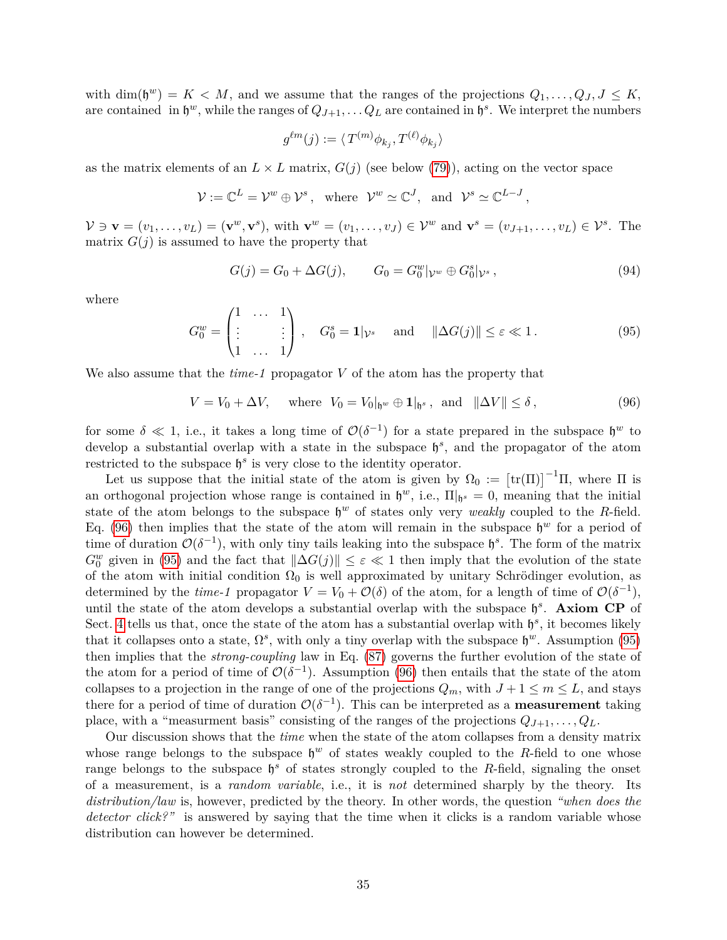with  $\dim(\mathfrak{h}^w) = K \langle M \rangle$  and we assume that the ranges of the projections  $Q_1, \ldots, Q_J, J \leq K$ , are contained in  $\mathfrak{h}^w$ , while the ranges of  $Q_{J+1}, \ldots Q_L$  are contained in  $\mathfrak{h}^s$ . We interpret the numbers

$$
g^{\ell m}(j) := \langle T^{(m)} \phi_{k_j}, T^{(\ell)} \phi_{k_j} \rangle
$$

as the matrix elements of an  $L \times L$  matrix,  $G(j)$  (see below [\(79\)](#page-30-5)), acting on the vector space

$$
\mathcal{V} := \mathbb{C}^L = \mathcal{V}^w \oplus \mathcal{V}^s, \text{ where } \mathcal{V}^w \simeq \mathbb{C}^J, \text{ and } \mathcal{V}^s \simeq \mathbb{C}^{L-J},
$$

 $V \ni \mathbf{v} = (v_1, \dots, v_L) = (\mathbf{v}^w, \mathbf{v}^s)$ , with  $\mathbf{v}^w = (v_1, \dots, v_J) \in \mathcal{V}^w$  and  $\mathbf{v}^s = (v_{J+1}, \dots, v_L) \in \mathcal{V}^s$ . The matrix  $G(j)$  is assumed to have the property that

$$
G(j) = G_0 + \Delta G(j), \qquad G_0 = G_0^w | v^w \oplus G_0^s | v^s,
$$
\n(94)

where

<span id="page-34-1"></span>
$$
G_0^w = \begin{pmatrix} 1 & \dots & 1 \\ \vdots & & \vdots \\ 1 & \dots & 1 \end{pmatrix}, \quad G_0^s = \mathbf{1} | \mathcal{V}^s \quad \text{and} \quad ||\Delta G(j)|| \le \varepsilon \ll 1.
$$
 (95)

We also assume that the *time-1* propagator *V* of the atom has the property that

<span id="page-34-0"></span> $V = V_0 + \Delta V$ , where  $V_0 = V_0|_{\mathfrak{h}^w} \oplus \mathbf{1}|_{\mathfrak{h}^s}$ , and  $\|\Delta V\| \le \delta$ , (96)

for some  $\delta \ll 1$ , i.e., it takes a long time of  $\mathcal{O}(\delta^{-1})$  for a state prepared in the subspace  $\mathfrak{h}^w$  to develop a substantial overlap with a state in the subspace  $\mathfrak{h}^s$ , and the propagator of the atom restricted to the subspace  $\mathfrak{h}^s$  is very close to the identity operator.

Let us suppose that the initial state of the atom is given by  $\Omega_0 := [\text{tr}(\Pi)]^{-1} \Pi$ , where  $\Pi$  is an orthogonal projection whose range is contained in  $\mathfrak{h}^w$ , i.e.,  $\Pi|_{\mathfrak{h}^s} = 0$ , meaning that the initial state of the atom belongs to the subspace  $\mathfrak{h}^w$  of states only very *weakly* coupled to the *R*-field. Eq. [\(96\)](#page-34-0) then implies that the state of the atom will remain in the subspace  $\mathfrak{h}^w$  for a period of time of duration  $\mathcal{O}(\delta^{-1})$ , with only tiny tails leaking into the subspace  $\mathfrak{h}^s$ . The form of the matrix  $G_0^w$  given in [\(95\)](#page-34-1) and the fact that  $\|\Delta G(j)\| \leq \varepsilon \ll 1$  then imply that the evolution of the state of the atom with initial condition  $\Omega_0$  is well approximated by unitary Schrödinger evolution, as determined by the *time-1* propagator  $V = V_0 + \mathcal{O}(\delta)$  of the atom, for a length of time of  $\mathcal{O}(\delta^{-1})$ , until the state of the atom develops a substantial overlap with the subspace  $\mathfrak{h}^s$ . **Axiom CP** of Sect. [4](#page-12-0) tells us that, once the state of the atom has a substantial overlap with  $\mathfrak{h}^s$ , it becomes likely that it collapses onto a state,  $\Omega^s$ , with only a tiny overlap with the subspace  $\mathfrak{h}^w$ . Assumption [\(95\)](#page-34-1) then implies that the *strong-coupling* law in Eq. [\(87\)](#page-32-1) governs the further evolution of the state of the atom for a period of time of  $\mathcal{O}(\delta^{-1})$ . Assumption [\(96\)](#page-34-0) then entails that the state of the atom collapses to a projection in the range of one of the projections  $Q_m$ , with  $J+1 \leq m \leq L$ , and stays there for a period of time of duration  $\mathcal{O}(\delta^{-1})$ . This can be interpreted as a **measurement** taking place, with a "measurment basis" consisting of the ranges of the projections  $Q_{J+1}, \ldots, Q_L$ .

Our discussion shows that the *time* when the state of the atom collapses from a density matrix whose range belongs to the subspace  $\mathfrak{h}^w$  of states weakly coupled to the *R*-field to one whose range belongs to the subspace  $\mathfrak{h}^s$  of states strongly coupled to the *R*-field, signaling the onset of a measurement, is a *random variable*, i.e., it is *not* determined sharply by the theory. Its *distribution/law* is, however, predicted by the theory. In other words, the question *"when does the detector click?"* is answered by saying that the time when it clicks is a random variable whose distribution can however be determined.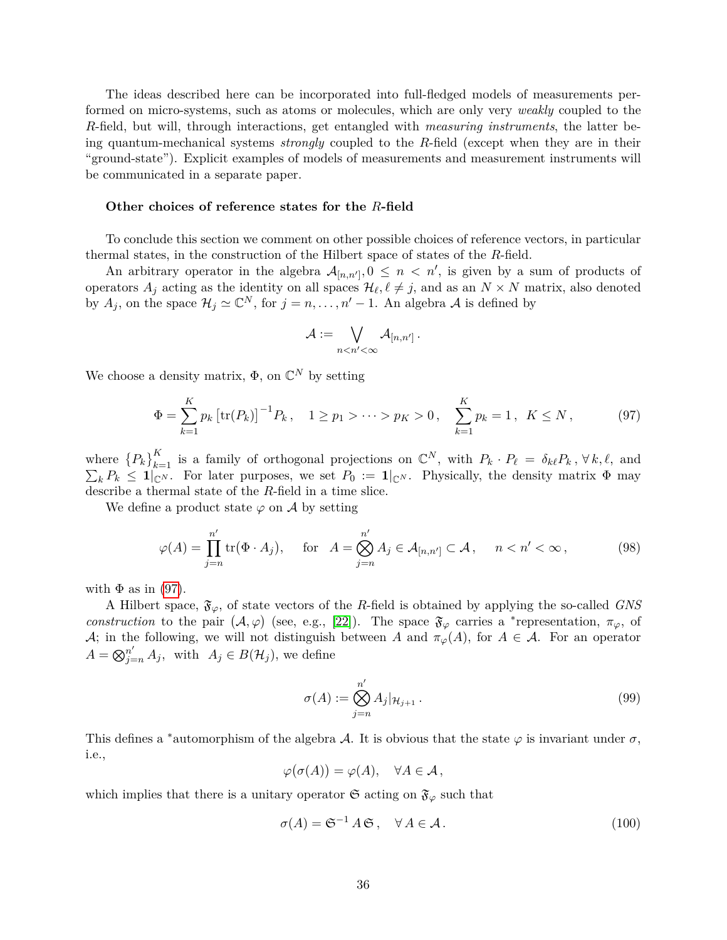The ideas described here can be incorporated into full-fledged models of measurements performed on micro-systems, such as atoms or molecules, which are only very *weakly* coupled to the *R*-field, but will, through interactions, get entangled with *measuring instruments*, the latter being quantum-mechanical systems *strongly* coupled to the *R*-field (except when they are in their "ground-state"). Explicit examples of models of measurements and measurement instruments will be communicated in a separate paper.

#### **Other choices of reference states for the** *R***-field**

To conclude this section we comment on other possible choices of reference vectors, in particular thermal states, in the construction of the Hilbert space of states of the *R*-field.

An arbitrary operator in the algebra  $\mathcal{A}_{[n,n']}$ ,  $0 \leq n \leq n'$ , is given by a sum of products of operators  $A_j$  acting as the identity on all spaces  $\mathcal{H}_\ell, \ell \neq j$ , and as an  $N \times N$  matrix, also denoted by  $A_j$ , on the space  $\mathcal{H}_j \simeq \mathbb{C}^N$ , for  $j = n, \ldots, n'-1$ . An algebra A is defined by

$$
\mathcal{A}:=\bigvee_{n
$$

We choose a density matrix,  $\Phi$ , on  $\mathbb{C}^N$  by setting

<span id="page-35-0"></span>
$$
\Phi = \sum_{k=1}^{K} p_k \left[ \text{tr}(P_k) \right]^{-1} P_k, \quad 1 \ge p_1 > \dots > p_K > 0, \quad \sum_{k=1}^{K} p_k = 1, \quad K \le N \,, \tag{97}
$$

where  ${P_k}_{k=1}^K$  is a family of orthogonal projections on  $\mathbb{C}^N$ , with  $P_k \cdot P_\ell = \delta_{k\ell} P_k$ ,  $\forall k, \ell$ , and  $\sum_{k} P_k \leq \mathbf{1}_{\mathbb{C}^N}$ . For later purposes, we set  $P_0 := \mathbf{1}_{\mathbb{C}^N}$ . Physically, the density matrix  $\Phi$  may describe a thermal state of the *R*-field in a time slice.

We define a product state  $\varphi$  on  $\mathcal A$  by setting

$$
\varphi(A) = \prod_{j=n}^{n'} \text{tr}(\Phi \cdot A_j), \quad \text{for} \quad A = \bigotimes_{j=n}^{n'} A_j \in \mathcal{A}_{[n,n']} \subset \mathcal{A}, \quad n < n' < \infty,\tag{98}
$$

with  $\Phi$  as in [\(97\)](#page-35-0).

A Hilbert space,  $\mathfrak{F}_{\varphi}$ , of state vectors of the *R*-field is obtained by applying the so-called *GNS construction* to the pair  $(A, \varphi)$  (see, e.g., [\[22\]](#page-44-0)). The space  $\mathfrak{F}_{\varphi}$  carries a \*representation,  $\pi_{\varphi}$ , of A; in the following, we will not distinguish between A and  $\pi_{\varphi}(A)$ , for  $A \in \mathcal{A}$ . For an operator  $A = \bigotimes_{j=n}^{n'} A_j$ , with  $A_j \in B(\mathcal{H}_j)$ , we define

$$
\sigma(A) := \bigotimes_{j=n}^{n'} A_j |_{\mathcal{H}_{j+1}}.
$$
\n(99)

This defines a <sup>\*</sup>automorphism of the algebra A. It is obvious that the state  $\varphi$  is invariant under  $\sigma$ , i.e.,

$$
\varphi(\sigma(A)) = \varphi(A), \quad \forall A \in \mathcal{A},
$$

which implies that there is a unitary operator  $\mathfrak{S}$  acting on  $\mathfrak{F}_{\varphi}$  such that

$$
\sigma(A) = \mathfrak{S}^{-1} A \mathfrak{S}, \quad \forall A \in \mathcal{A}.
$$
\n(100)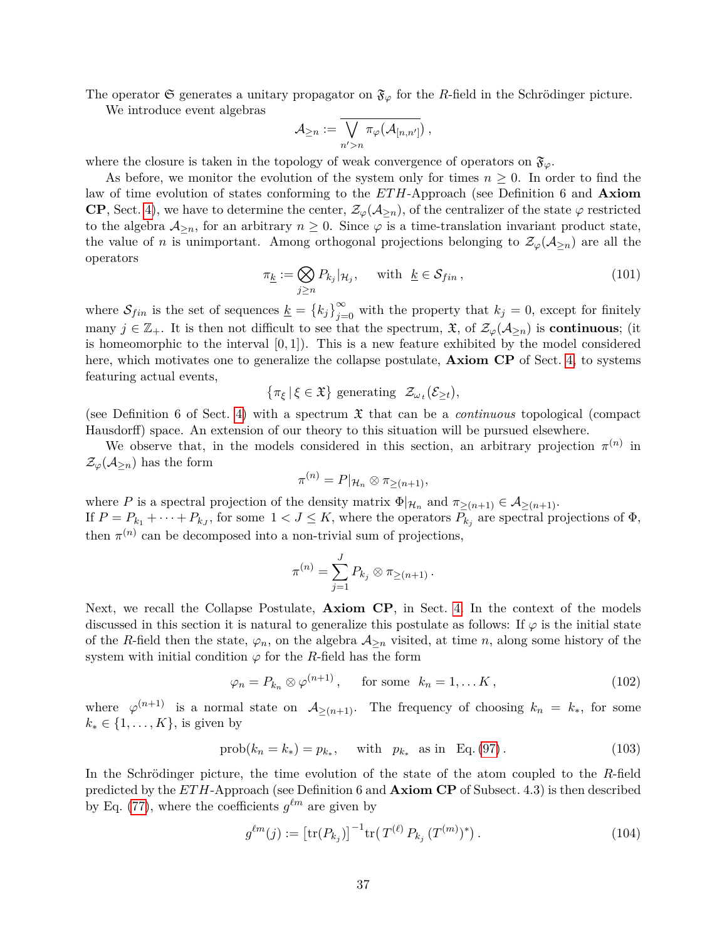The operator G generates a unitary propagator on  $\mathfrak{F}_{\varphi}$  for the *R*-field in the Schrödinger picture.

We introduce event algebras

$$
\mathcal{A}_{\geq n}:=\overline{\bigvee_{n'>n}\pi_{\varphi}(\mathcal{A}_{[n,n']})}\ ,
$$

where the closure is taken in the topology of weak convergence of operators on  $\mathfrak{F}_{\varphi}$ .

As before, we monitor the evolution of the system only for times  $n \geq 0$ . In order to find the law of time evolution of states conforming to the *ETH*-Approach (see Definition 6 and **Axiom CP**, Sect. [4\)](#page-12-0), we have to determine the center,  $\mathcal{Z}_{\varphi}(\mathcal{A}_{\geq n})$ , of the centralizer of the state  $\varphi$  restricted to the algebra  $A_{\geq n}$ , for an arbitrary  $n \geq 0$ . Since  $\varphi$  is a time-translation invariant product state, the value of *n* is unimportant. Among orthogonal projections belonging to  $\mathcal{Z}_{\varphi}(\mathcal{A}_{>n})$  are all the operators

$$
\pi_{\underline{k}} := \bigotimes_{j \ge n} P_{k_j} |_{\mathcal{H}_j}, \quad \text{with } \underline{k} \in \mathcal{S}_{fin}, \tag{101}
$$

where  $S_{fin}$  is the set of sequences  $\underline{k} = \{k_j\}_{j=0}^{\infty}$  with the property that  $k_j = 0$ , except for finitely many  $j \in \mathbb{Z}_+$ . It is then not difficult to see that the spectrum,  $\mathfrak{X}$ , of  $\mathcal{Z}_{\varphi}(\mathcal{A}_{\geq n})$  is **continuous**; (it is homeomorphic to the interval [0*,* 1]). This is a new feature exhibited by the model considered here, which motivates one to generalize the collapse postulate, **Axiom CP** of Sect. [4,](#page-12-0) to systems featuring actual events,

$$
\{\pi_{\xi} \,|\, \xi \in \mathfrak{X}\}\,\,\text{generating}\ \ \mathcal{Z}_{\omega_t}(\mathcal{E}_{\geq t}),
$$

(see Definition 6 of Sect. [4\)](#page-12-0) with a spectrum X that can be a *continuous* topological (compact Hausdorff) space. An extension of our theory to this situation will be pursued elsewhere.

We observe that, in the models considered in this section, an arbitrary projection  $\pi^{(n)}$  in  $\mathcal{Z}_{\varphi}(\mathcal{A}_{\geq n})$  has the form

$$
\pi^{(n)} = P|_{\mathcal{H}_n} \otimes \pi_{\geq (n+1)},
$$

where *P* is a spectral projection of the density matrix  $\Phi|_{\mathcal{H}_n}$  and  $\pi_{\geq (n+1)} \in \mathcal{A}_{\geq (n+1)}$ . If  $P = P_{k_1} + \cdots + P_{k_J}$ , for some  $1 < J \le K$ , where the operators  $P_{k_j}$  are spectral projections of  $\Phi$ , then  $\pi^{(n)}$  can be decomposed into a non-trivial sum of projections,

$$
\pi^{(n)} = \sum_{j=1}^{J} P_{k_j} \otimes \pi_{\geq (n+1)}.
$$

Next, we recall the Collapse Postulate, **Axiom CP**, in Sect. [4.](#page-12-0) In the context of the models discussed in this section it is natural to generalize this postulate as follows: If  $\varphi$  is the initial state of the *R*-field then the state,  $\varphi_n$ , on the algebra  $\mathcal{A}_{\geq n}$  visited, at time *n*, along some history of the system with initial condition  $\varphi$  for the *R*-field has the form

<span id="page-36-1"></span>
$$
\varphi_n = P_{k_n} \otimes \varphi^{(n+1)}, \quad \text{for some } k_n = 1, \dots K,
$$
\n(102)

where  $\varphi^{(n+1)}$  is a normal state on  $\mathcal{A}_{\geq (n+1)}$ . The frequency of choosing  $k_n = k_*$ , for some  $k_* \in \{1, \ldots, K\}$ , is given by

<span id="page-36-0"></span>
$$
prob(k_n = k_*) = p_{k_*},
$$
 with  $p_{k_*}$  as in Eq. (97). (103)

In the Schrödinger picture, the time evolution of the state of the atom coupled to the *R*-field predicted by the *ET H*-Approach (see Definition 6 and **Axiom CP** of Subsect. 4.3) is then described by Eq. [\(77\)](#page-30-2), where the coefficients  $g^{\ell m}$  are given by

<span id="page-36-2"></span>
$$
g^{\ell m}(j) := \left[ \text{tr}(P_{k_j}) \right]^{-1} \text{tr}(T^{(\ell)} P_{k_j} (T^{(m)})^*) \,. \tag{104}
$$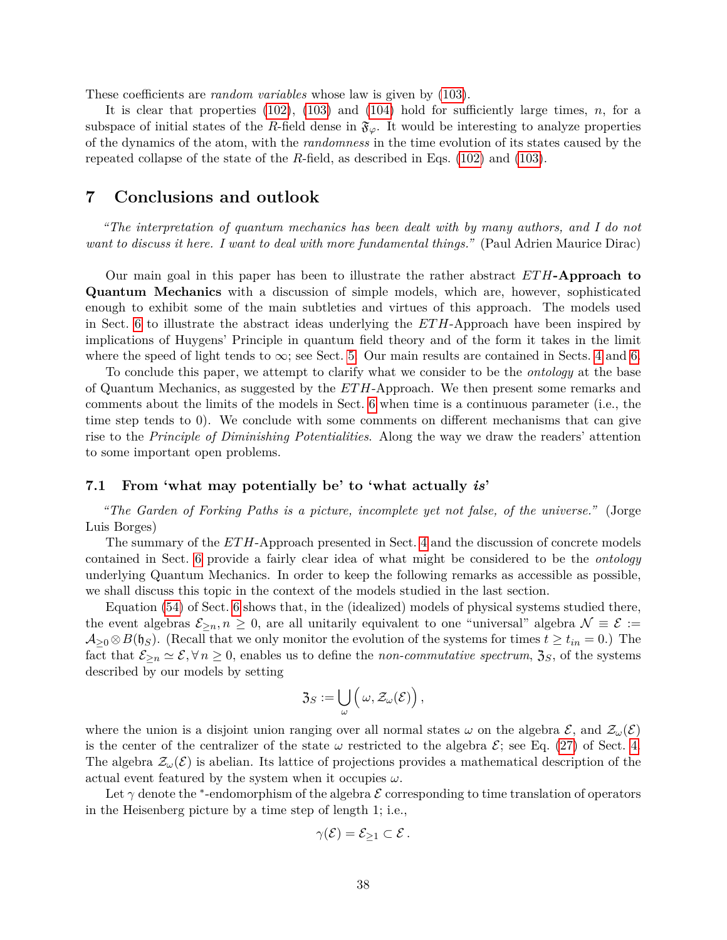These coefficients are *random variables* whose law is given by [\(103\)](#page-36-0).

It is clear that properties [\(102\)](#page-36-1), [\(103\)](#page-36-0) and [\(104\)](#page-36-2) hold for sufficiently large times, *n*, for a subspace of initial states of the *R*-field dense in  $\mathfrak{F}_{\varphi}$ . It would be interesting to analyze properties of the dynamics of the atom, with the *randomness* in the time evolution of its states caused by the repeated collapse of the state of the *R*-field, as described in Eqs. [\(102\)](#page-36-1) and [\(103\)](#page-36-0).

# <span id="page-37-0"></span>**7 Conclusions and outlook**

*"The interpretation of quantum mechanics has been dealt with by many authors, and I do not want to discuss it here. I want to deal with more fundamental things."* (Paul Adrien Maurice Dirac)

Our main goal in this paper has been to illustrate the rather abstract *ETH***-Approach to Quantum Mechanics** with a discussion of simple models, which are, however, sophisticated enough to exhibit some of the main subtleties and virtues of this approach. The models used in Sect. [6](#page-22-0) to illustrate the abstract ideas underlying the *ET H*-Approach have been inspired by implications of Huygens' Principle in quantum field theory and of the form it takes in the limit where the speed of light tends to  $\infty$ ; see Sect. [5.](#page-18-0) Our main results are contained in Sects. [4](#page-12-0) and [6.](#page-22-0)

To conclude this paper, we attempt to clarify what we consider to be the *ontology* at the base of Quantum Mechanics, as suggested by the *ETH*-Approach. We then present some remarks and comments about the limits of the models in Sect. [6](#page-22-0) when time is a continuous parameter (i.e., the time step tends to 0). We conclude with some comments on different mechanisms that can give rise to the *Principle of Diminishing Potentialities*. Along the way we draw the readers' attention to some important open problems.

## <span id="page-37-1"></span>**7.1 From 'what may potentially be' to 'what actually** *is***'**

*"The Garden of Forking Paths is a picture, incomplete yet not false, of the universe."* (Jorge Luis Borges)

The summary of the *ET H*-Approach presented in Sect. [4](#page-12-0) and the discussion of concrete models contained in Sect. [6](#page-22-0) provide a fairly clear idea of what might be considered to be the *ontology* underlying Quantum Mechanics. In order to keep the following remarks as accessible as possible, we shall discuss this topic in the context of the models studied in the last section.

Equation [\(54\)](#page-25-1) of Sect. [6](#page-22-0) shows that, in the (idealized) models of physical systems studied there, the event algebras  $\mathcal{E}_{\geq n}$ ,  $n \geq 0$ , are all unitarily equivalent to one "universal" algebra  $\mathcal{N} \equiv \mathcal{E} :=$  $\mathcal{A}_{\geq 0} \otimes B(\mathfrak{h}_{S})$ . (Recall that we only monitor the evolution of the systems for times  $t \geq t_{in} = 0$ .) The fact that  $\mathcal{E}_{\geq n} \simeq \mathcal{E}, \forall n \geq 0$ , enables us to define the *non-commutative spectrum*,  $\mathfrak{Z}_S$ , of the systems described by our models by setting

$$
\mathfrak{Z}_S:=\bigcup_{\omega}\Big(\,\omega,\mathcal{Z}_{\omega}(\mathcal{E})\Big)\,,
$$

where the union is a disjoint union ranging over all normal states  $\omega$  on the algebra  $\mathcal{E}$ , and  $\mathcal{Z}_{\omega}(\mathcal{E})$ is the center of the centralizer of the state  $\omega$  restricted to the algebra  $\mathcal{E}$ ; see Eq. [\(27\)](#page-17-3) of Sect. [4.](#page-12-0) The algebra  $\mathcal{Z}_{\omega}(\mathcal{E})$  is abelian. Its lattice of projections provides a mathematical description of the actual event featured by the system when it occupies  $\omega$ .

Let  $\gamma$  denote the <sup>\*</sup>-endomorphism of the algebra  $\mathcal E$  corresponding to time translation of operators in the Heisenberg picture by a time step of length 1; i.e.,

$$
\gamma(\mathcal{E})=\mathcal{E}_{\geq 1}\subset \mathcal{E}.
$$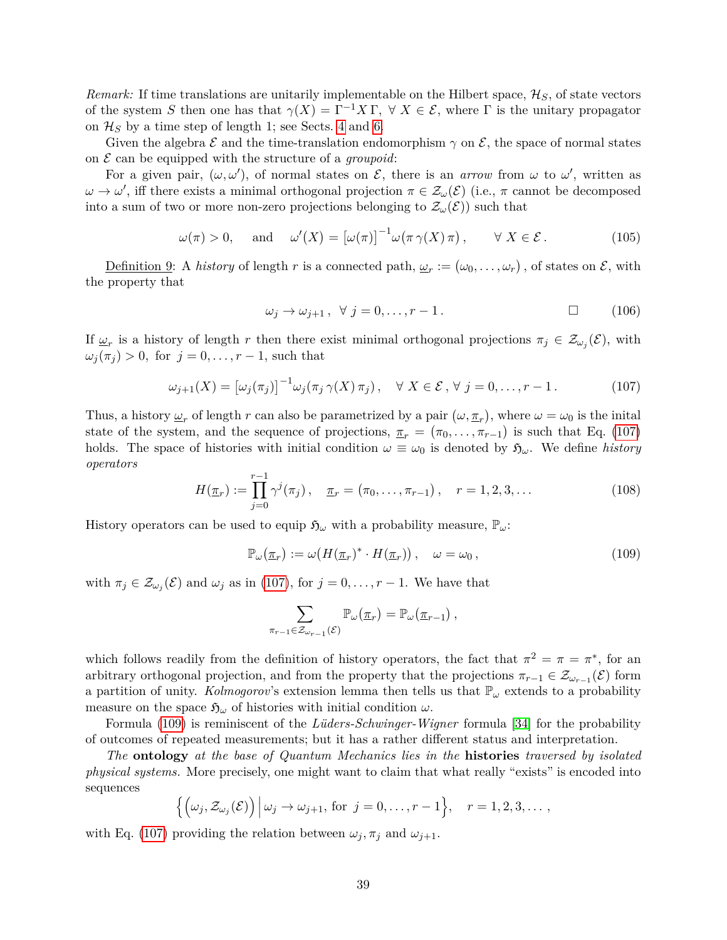*Remark:* If time translations are unitarily implementable on the Hilbert space,  $\mathcal{H}_S$ , of state vectors of the system *S* then one has that  $\gamma(X) = \Gamma^{-1} X \Gamma$ ,  $\forall X \in \mathcal{E}$ , where  $\Gamma$  is the unitary propagator on  $\mathcal{H}_S$  by a time step of length 1; see Sects. [4](#page-12-0) and [6.](#page-22-0)

Given the algebra  $\mathcal E$  and the time-translation endomorphism  $\gamma$  on  $\mathcal E$ , the space of normal states on  $\mathcal E$  can be equipped with the structure of a *groupoid*:

For a given pair,  $(\omega, \omega')$ , of normal states on  $\mathcal{E}$ , there is an *arrow* from  $\omega$  to  $\omega'$ , written as  $\omega \to \omega'$ , iff there exists a minimal orthogonal projection  $\pi \in \mathcal{Z}_{\omega}(\mathcal{E})$  (i.e.,  $\pi$  cannot be decomposed into a sum of two or more non-zero projections belonging to  $\mathcal{Z}_{\omega}(\mathcal{E})$  such that

$$
\omega(\pi) > 0
$$
, and  $\omega'(X) = [\omega(\pi)]^{-1} \omega(\pi \gamma(X) \pi)$ ,  $\forall X \in \mathcal{E}$ . (105)

Definition 9: A *history* of length *r* is a connected path,  $\omega_r := (\omega_0, \dots, \omega_r)$ , of states on  $\mathcal{E}$ , with the property that

$$
\omega_j \to \omega_{j+1}, \ \forall \ j = 0, \dots, r-1. \tag{106}
$$

If  $\underline{\omega}_r$  is a history of length *r* then there exist minimal orthogonal projections  $\pi_j \in \mathcal{Z}_{\omega_j}(\mathcal{E})$ , with  $\omega_j(\pi_j) > 0$ , for  $j = 0, \ldots, r - 1$ , such that

<span id="page-38-0"></span>
$$
\omega_{j+1}(X) = \left[\omega_j(\pi_j)\right]^{-1} \omega_j(\pi_j \gamma(X) \pi_j), \quad \forall \ X \in \mathcal{E}, \ \forall \ j = 0, \dots, r-1.
$$
 (107)

Thus, a history  $\underline{\omega}_r$  of length *r* can also be parametrized by a pair  $(\omega, \underline{\pi}_r)$ , where  $\omega = \omega_0$  is the inital state of the system, and the sequence of projections,  $\pi_r = (\pi_0, \ldots, \pi_{r-1})$  is such that Eq. [\(107\)](#page-38-0) holds. The space of histories with initial condition  $\omega \equiv \omega_0$  is denoted by  $\mathfrak{H}_{\omega}$ . We define *history operators*

$$
H(\underline{\pi}_r) := \prod_{j=0}^{r-1} \gamma^j(\pi_j), \quad \underline{\pi}_r = (\pi_0, \dots, \pi_{r-1}), \quad r = 1, 2, 3, \dots
$$
 (108)

History operators can be used to equip  $\mathfrak{H}_{\omega}$  with a probability measure,  $\mathbb{P}_{\omega}$ .

<span id="page-38-1"></span>
$$
\mathbb{P}_{\omega}(\underline{\pi}_r) := \omega(H(\underline{\pi}_r)^* \cdot H(\underline{\pi}_r)), \quad \omega = \omega_0,
$$
\n(109)

with  $\pi_j \in \mathcal{Z}_{\omega_j}(\mathcal{E})$  and  $\omega_j$  as in [\(107\)](#page-38-0), for  $j = 0, \ldots, r - 1$ . We have that

$$
\sum_{\pi_{r-1}\in\mathcal{Z}_{\omega_{r-1}}(\mathcal{E})}\mathbb{P}_{\omega}(\underline{\pi}_r)=\mathbb{P}_{\omega}(\underline{\pi}_{r-1}),
$$

which follows readily from the definition of history operators, the fact that  $\pi^2 = \pi = \pi^*$ , for an arbitrary orthogonal projection, and from the property that the projections  $\pi_{r-1} \in \mathcal{Z}_{\omega_{r-1}}(\mathcal{E})$  form a partition of unity. *Kolmogorov*'s extension lemma then tells us that  $\mathbb{P}_{\omega}$  extends to a probability measure on the space  $\mathfrak{H}_{\omega}$  of histories with initial condition  $\omega$ .

Formula [\(109\)](#page-38-1) is reminiscent of the *Lüders-Schwinger-Wigner* formula [\[34\]](#page-44-12) for the probability of outcomes of repeated measurements; but it has a rather different status and interpretation.

*The* **ontology** *at the base of Quantum Mechanics lies in the* **histories** *traversed by isolated physical systems.* More precisely, one might want to claim that what really "exists" is encoded into sequences

$$
\left\{ \left( \omega_j, \mathcal{Z}_{\omega_j}(\mathcal{E}) \right) \middle| \omega_j \to \omega_{j+1}, \text{ for } j = 0, \ldots, r-1 \right\}, \quad r = 1, 2, 3, \ldots,
$$

with Eq. [\(107\)](#page-38-0) providing the relation between  $\omega_j$ ,  $\pi_j$  and  $\omega_{j+1}$ .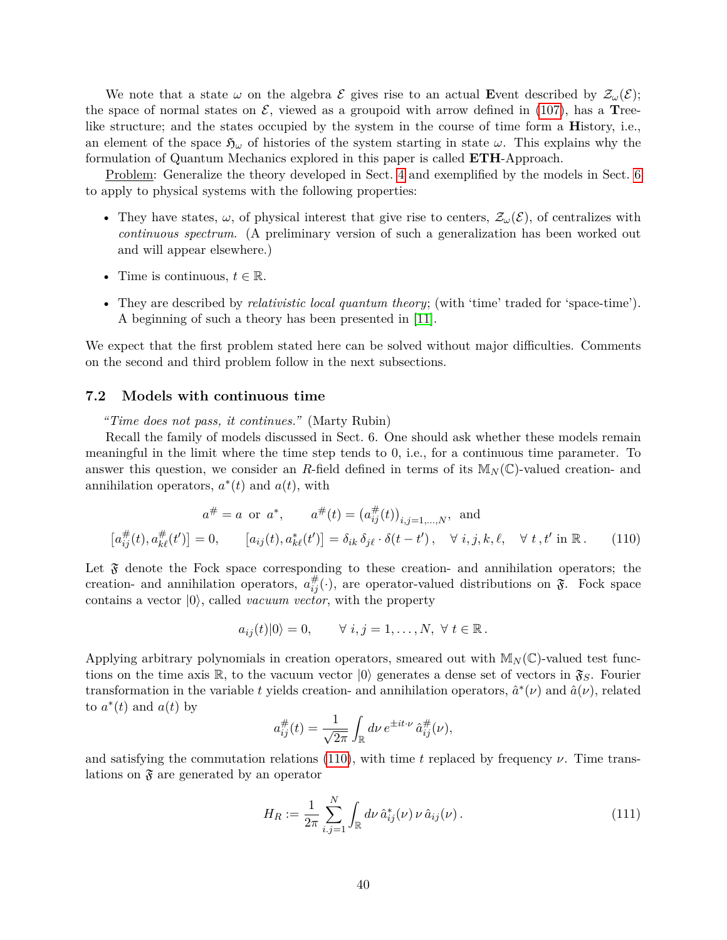We note that a state  $\omega$  on the algebra  $\mathcal{E}$  gives rise to an actual Event described by  $\mathcal{Z}_{\omega}(\mathcal{E});$ the space of normal states on  $\mathcal{E}$ , viewed as a groupoid with arrow defined in [\(107\)](#page-38-0), has a **T**reelike structure; and the states occupied by the system in the course of time form a **H**istory, i.e., an element of the space  $\mathfrak{H}_{\omega}$  of histories of the system starting in state  $\omega$ . This explains why the formulation of Quantum Mechanics explored in this paper is called **ETH**-Approach.

Problem: Generalize the theory developed in Sect. [4](#page-12-0) and exemplified by the models in Sect. [6](#page-22-0) to apply to physical systems with the following properties:

- They have states,  $\omega$ , of physical interest that give rise to centers,  $\mathcal{Z}_{\omega}(\mathcal{E})$ , of centralizes with *continuous spectrum*. (A preliminary version of such a generalization has been worked out and will appear elsewhere.)
- Time is continuous,  $t \in \mathbb{R}$ .
- They are described by *relativistic local quantum theory*; (with 'time' traded for 'space-time'). A beginning of such a theory has been presented in [\[11\]](#page-43-5).

We expect that the first problem stated here can be solved without major difficulties. Comments on the second and third problem follow in the next subsections.

### <span id="page-39-0"></span>**7.2 Models with continuous time**

*"Time does not pass, it continues."* (Marty Rubin)

Recall the family of models discussed in Sect. 6. One should ask whether these models remain meaningful in the limit where the time step tends to 0, i.e., for a continuous time parameter. To answer this question, we consider an *R*-field defined in terms of its  $M_N(\mathbb{C})$ -valued creation- and annihilation operators,  $a^*(t)$  and  $a(t)$ , with

$$
a^{\#} = a \text{ or } a^*, \qquad a^{\#}(t) = (a_{ij}^{\#}(t))_{i,j=1,\dots,N}, \text{ and}
$$

$$
[a_{ij}^{\#}(t), a_{k\ell}^{\#}(t')] = 0, \qquad [a_{ij}(t), a_{k\ell}^*(t')] = \delta_{ik} \delta_{j\ell} \cdot \delta(t - t'), \quad \forall \ i, j, k, \ell, \quad \forall \ t, t' \text{ in } \mathbb{R}. \tag{110}
$$

Let  $\mathfrak F$  denote the Fock space corresponding to these creation- and annihilation operators; the creation- and annihilation operators,  $a_{ij}^{\#}(\cdot)$ , are operator-valued distributions on  $\mathfrak{F}$ . Fock space contains a vector  $|0\rangle$ , called *vacuum vector*, with the property

<span id="page-39-1"></span>
$$
a_{ij}(t)|0\rangle = 0, \qquad \forall \ i, j = 1, \ldots, N, \ \forall \ t \in \mathbb{R}.
$$

Applying arbitrary polynomials in creation operators, smeared out with  $M_N(\mathbb{C})$ -valued test functions on the time axis R, to the vacuum vector  $|0\rangle$  generates a dense set of vectors in  $\mathfrak{F}_S$ . Fourier transformation in the variable *t* yields creation- and annihilation operators,  $\hat{a}^*(\nu)$  and  $\hat{a}(\nu)$ , related to  $a^*(t)$  and  $a(t)$  by

$$
a_{ij}^{\#}(t) = \frac{1}{\sqrt{2\pi}} \int_{\mathbb{R}} d\nu \, e^{\pm it \cdot \nu} \, \hat{a}_{ij}^{\#}(\nu),
$$

and satisfying the commutation relations [\(110\)](#page-39-1), with time *t* replaced by frequency  $\nu$ . Time translations on  $\mathfrak F$  are generated by an operator

$$
H_R := \frac{1}{2\pi} \sum_{i,j=1}^N \int_{\mathbb{R}} d\nu \,\hat{a}_{ij}^*(\nu) \,\nu \,\hat{a}_{ij}(\nu).
$$
 (111)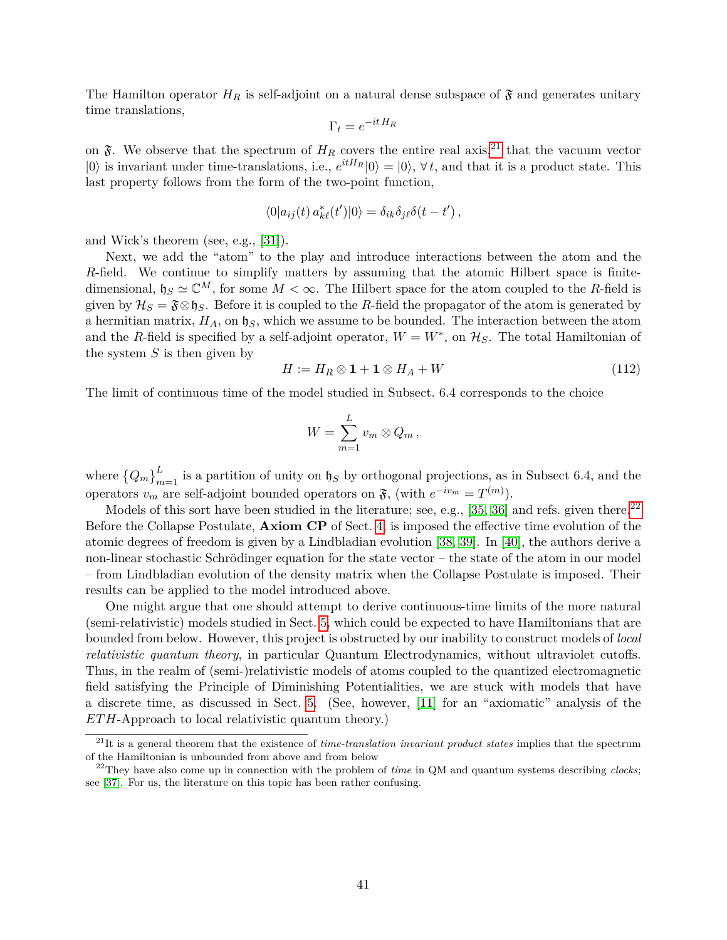The Hamilton operator  $H_R$  is self-adjoint on a natural dense subspace of  $\mathfrak F$  and generates unitary time translations,

$$
\Gamma_t = e^{-it\,H_R}
$$

on  $\tilde{\mathfrak{F}}$ . We observe that the spectrum of  $H_R$  covers the entire real axis,<sup>[21](#page-40-0)</sup> that the vacuum vector  $|0\rangle$  is invariant under time-translations, i.e.,  $e^{itH_R}|0\rangle = |0\rangle$ ,  $\forall t$ , and that it is a product state. This last property follows from the form of the two-point function,

$$
\langle 0|a_{ij}(t) a_{k\ell}^*(t')|0\rangle = \delta_{ik}\delta_{j\ell}\delta(t-t'),
$$

and Wick's theorem (see, e.g., [\[31\]](#page-44-9)).

Next, we add the "atom" to the play and introduce interactions between the atom and the *R*-field. We continue to simplify matters by assuming that the atomic Hilbert space is finitedimensional,  $\mathfrak{h}_S \simeq \mathbb{C}^M$ , for some  $M < \infty$ . The Hilbert space for the atom coupled to the *R*-field is given by  $\mathcal{H}_S = \mathfrak{F} \otimes \mathfrak{h}_S$ . Before it is coupled to the *R*-field the propagator of the atom is generated by a hermitian matrix,  $H_A$ , on  $\natural_S$ , which we assume to be bounded. The interaction between the atom and the *R*-field is specified by a self-adjoint operator,  $W = W^*$ , on  $\mathcal{H}_S$ . The total Hamiltonian of the system *S* is then given by

$$
H := H_R \otimes \mathbf{1} + \mathbf{1} \otimes H_A + W \tag{112}
$$

The limit of continuous time of the model studied in Subsect. 6.4 corresponds to the choice

$$
W=\sum_{m=1}^L v_m\otimes Q_m,
$$

where  ${Q_m}_{m=1}^L$  is a partition of unity on  $\mathfrak{h}_S$  by orthogonal projections, as in Subsect 6.4, and the operators  $v_m$  are self-adjoint bounded operators on  $\mathfrak{F}$ , (with  $e^{-iv_m} = T^{(m)}$ ).

Models of this sort have been studied in the literature; see, e.g., [\[35,](#page-44-13) [36\]](#page-44-14) and refs. given there.<sup>[22](#page-40-1)</sup> Before the Collapse Postulate, **Axiom CP** of Sect. [4,](#page-12-0) is imposed the effective time evolution of the atomic degrees of freedom is given by a Lindbladian evolution [\[38,](#page-45-0) [39\]](#page-45-1). In [\[40\]](#page-45-2), the authors derive a non-linear stochastic Schrödinger equation for the state vector – the state of the atom in our model – from Lindbladian evolution of the density matrix when the Collapse Postulate is imposed. Their results can be applied to the model introduced above.

One might argue that one should attempt to derive continuous-time limits of the more natural (semi-relativistic) models studied in Sect. [5,](#page-18-0) which could be expected to have Hamiltonians that are bounded from below. However, this project is obstructed by our inability to construct models of *local relativistic quantum theory*, in particular Quantum Electrodynamics, without ultraviolet cutoffs. Thus, in the realm of (semi-)relativistic models of atoms coupled to the quantized electromagnetic field satisfying the Principle of Diminishing Potentialities, we are stuck with models that have a discrete time, as discussed in Sect. [5.](#page-18-0) (See, however, [\[11\]](#page-43-5) for an "axiomatic" analysis of the *ET H*-Approach to local relativistic quantum theory.)

<span id="page-40-0"></span><sup>21</sup>It is a general theorem that the existence of *time-translation invariant product states* implies that the spectrum of the Hamiltonian is unbounded from above and from below

<span id="page-40-1"></span><sup>22</sup>They have also come up in connection with the problem of *time* in QM and quantum systems describing *clocks*; see [\[37\]](#page-45-3). For us, the literature on this topic has been rather confusing.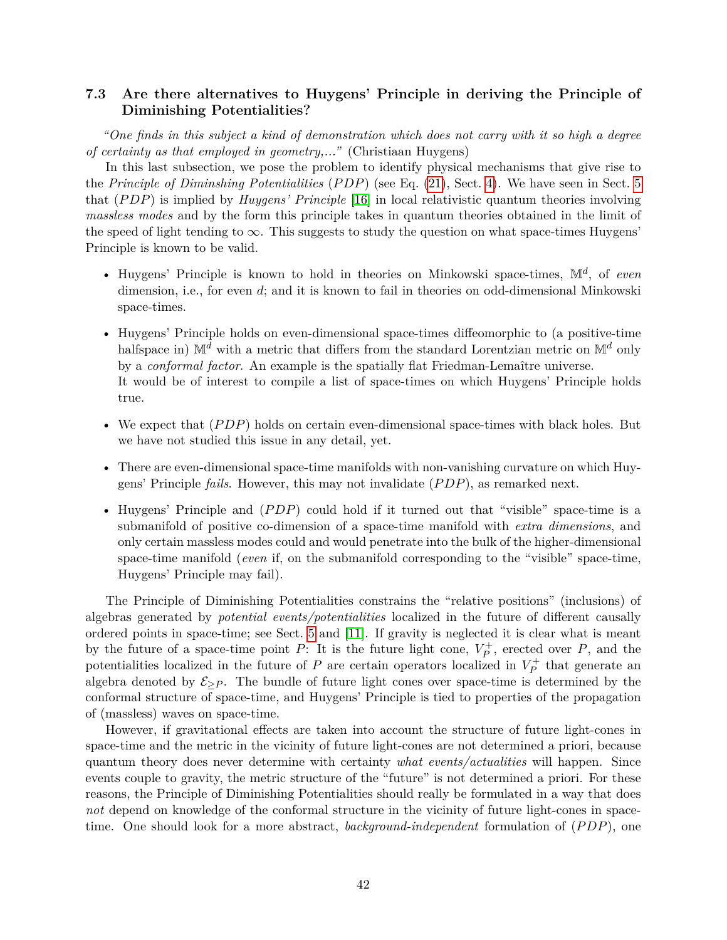# <span id="page-41-0"></span>**7.3 Are there alternatives to Huygens' Principle in deriving the Principle of Diminishing Potentialities?**

*"One finds in this subject a kind of demonstration which does not carry with it so high a degree of certainty as that employed in geometry,..."* (Christiaan Huygens)

In this last subsection, we pose the problem to identify physical mechanisms that give rise to the *Principle of Diminshing Potentialities* (*P DP*) (see Eq. [\(21\)](#page-14-1), Sect. [4\)](#page-12-0). We have seen in Sect. [5](#page-18-0) that (*P DP*) is implied by *Huygens' Principle* [\[16\]](#page-43-10) in local relativistic quantum theories involving *massless modes* and by the form this principle takes in quantum theories obtained in the limit of the speed of light tending to  $\infty$ . This suggests to study the question on what space-times Huygens' Principle is known to be valid.

- Huygens' Principle is known to hold in theories on Minkowski space-times, M*<sup>d</sup>* , of *even* dimension, i.e., for even *d*; and it is known to fail in theories on odd-dimensional Minkowski space-times.
- Huygens' Principle holds on even-dimensional space-times diffeomorphic to (a positive-time halfspace in)  $\mathbb{M}^d$  with a metric that differs from the standard Lorentzian metric on  $\mathbb{M}^d$  only by a *conformal factor*. An example is the spatially flat Friedman-Lemaître universe. It would be of interest to compile a list of space-times on which Huygens' Principle holds true.
- We expect that  $(PDP)$  holds on certain even-dimensional space-times with black holes. But we have not studied this issue in any detail, yet.
- There are even-dimensional space-time manifolds with non-vanishing curvature on which Huygens' Principle *fails*. However, this may not invalidate (*P DP*), as remarked next.
- Huygens' Principle and (*PDP*) could hold if it turned out that "visible" space-time is a submanifold of positive co-dimension of a space-time manifold with *extra dimensions*, and only certain massless modes could and would penetrate into the bulk of the higher-dimensional space-time manifold (*even* if, on the submanifold corresponding to the "visible" space-time, Huygens' Principle may fail).

The Principle of Diminishing Potentialities constrains the "relative positions" (inclusions) of algebras generated by *potential events/potentialities* localized in the future of different causally ordered points in space-time; see Sect. [5](#page-18-0) and [\[11\]](#page-43-5). If gravity is neglected it is clear what is meant by the future of a space-time point *P*: It is the future light cone,  $V_P^+$ , erected over *P*, and the potentialities localized in the future of *P* are certain operators localized in  $V_P^+$  that generate an algebra denoted by  $\mathcal{E}_{\geq P}$ . The bundle of future light cones over space-time is determined by the conformal structure of space-time, and Huygens' Principle is tied to properties of the propagation of (massless) waves on space-time.

However, if gravitational effects are taken into account the structure of future light-cones in space-time and the metric in the vicinity of future light-cones are not determined a priori, because quantum theory does never determine with certainty *what events/actualities* will happen. Since events couple to gravity, the metric structure of the "future" is not determined a priori. For these reasons, the Principle of Diminishing Potentialities should really be formulated in a way that does *not* depend on knowledge of the conformal structure in the vicinity of future light-cones in spacetime. One should look for a more abstract, *background-independent* formulation of (*P DP*), one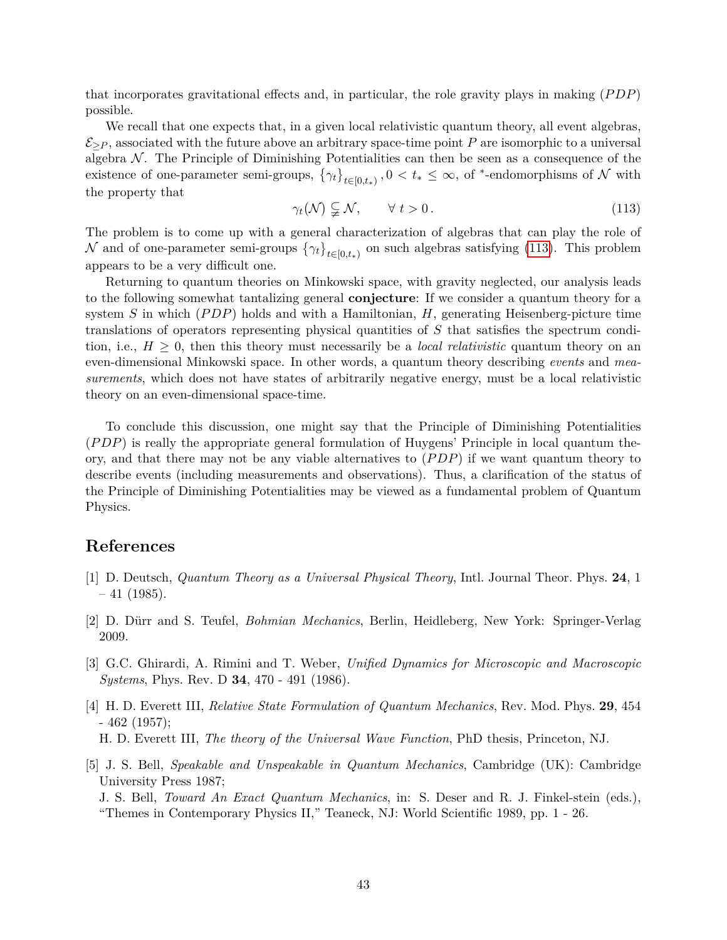that incorporates gravitational effects and, in particular, the role gravity plays in making (*P DP*) possible.

We recall that one expects that, in a given local relativistic quantum theory, all event algebras,  $\mathcal{E}_{\geq P}$ , associated with the future above an arbitrary space-time point *P* are isomorphic to a universal algebra  $\mathcal N$ . The Principle of Diminishing Potentialities can then be seen as a consequence of the existence of one-parameter semi-groups,  $\{\gamma_t\}_{t\in[0,t_*)}, 0 < t_* \leq \infty$ , of <sup>\*</sup>-endomorphisms of N with the property that

<span id="page-42-5"></span>
$$
\gamma_t(\mathcal{N}) \subsetneq \mathcal{N}, \qquad \forall \ t > 0. \tag{113}
$$

The problem is to come up with a general characterization of algebras that can play the role of N and of one-parameter semi-groups  $\{\gamma_t\}_{t\in[0,t_*)}$  on such algebras satisfying [\(113\)](#page-42-5). This problem appears to be a very difficult one.

Returning to quantum theories on Minkowski space, with gravity neglected, our analysis leads to the following somewhat tantalizing general **conjecture**: If we consider a quantum theory for a system *S* in which (*P DP*) holds and with a Hamiltonian, *H*, generating Heisenberg-picture time translations of operators representing physical quantities of *S* that satisfies the spectrum condition, i.e.,  $H \geq 0$ , then this theory must necessarily be a *local relativistic* quantum theory on an even-dimensional Minkowski space. In other words, a quantum theory describing *events* and *measurements*, which does not have states of arbitrarily negative energy, must be a local relativistic theory on an even-dimensional space-time.

To conclude this discussion, one might say that the Principle of Diminishing Potentialities (*P DP*) is really the appropriate general formulation of Huygens' Principle in local quantum theory, and that there may not be any viable alternatives to (*P DP*) if we want quantum theory to describe events (including measurements and observations). Thus, a clarification of the status of the Principle of Diminishing Potentialities may be viewed as a fundamental problem of Quantum Physics.

# **References**

- <span id="page-42-0"></span>[1] D. Deutsch, *Quantum Theory as a Universal Physical Theory*, Intl. Journal Theor. Phys. **24**, 1  $-41$  (1985).
- <span id="page-42-1"></span>[2] D. Dürr and S. Teufel, *Bohmian Mechanics*, Berlin, Heidleberg, New York: Springer-Verlag 2009.
- <span id="page-42-2"></span>[3] G.C. Ghirardi, A. Rimini and T. Weber, *Unified Dynamics for Microscopic and Macroscopic Systems*, Phys. Rev. D **34**, 470 - 491 (1986).
- <span id="page-42-3"></span>[4] H. D. Everett III, *Relative State Formulation of Quantum Mechanics*, Rev. Mod. Phys. **29**, 454 - 462 (1957); H. D. Everett III, *The theory of the Universal Wave Function*, PhD thesis, Princeton, NJ.
- <span id="page-42-4"></span>[5] J. S. Bell, *Speakable and Unspeakable in Quantum Mechanics*, Cambridge (UK): Cambridge University Press 1987;

J. S. Bell, *Toward An Exact Quantum Mechanics*, in: S. Deser and R. J. Finkel-stein (eds.), "Themes in Contemporary Physics II," Teaneck, NJ: World Scientific 1989, pp. 1 - 26.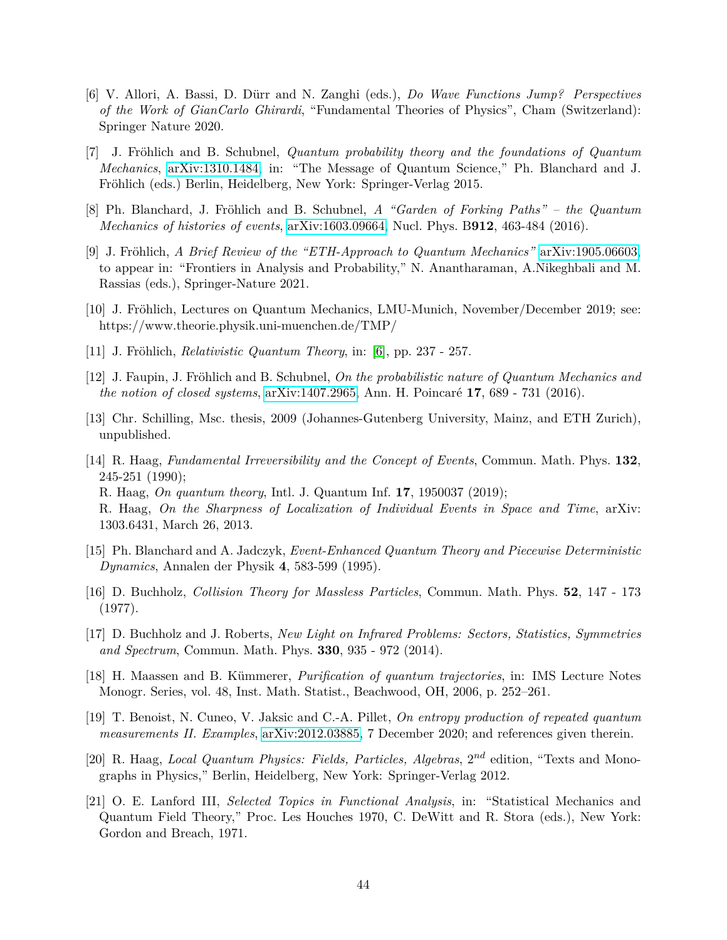- <span id="page-43-0"></span>[6] V. Allori, A. Bassi, D. Dürr and N. Zanghi (eds.), *Do Wave Functions Jump? Perspectives of the Work of GianCarlo Ghirardi*, "Fundamental Theories of Physics", Cham (Switzerland): Springer Nature 2020.
- <span id="page-43-1"></span>[7] J. Fröhlich and B. Schubnel, *Quantum probability theory and the foundations of Quantum Mechanics*, [arXiv:1310.1484,](http://arxiv.org/abs/1310.1484) in: "The Message of Quantum Science," Ph. Blanchard and J. Fröhlich (eds.) Berlin, Heidelberg, New York: Springer-Verlag 2015.
- <span id="page-43-2"></span>[8] Ph. Blanchard, J. Fröhlich and B. Schubnel, *A "Garden of Forking Paths" – the Quantum Mechanics of histories of events*, [arXiv:1603.09664,](http://arxiv.org/abs/1603.09664) Nucl. Phys. B**912**, 463-484 (2016).
- <span id="page-43-3"></span>[9] J. Fröhlich, *A Brief Review of the "ETH-Approach to Quantum Mechanics"* [arXiv:1905.06603,](http://arxiv.org/abs/1905.06603) to appear in: "Frontiers in Analysis and Probability," N. Anantharaman, A.Nikeghbali and M. Rassias (eds.), Springer-Nature 2021.
- <span id="page-43-4"></span>[10] J. Fröhlich, Lectures on Quantum Mechanics, LMU-Munich, November/December 2019; see: https://www.theorie.physik.uni-muenchen.de/TMP/
- <span id="page-43-5"></span>[11] J. Fröhlich, *Relativistic Quantum Theory*, in: [\[6\]](#page-43-0), pp. 237 - 257.
- <span id="page-43-6"></span>[12] J. Faupin, J. Fröhlich and B. Schubnel, *On the probabilistic nature of Quantum Mechanics and the notion of closed systems*, [arXiv:1407.2965,](http://arxiv.org/abs/1407.2965) Ann. H. Poincaré **17**, 689 - 731 (2016).
- <span id="page-43-7"></span>[13] Chr. Schilling, Msc. thesis, 2009 (Johannes-Gutenberg University, Mainz, and ETH Zurich), unpublished.
- <span id="page-43-8"></span>[14] R. Haag, *Fundamental Irreversibility and the Concept of Events*, Commun. Math. Phys. **132**, 245-251 (1990); R. Haag, *On quantum theory*, Intl. J. Quantum Inf. **17**, 1950037 (2019); R. Haag, *On the Sharpness of Localization of Individual Events in Space and Time*, arXiv: 1303.6431, March 26, 2013.
- <span id="page-43-9"></span>[15] Ph. Blanchard and A. Jadczyk, *Event-Enhanced Quantum Theory and Piecewise Deterministic Dynamics*, Annalen der Physik **4**, 583-599 (1995).
- <span id="page-43-10"></span>[16] D. Buchholz, *Collision Theory for Massless Particles*, Commun. Math. Phys. **52**, 147 - 173 (1977).
- <span id="page-43-11"></span>[17] D. Buchholz and J. Roberts, *New Light on Infrared Problems: Sectors, Statistics, Symmetries and Spectrum*, Commun. Math. Phys. **330**, 935 - 972 (2014).
- <span id="page-43-12"></span>[18] H. Maassen and B. Kümmerer, *Purification of quantum trajectories*, in: IMS Lecture Notes Monogr. Series, vol. 48, Inst. Math. Statist., Beachwood, OH, 2006, p. 252–261.
- <span id="page-43-13"></span>[19] T. Benoist, N. Cuneo, V. Jaksic and C.-A. Pillet, *On entropy production of repeated quantum measurements II. Examples*, [arXiv:2012.03885,](http://arxiv.org/abs/2012.03885) 7 December 2020; and references given therein.
- <span id="page-43-14"></span>[20] R. Haag, *Local Quantum Physics: Fields, Particles, Algebras,*  $2^{nd}$  edition, "Texts and Monographs in Physics," Berlin, Heidelberg, New York: Springer-Verlag 2012.
- <span id="page-43-15"></span>[21] O. E. Lanford III, *Selected Topics in Functional Analysis*, in: "Statistical Mechanics and Quantum Field Theory," Proc. Les Houches 1970, C. DeWitt and R. Stora (eds.), New York: Gordon and Breach, 1971.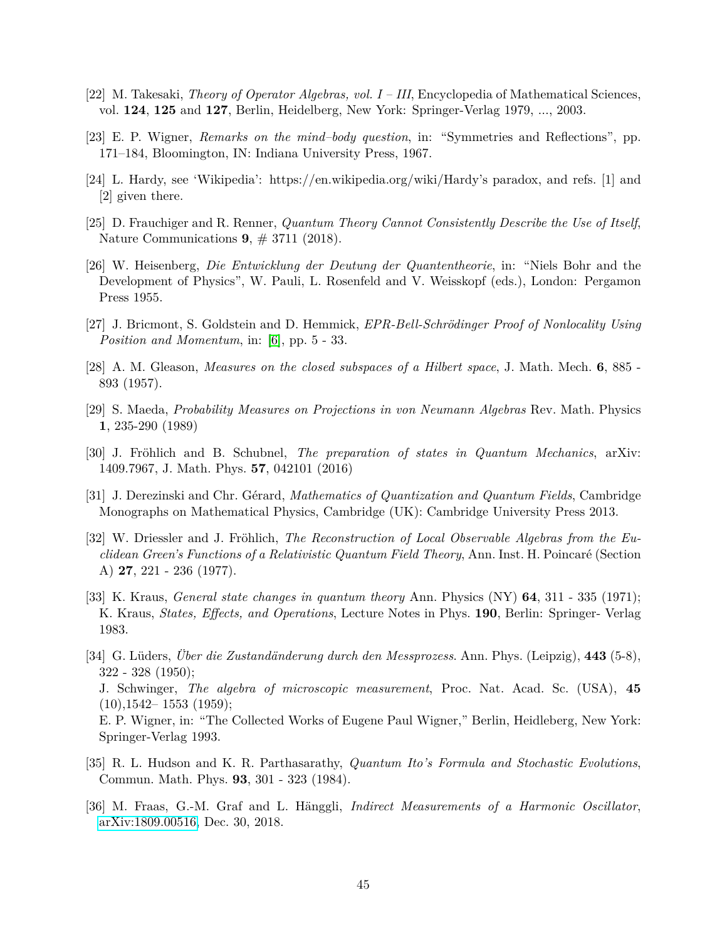- <span id="page-44-0"></span>[22] M. Takesaki, *Theory of Operator Algebras, vol. I – III*, Encyclopedia of Mathematical Sciences, vol. **124**, **125** and **127**, Berlin, Heidelberg, New York: Springer-Verlag 1979, ..., 2003.
- <span id="page-44-1"></span>[23] E. P. Wigner, *Remarks on the mind–body question*, in: "Symmetries and Reflections", pp. 171–184, Bloomington, IN: Indiana University Press, 1967.
- <span id="page-44-2"></span>[24] L. Hardy, see 'Wikipedia': https://en.wikipedia.org/wiki/Hardy's paradox, and refs. [1] and [2] given there.
- <span id="page-44-3"></span>[25] D. Frauchiger and R. Renner, *Quantum Theory Cannot Consistently Describe the Use of Itself*, Nature Communications **9**, # 3711 (2018).
- <span id="page-44-4"></span>[26] W. Heisenberg, *Die Entwicklung der Deutung der Quantentheorie*, in: "Niels Bohr and the Development of Physics", W. Pauli, L. Rosenfeld and V. Weisskopf (eds.), London: Pergamon Press 1955.
- <span id="page-44-5"></span>[27] J. Bricmont, S. Goldstein and D. Hemmick, *EPR-Bell-Schrödinger Proof of Nonlocality Using Position and Momentum*, in: [\[6\]](#page-43-0), pp. 5 - 33.
- <span id="page-44-6"></span>[28] A. M. Gleason, *Measures on the closed subspaces of a Hilbert space*, J. Math. Mech. **6**, 885 - 893 (1957).
- <span id="page-44-7"></span>[29] S. Maeda, *Probability Measures on Projections in von Neumann Algebras* Rev. Math. Physics **1**, 235-290 (1989)
- <span id="page-44-8"></span>[30] J. Fröhlich and B. Schubnel, *The preparation of states in Quantum Mechanics*, arXiv: 1409.7967, J. Math. Phys. **57**, 042101 (2016)
- <span id="page-44-9"></span>[31] J. Derezinski and Chr. Gérard, *Mathematics of Quantization and Quantum Fields*, Cambridge Monographs on Mathematical Physics, Cambridge (UK): Cambridge University Press 2013.
- <span id="page-44-10"></span>[32] W. Driessler and J. Fröhlich, *The Reconstruction of Local Observable Algebras from the Euclidean Green's Functions of a Relativistic Quantum Field Theory*, Ann. Inst. H. Poincaré (Section A) **27**, 221 - 236 (1977).
- <span id="page-44-11"></span>[33] K. Kraus, *General state changes in quantum theory* Ann. Physics (NY) **64**, 311 - 335 (1971); K. Kraus, *States, Effects, and Operations*, Lecture Notes in Phys. **190**, Berlin: Springer- Verlag 1983.
- <span id="page-44-12"></span>[34] G. Lüders, *Über die Zustandänderung durch den Messprozess*. Ann. Phys. (Leipzig), **443** (5-8), 322 - 328 (1950); J. Schwinger, *The algebra of microscopic measurement*, Proc. Nat. Acad. Sc. (USA), **45**  $(10),1542-1553$   $(1959);$ E. P. Wigner, in: "The Collected Works of Eugene Paul Wigner," Berlin, Heidleberg, New York: Springer-Verlag 1993.
- <span id="page-44-13"></span>[35] R. L. Hudson and K. R. Parthasarathy, *Quantum Ito's Formula and Stochastic Evolutions*, Commun. Math. Phys. **93**, 301 - 323 (1984).
- <span id="page-44-14"></span>[36] M. Fraas, G.-M. Graf and L. Hänggli, *Indirect Measurements of a Harmonic Oscillator*, [arXiv:1809.00516,](http://arxiv.org/abs/1809.00516) Dec. 30, 2018.